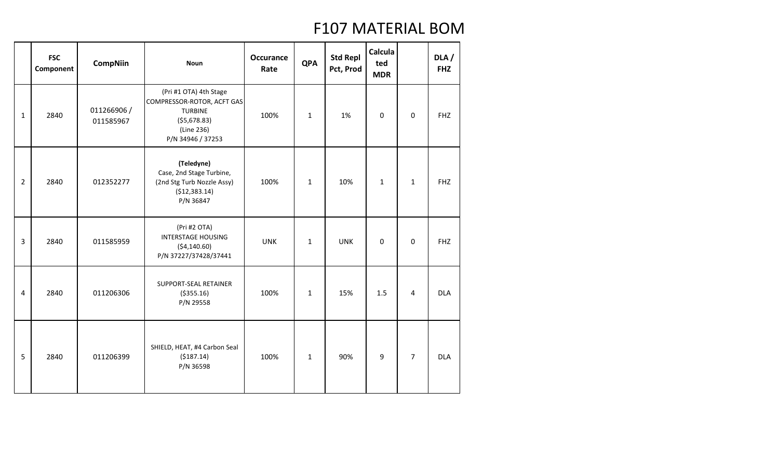|                | <b>FSC</b><br>Component | <b>CompNiin</b>         | <b>Noun</b>                                                                                                                | <b>Occurance</b><br>Rate | <b>QPA</b>   | <b>Std Repl</b><br>Pct, Prod | Calcula<br>ted<br><b>MDR</b> |                | DLA/<br><b>FHZ</b> |
|----------------|-------------------------|-------------------------|----------------------------------------------------------------------------------------------------------------------------|--------------------------|--------------|------------------------------|------------------------------|----------------|--------------------|
| $\mathbf{1}$   | 2840                    | 011266906/<br>011585967 | (Pri #1 OTA) 4th Stage<br>COMPRESSOR-ROTOR, ACFT GAS<br><b>TURBINE</b><br>( \$5,678.83)<br>(Line 236)<br>P/N 34946 / 37253 | 100%                     | $\mathbf{1}$ | 1%                           | $\pmb{0}$                    | 0              | <b>FHZ</b>         |
| $\overline{2}$ | 2840                    | 012352277               | (Teledyne)<br>Case, 2nd Stage Turbine,<br>(2nd Stg Turb Nozzle Assy)<br>(\$12,383.14)<br>P/N 36847                         | 100%                     | $\mathbf{1}$ | 10%                          | $\mathbf{1}$                 | $\mathbf{1}$   | <b>FHZ</b>         |
| 3              | 2840                    | 011585959               | (Pri #2 OTA)<br><b>INTERSTAGE HOUSING</b><br>( \$4,140.60)<br>P/N 37227/37428/37441                                        | <b>UNK</b>               | $\mathbf{1}$ | <b>UNK</b>                   | 0                            | 0              | <b>FHZ</b>         |
| 4              | 2840                    | 011206306               | SUPPORT-SEAL RETAINER<br>( \$355.16)<br>P/N 29558                                                                          | 100%                     | $\mathbf{1}$ | 15%                          | 1.5                          | 4              | <b>DLA</b>         |
| 5              | 2840                    | 011206399               | SHIELD, HEAT, #4 Carbon Seal<br>( \$187.14)<br>P/N 36598                                                                   | 100%                     | $\mathbf{1}$ | 90%                          | 9                            | $\overline{7}$ | <b>DLA</b>         |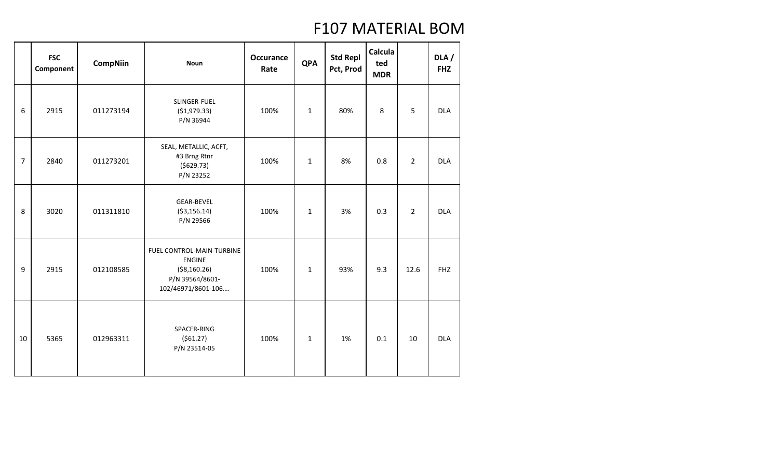|                | <b>FSC</b><br>Component | <b>CompNiin</b> | <b>Noun</b>                                                                                          | <b>Occurance</b><br>Rate | <b>QPA</b>   | <b>Std Repl</b><br>Pct, Prod | Calcula<br>ted<br><b>MDR</b> |                | DLA /<br><b>FHZ</b> |
|----------------|-------------------------|-----------------|------------------------------------------------------------------------------------------------------|--------------------------|--------------|------------------------------|------------------------------|----------------|---------------------|
| 6              | 2915                    | 011273194       | SLINGER-FUEL<br>(\$1,979.33)<br>P/N 36944                                                            | 100%                     | $\mathbf{1}$ | 80%                          | 8                            | 5              | <b>DLA</b>          |
| $\overline{7}$ | 2840                    | 011273201       | SEAL, METALLIC, ACFT,<br>#3 Brng Rtnr<br>(5629.73)<br>P/N 23252                                      | 100%                     | $\mathbf{1}$ | 8%                           | 0.8                          | $\overline{2}$ | <b>DLA</b>          |
| 8              | 3020                    | 011311810       | <b>GEAR-BEVEL</b><br>( \$3,156.14)<br>P/N 29566                                                      | 100%                     | $\mathbf{1}$ | 3%                           | 0.3                          | $\overline{2}$ | <b>DLA</b>          |
| 9              | 2915                    | 012108585       | FUEL CONTROL-MAIN-TURBINE<br><b>ENGINE</b><br>( \$8,160.26)<br>P/N 39564/8601-<br>102/46971/8601-106 | 100%                     | $\mathbf{1}$ | 93%                          | 9.3                          | 12.6           | <b>FHZ</b>          |
| 10             | 5365                    | 012963311       | SPACER-RING<br>(561.27)<br>P/N 23514-05                                                              | 100%                     | $\mathbf{1}$ | 1%                           | 0.1                          | 10             | <b>DLA</b>          |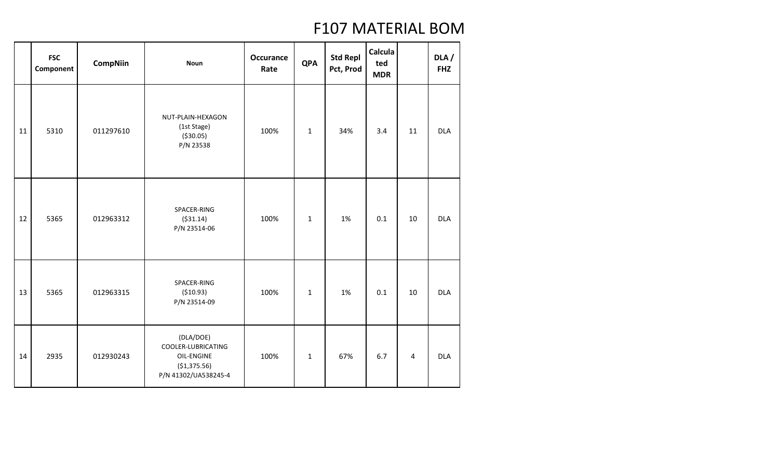|    | <b>FSC</b><br>Component | <b>CompNiin</b> | <b>Noun</b>                                                                           | <b>Occurance</b><br>Rate | <b>QPA</b>   | <b>Std Repl</b><br>Pct, Prod | Calcula<br>ted<br><b>MDR</b> |                | DLA/<br><b>FHZ</b> |
|----|-------------------------|-----------------|---------------------------------------------------------------------------------------|--------------------------|--------------|------------------------------|------------------------------|----------------|--------------------|
| 11 | 5310                    | 011297610       | NUT-PLAIN-HEXAGON<br>(1st Stage)<br>( \$30.05)<br>P/N 23538                           | 100%                     | $\mathbf{1}$ | 34%                          | 3.4                          | 11             | <b>DLA</b>         |
| 12 | 5365                    | 012963312       | SPACER-RING<br>( \$31.14)<br>P/N 23514-06                                             | 100%                     | $\mathbf 1$  | 1%                           | 0.1                          | 10             | <b>DLA</b>         |
| 13 | 5365                    | 012963315       | SPACER-RING<br>( \$10.93)<br>P/N 23514-09                                             | 100%                     | $\mathbf 1$  | 1%                           | 0.1                          | 10             | <b>DLA</b>         |
| 14 | 2935                    | 012930243       | (DLA/DOE)<br>COOLER-LUBRICATING<br>OIL-ENGINE<br>(\$1,375.56)<br>P/N 41302/UA538245-4 | 100%                     | $\mathbf 1$  | 67%                          | 6.7                          | $\overline{4}$ | <b>DLA</b>         |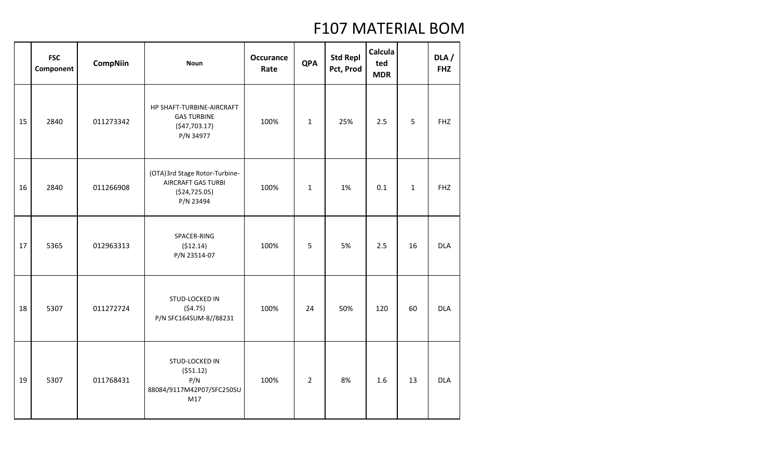|    | <b>FSC</b><br>Component | <b>CompNiin</b> | <b>Noun</b>                                                                                | <b>Occurance</b><br>Rate | <b>QPA</b>     | <b>Std Repl</b><br>Pct, Prod | Calcula<br>ted<br><b>MDR</b> |              | DLA /<br><b>FHZ</b> |
|----|-------------------------|-----------------|--------------------------------------------------------------------------------------------|--------------------------|----------------|------------------------------|------------------------------|--------------|---------------------|
| 15 | 2840                    | 011273342       | HP SHAFT-TURBINE-AIRCRAFT<br><b>GAS TURBINE</b><br>( \$47,703.17)<br>P/N 34977             | 100%                     | $\mathbf 1$    | 25%                          | 2.5                          | 5            | <b>FHZ</b>          |
| 16 | 2840                    | 011266908       | (OTA)3rd Stage Rotor-Turbine-<br><b>AIRCRAFT GAS TURBI</b><br>( \$24, 725.05)<br>P/N 23494 | 100%                     | $\mathbf{1}$   | 1%                           | 0.1                          | $\mathbf{1}$ | <b>FHZ</b>          |
| 17 | 5365                    | 012963313       | SPACER-RING<br>(512.14)<br>P/N 23514-07                                                    | 100%                     | 5              | 5%                           | 2.5                          | 16           | <b>DLA</b>          |
| 18 | 5307                    | 011272724       | STUD-LOCKED IN<br>(54.75)<br>P/N SFC164SUM-8//88231                                        | 100%                     | 24             | 50%                          | 120                          | 60           | <b>DLA</b>          |
| 19 | 5307                    | 011768431       | STUD-LOCKED IN<br>(551.12)<br>P/N<br>88084/9117M42P07/SFC250SU<br>M17                      | 100%                     | $\overline{2}$ | 8%                           | 1.6                          | 13           | <b>DLA</b>          |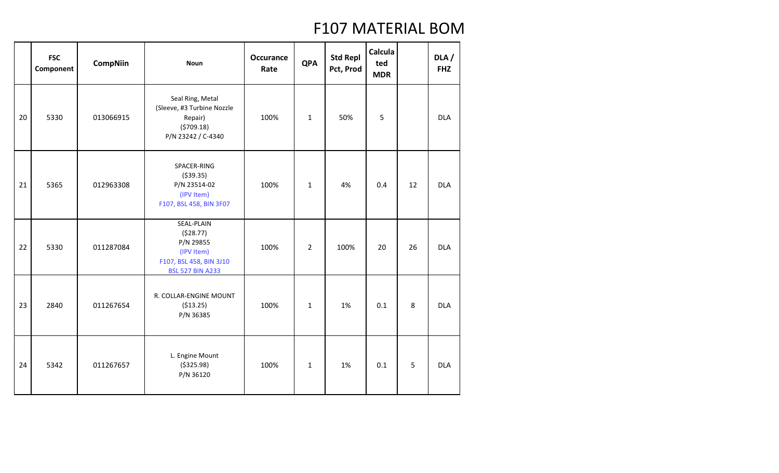|    | <b>FSC</b><br>Component | <b>CompNiin</b> | <b>Noun</b>                                                                                             | <b>Occurance</b><br>Rate | <b>QPA</b>     | <b>Std Repl</b><br>Pct, Prod | Calcula<br>ted<br><b>MDR</b> |    | DLA /<br><b>FHZ</b> |
|----|-------------------------|-----------------|---------------------------------------------------------------------------------------------------------|--------------------------|----------------|------------------------------|------------------------------|----|---------------------|
| 20 | 5330                    | 013066915       | Seal Ring, Metal<br>(Sleeve, #3 Turbine Nozzle<br>Repair)<br>(5709.18)<br>P/N 23242 / C-4340            | 100%                     | $\mathbf{1}$   | 50%                          | 5                            |    | <b>DLA</b>          |
| 21 | 5365                    | 012963308       | SPACER-RING<br>( \$39.35)<br>P/N 23514-02<br>(IPV Item)<br>F107, BSL 458, BIN 3F07                      | 100%                     | $\mathbf{1}$   | 4%                           | 0.4                          | 12 | <b>DLA</b>          |
| 22 | 5330                    | 011287084       | SEAL-PLAIN<br>(528.77)<br>P/N 29855<br>(IPV Item)<br>F107, BSL 458, BIN 3J10<br><b>BSL 527 BIN A233</b> | 100%                     | $\overline{2}$ | 100%                         | 20                           | 26 | <b>DLA</b>          |
| 23 | 2840                    | 011267654       | R. COLLAR-ENGINE MOUNT<br>( \$13.25)<br>P/N 36385                                                       | 100%                     | $\mathbf{1}$   | 1%                           | 0.1                          | 8  | <b>DLA</b>          |
| 24 | 5342                    | 011267657       | L. Engine Mount<br>( \$325.98)<br>P/N 36120                                                             | 100%                     | $\mathbf{1}$   | 1%                           | 0.1                          | 5  | <b>DLA</b>          |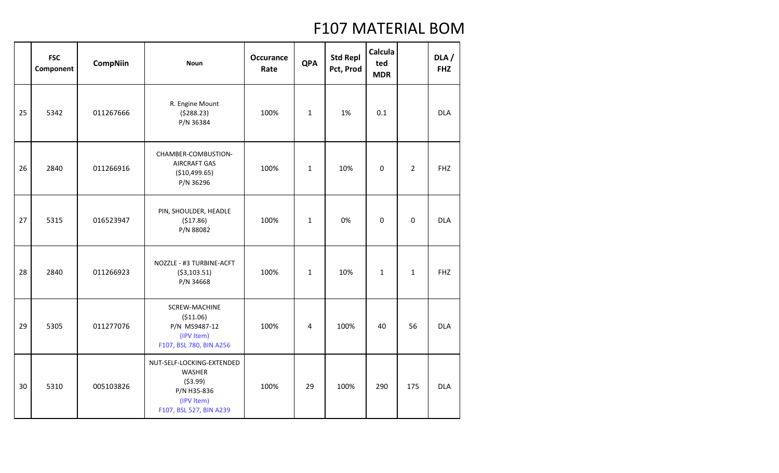|    | <b>FSC</b><br>Component | <b>CompNiin</b> | <b>Noun</b>                                                                                              | <b>Occurance</b><br>Rate | <b>QPA</b>   | <b>Std Repl</b><br>Pct, Prod | Calcula<br>ted<br><b>MDR</b> |                | DLA/<br><b>FHZ</b> |
|----|-------------------------|-----------------|----------------------------------------------------------------------------------------------------------|--------------------------|--------------|------------------------------|------------------------------|----------------|--------------------|
| 25 | 5342                    | 011267666       | R. Engine Mount<br>(5288.23)<br>P/N 36384                                                                | 100%                     | $\mathbf{1}$ | 1%                           | 0.1                          |                | <b>DLA</b>         |
| 26 | 2840                    | 011266916       | CHAMBER-COMBUSTION-<br><b>AIRCRAFT GAS</b><br>(\$10,499.65)<br>P/N 36296                                 | 100%                     | $\mathbf{1}$ | 10%                          | $\mathbf 0$                  | $\overline{2}$ | <b>FHZ</b>         |
| 27 | 5315                    | 016523947       | PIN, SHOULDER, HEADLE<br>(517.86)<br>P/N 88082                                                           | 100%                     | $\mathbf{1}$ | 0%                           | $\mathbf 0$                  | 0              | <b>DLA</b>         |
| 28 | 2840                    | 011266923       | NOZZLE - #3 TURBINE-ACFT<br>( \$3,103.51)<br>P/N 34668                                                   | 100%                     | $\mathbf{1}$ | 10%                          | $\mathbf{1}$                 | $\mathbf{1}$   | <b>FHZ</b>         |
| 29 | 5305                    | 011277076       | SCREW-MACHINE<br>( \$11.06)<br>P/N MS9487-12<br>(IPV Item)<br>F107, BSL 780, BIN A256                    | 100%                     | 4            | 100%                         | 40                           | 56             | <b>DLA</b>         |
| 30 | 5310                    | 005103826       | NUT-SELF-LOCKING-EXTENDED<br>WASHER<br>( \$3.99)<br>P/N H35-836<br>(IPV Item)<br>F107, BSL 527, BIN A239 | 100%                     | 29           | 100%                         | 290                          | 175            | <b>DLA</b>         |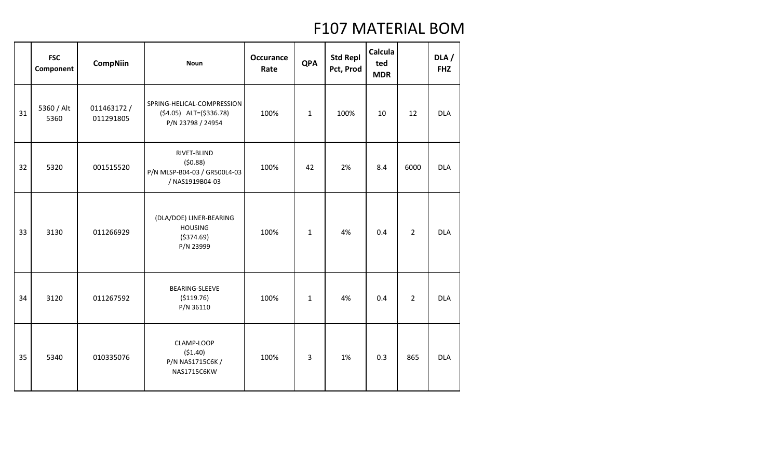|    | <b>FSC</b><br>Component | <b>CompNiin</b>         | <b>Noun</b>                                                                   | <b>Occurance</b><br>Rate | <b>QPA</b>   | <b>Std Repl</b><br>Pct, Prod | Calcula<br>ted<br><b>MDR</b> |                | DLA /<br><b>FHZ</b> |
|----|-------------------------|-------------------------|-------------------------------------------------------------------------------|--------------------------|--------------|------------------------------|------------------------------|----------------|---------------------|
| 31 | 5360 / Alt<br>5360      | 011463172/<br>011291805 | SPRING-HELICAL-COMPRESSION<br>$(54.05)$ ALT= $(5336.78)$<br>P/N 23798 / 24954 | 100%                     | $\mathbf{1}$ | 100%                         | 10                           | 12             | <b>DLA</b>          |
| 32 | 5320                    | 001515520               | RIVET-BLIND<br>(50.88)<br>P/N MLSP-B04-03 / GR500L4-03<br>/ NAS1919B04-03     | 100%                     | 42           | 2%                           | 8.4                          | 6000           | <b>DLA</b>          |
| 33 | 3130                    | 011266929               | (DLA/DOE) LINER-BEARING<br><b>HOUSING</b><br>( \$374.69)<br>P/N 23999         | 100%                     | $\mathbf{1}$ | 4%                           | 0.4                          | $\overline{2}$ | <b>DLA</b>          |
| 34 | 3120                    | 011267592               | BEARING-SLEEVE<br>( \$119.76)<br>P/N 36110                                    | 100%                     | $\mathbf{1}$ | 4%                           | 0.4                          | $\overline{2}$ | <b>DLA</b>          |
| 35 | 5340                    | 010335076               | CLAMP-LOOP<br>(51.40)<br>P/N NAS1715C6K /<br>NAS1715C6KW                      | 100%                     | 3            | 1%                           | 0.3                          | 865            | <b>DLA</b>          |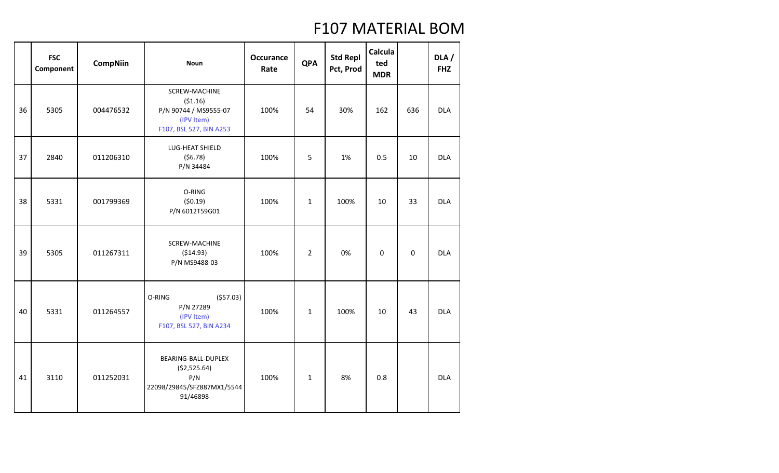|    | <b>FSC</b><br>Component | <b>CompNiin</b> | <b>Noun</b>                                                                                | <b>Occurance</b><br>Rate | <b>QPA</b>     | <b>Std Repl</b><br>Pct, Prod | Calcula<br>ted<br><b>MDR</b> |     | DLA/<br><b>FHZ</b> |
|----|-------------------------|-----------------|--------------------------------------------------------------------------------------------|--------------------------|----------------|------------------------------|------------------------------|-----|--------------------|
| 36 | 5305                    | 004476532       | SCREW-MACHINE<br>(51.16)<br>P/N 90744 / MS9555-07<br>(IPV Item)<br>F107, BSL 527, BIN A253 | 100%                     | 54             | 30%                          | 162                          | 636 | <b>DLA</b>         |
| 37 | 2840                    | 011206310       | LUG-HEAT SHIELD<br>(56.78)<br>P/N 34484                                                    | 100%                     | 5              | 1%                           | 0.5                          | 10  | <b>DLA</b>         |
| 38 | 5331                    | 001799369       | O-RING<br>(50.19)<br>P/N 6012T59G01                                                        | 100%                     | $\mathbf{1}$   | 100%                         | 10                           | 33  | <b>DLA</b>         |
| 39 | 5305                    | 011267311       | SCREW-MACHINE<br>( \$14.93)<br>P/N MS9488-03                                               | 100%                     | $\overline{2}$ | 0%                           | $\mathbf 0$                  | 0   | <b>DLA</b>         |
| 40 | 5331                    | 011264557       | O-RING<br>(557.03)<br>P/N 27289<br>(IPV Item)<br>F107, BSL 527, BIN A234                   | 100%                     | $\mathbf{1}$   | 100%                         | 10                           | 43  | <b>DLA</b>         |
| 41 | 3110                    | 011252031       | BEARING-BALL-DUPLEX<br>( \$2,525.64)<br>P/N<br>22098/29845/SFZ887MX1/5544<br>91/46898      | 100%                     | $\mathbf{1}$   | 8%                           | 0.8                          |     | <b>DLA</b>         |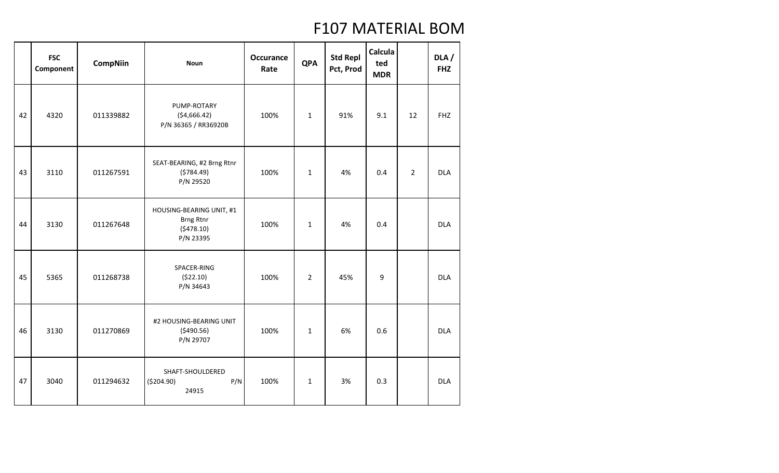|    | <b>FSC</b><br>Component | <b>CompNiin</b> | <b>Noun</b>                                                            | <b>Occurance</b><br>Rate | <b>QPA</b>     | <b>Std Repl</b><br>Pct, Prod | Calcula<br>ted<br><b>MDR</b> |                | DLA /<br><b>FHZ</b> |
|----|-------------------------|-----------------|------------------------------------------------------------------------|--------------------------|----------------|------------------------------|------------------------------|----------------|---------------------|
| 42 | 4320                    | 011339882       | PUMP-ROTARY<br>( \$4,666.42)<br>P/N 36365 / RR36920B                   | 100%                     | $\mathbf{1}$   | 91%                          | 9.1                          | 12             | <b>FHZ</b>          |
| 43 | 3110                    | 011267591       | SEAT-BEARING, #2 Brng Rtnr<br>(5784.49)<br>P/N 29520                   | 100%                     | $\mathbf{1}$   | 4%                           | 0.4                          | $\overline{2}$ | <b>DLA</b>          |
| 44 | 3130                    | 011267648       | HOUSING-BEARING UNIT, #1<br><b>Brng Rtnr</b><br>(5478.10)<br>P/N 23395 | 100%                     | $\mathbf{1}$   | 4%                           | 0.4                          |                | <b>DLA</b>          |
| 45 | 5365                    | 011268738       | SPACER-RING<br>(522.10)<br>P/N 34643                                   | 100%                     | $\overline{2}$ | 45%                          | 9                            |                | <b>DLA</b>          |
| 46 | 3130                    | 011270869       | #2 HOUSING-BEARING UNIT<br>(5490.56)<br>P/N 29707                      | 100%                     | $\mathbf{1}$   | 6%                           | 0.6                          |                | <b>DLA</b>          |
| 47 | 3040                    | 011294632       | SHAFT-SHOULDERED<br>( \$204.90)<br>P/N<br>24915                        | 100%                     | $\mathbf{1}$   | 3%                           | 0.3                          |                | <b>DLA</b>          |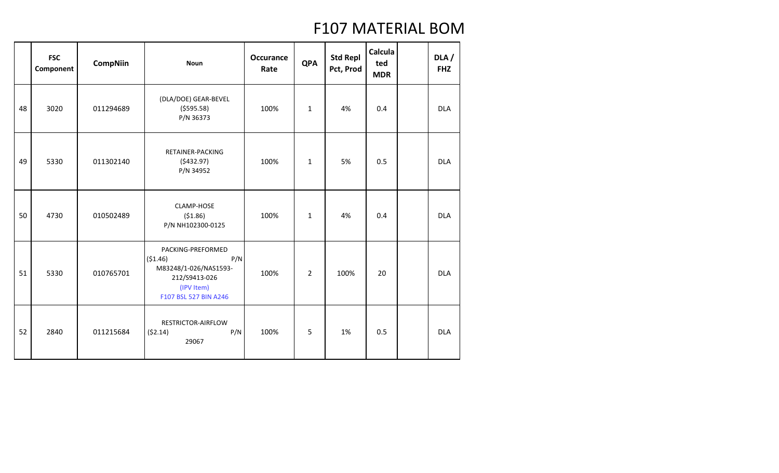|    | <b>FSC</b><br>Component | <b>CompNiin</b> | <b>Noun</b>                                                                                                           | <b>Occurance</b><br>Rate | <b>QPA</b>     | <b>Std Repl</b><br>Pct, Prod | Calcula<br>ted<br><b>MDR</b> | DLA/<br><b>FHZ</b> |
|----|-------------------------|-----------------|-----------------------------------------------------------------------------------------------------------------------|--------------------------|----------------|------------------------------|------------------------------|--------------------|
| 48 | 3020                    | 011294689       | (DLA/DOE) GEAR-BEVEL<br>(5595.58)<br>P/N 36373                                                                        | 100%                     | $\mathbf{1}$   | 4%                           | 0.4                          | <b>DLA</b>         |
| 49 | 5330                    | 011302140       | RETAINER-PACKING<br>(5432.97)<br>P/N 34952                                                                            | 100%                     | $\mathbf{1}$   | 5%                           | 0.5                          | <b>DLA</b>         |
| 50 | 4730                    | 010502489       | CLAMP-HOSE<br>(51.86)<br>P/N NH102300-0125                                                                            | 100%                     | $\mathbf{1}$   | 4%                           | 0.4                          | <b>DLA</b>         |
| 51 | 5330                    | 010765701       | PACKING-PREFORMED<br>(\$1.46)<br>P/N<br>M83248/1-026/NAS1593-<br>212/S9413-026<br>(IPV Item)<br>F107 BSL 527 BIN A246 | 100%                     | $\overline{2}$ | 100%                         | 20                           | <b>DLA</b>         |
| 52 | 2840                    | 011215684       | RESTRICTOR-AIRFLOW<br>P/N<br>(52.14)<br>29067                                                                         | 100%                     | 5              | 1%                           | 0.5                          | <b>DLA</b>         |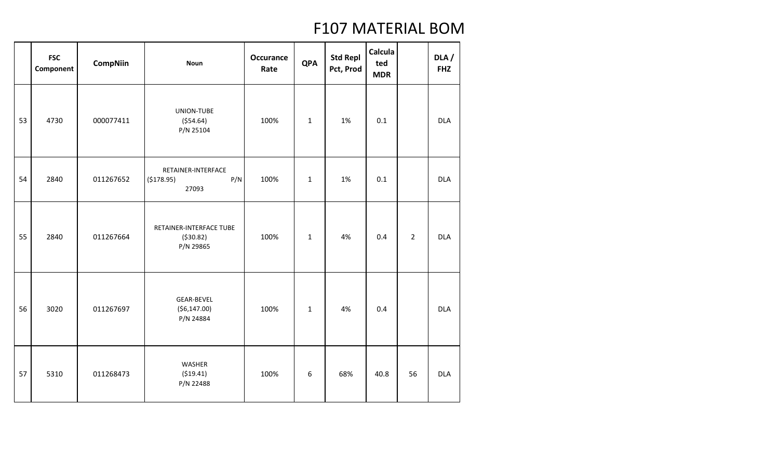|    | <b>FSC</b><br>Component | <b>CompNiin</b> | <b>Noun</b>                                        | <b>Occurance</b><br>Rate | <b>QPA</b>   | <b>Std Repl</b><br>Pct, Prod | Calcula<br>ted<br><b>MDR</b> |                | DLA /<br><b>FHZ</b> |
|----|-------------------------|-----------------|----------------------------------------------------|--------------------------|--------------|------------------------------|------------------------------|----------------|---------------------|
| 53 | 4730                    | 000077411       | UNION-TUBE<br>(554.64)<br>P/N 25104                | 100%                     | $\mathbf{1}$ | 1%                           | 0.1                          |                | <b>DLA</b>          |
| 54 | 2840                    | 011267652       | RETAINER-INTERFACE<br>P/N<br>(\$178.95)<br>27093   | 100%                     | $\mathbf{1}$ | 1%                           | 0.1                          |                | <b>DLA</b>          |
| 55 | 2840                    | 011267664       | RETAINER-INTERFACE TUBE<br>( \$30.82)<br>P/N 29865 | 100%                     | $\mathbf{1}$ | 4%                           | 0.4                          | $\overline{2}$ | <b>DLA</b>          |
| 56 | 3020                    | 011267697       | GEAR-BEVEL<br>( \$6,147.00)<br>P/N 24884           | 100%                     | $\mathbf{1}$ | 4%                           | 0.4                          |                | <b>DLA</b>          |
| 57 | 5310                    | 011268473       | WASHER<br>(519.41)<br>P/N 22488                    | 100%                     | 6            | 68%                          | 40.8                         | 56             | <b>DLA</b>          |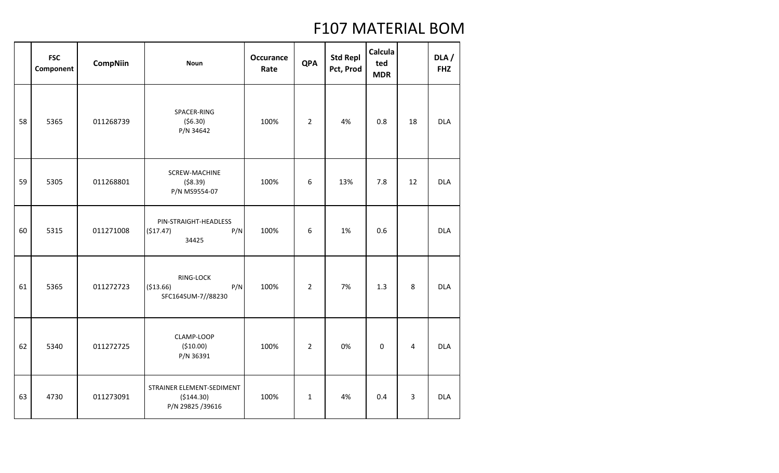|    | <b>FSC</b><br>Component | <b>CompNiin</b> | <b>Noun</b>                                                 | <b>Occurance</b><br>Rate | <b>QPA</b>     | <b>Std Repl</b><br>Pct, Prod | Calcula<br>ted<br><b>MDR</b> |    | DLA /<br><b>FHZ</b> |
|----|-------------------------|-----------------|-------------------------------------------------------------|--------------------------|----------------|------------------------------|------------------------------|----|---------------------|
| 58 | 5365                    | 011268739       | SPACER-RING<br>(56.30)<br>P/N 34642                         | 100%                     | $\overline{2}$ | 4%                           | 0.8                          | 18 | <b>DLA</b>          |
| 59 | 5305                    | 011268801       | SCREW-MACHINE<br>( \$8.39)<br>P/N MS9554-07                 | 100%                     | 6              | 13%                          | 7.8                          | 12 | <b>DLA</b>          |
| 60 | 5315                    | 011271008       | PIN-STRAIGHT-HEADLESS<br>(\$17.47)<br>P/N<br>34425          | 100%                     | 6              | 1%                           | 0.6                          |    | <b>DLA</b>          |
| 61 | 5365                    | 011272723       | RING-LOCK<br>P/N<br>( \$13.66)<br>SFC164SUM-7//88230        | 100%                     | $\overline{2}$ | 7%                           | 1.3                          | 8  | <b>DLA</b>          |
| 62 | 5340                    | 011272725       | CLAMP-LOOP<br>( \$10.00)<br>P/N 36391                       | 100%                     | $\overline{2}$ | 0%                           | $\mathbf 0$                  | 4  | <b>DLA</b>          |
| 63 | 4730                    | 011273091       | STRAINER ELEMENT-SEDIMENT<br>(\$144.30)<br>P/N 29825 /39616 | 100%                     | $\mathbf{1}$   | 4%                           | 0.4                          | 3  | <b>DLA</b>          |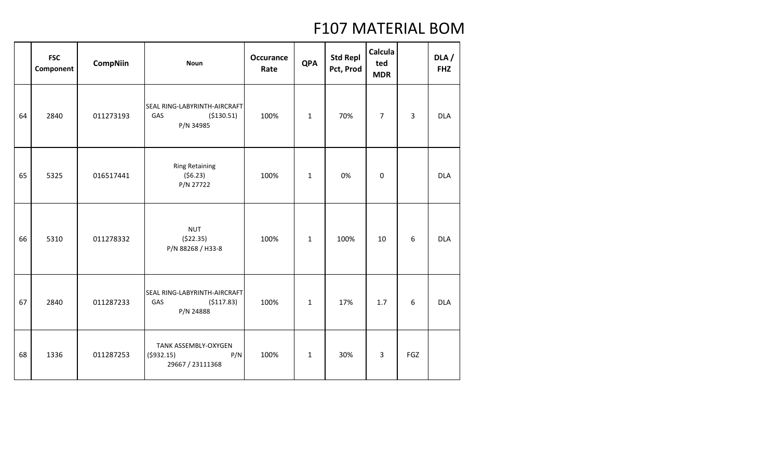|    | <b>FSC</b><br>Component | <b>CompNiin</b> | <b>Noun</b>                                                     | <b>Occurance</b><br>Rate | <b>QPA</b>   | <b>Std Repl</b><br>Pct, Prod | Calcula<br>ted<br><b>MDR</b> |                | DLA /<br><b>FHZ</b> |
|----|-------------------------|-----------------|-----------------------------------------------------------------|--------------------------|--------------|------------------------------|------------------------------|----------------|---------------------|
| 64 | 2840                    | 011273193       | SEAL RING-LABYRINTH-AIRCRAFT<br>GAS<br>( \$130.51)<br>P/N 34985 | 100%                     | $\mathbf{1}$ | 70%                          | $\overline{7}$               | $\overline{3}$ | <b>DLA</b>          |
| 65 | 5325                    | 016517441       | <b>Ring Retaining</b><br>(56.23)<br>P/N 27722                   | 100%                     | $\mathbf{1}$ | 0%                           | $\pmb{0}$                    |                | <b>DLA</b>          |
| 66 | 5310                    | 011278332       | <b>NUT</b><br>(522.35)<br>P/N 88268 / H33-8                     | 100%                     | $\mathbf{1}$ | 100%                         | 10                           | 6              | <b>DLA</b>          |
| 67 | 2840                    | 011287233       | SEAL RING-LABYRINTH-AIRCRAFT<br>GAS<br>(5117.83)<br>P/N 24888   | 100%                     | $\mathbf 1$  | 17%                          | 1.7                          | 6              | <b>DLA</b>          |
| 68 | 1336                    | 011287253       | TANK ASSEMBLY-OXYGEN<br>P/N<br>(5932.15)<br>29667 / 23111368    | 100%                     | $\mathbf{1}$ | 30%                          | 3                            | <b>FGZ</b>     |                     |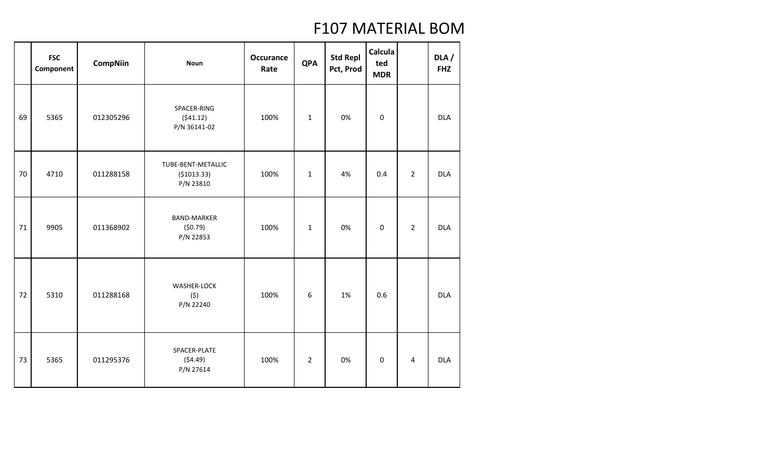|    | <b>FSC</b><br>Component | <b>CompNiin</b> | <b>Noun</b>                                     | <b>Occurance</b><br>Rate | <b>QPA</b>     | <b>Std Repl</b><br>Pct, Prod | Calcula<br>ted<br><b>MDR</b> |                | DLA/<br><b>FHZ</b> |
|----|-------------------------|-----------------|-------------------------------------------------|--------------------------|----------------|------------------------------|------------------------------|----------------|--------------------|
| 69 | 5365                    | 012305296       | SPACER-RING<br>(541.12)<br>P/N 36141-02         | 100%                     | $\mathbf{1}$   | 0%                           | $\mathbf 0$                  |                | <b>DLA</b>         |
| 70 | 4710                    | 011288158       | TUBE-BENT-METALLIC<br>( \$1013.33)<br>P/N 23810 | 100%                     | $\mathbf{1}$   | 4%                           | 0.4                          | $\overline{2}$ | <b>DLA</b>         |
| 71 | 9905                    | 011368902       | <b>BAND-MARKER</b><br>(50.79)<br>P/N 22853      | 100%                     | $\mathbf{1}$   | 0%                           | $\mathbf 0$                  | $\overline{2}$ | <b>DLA</b>         |
| 72 | 5310                    | 011288168       | <b>WASHER-LOCK</b><br>(5)<br>P/N 22240          | 100%                     | 6              | 1%                           | 0.6                          |                | <b>DLA</b>         |
| 73 | 5365                    | 011295376       | SPACER-PLATE<br>(54.49)<br>P/N 27614            | 100%                     | $\overline{2}$ | 0%                           | 0                            | 4              | <b>DLA</b>         |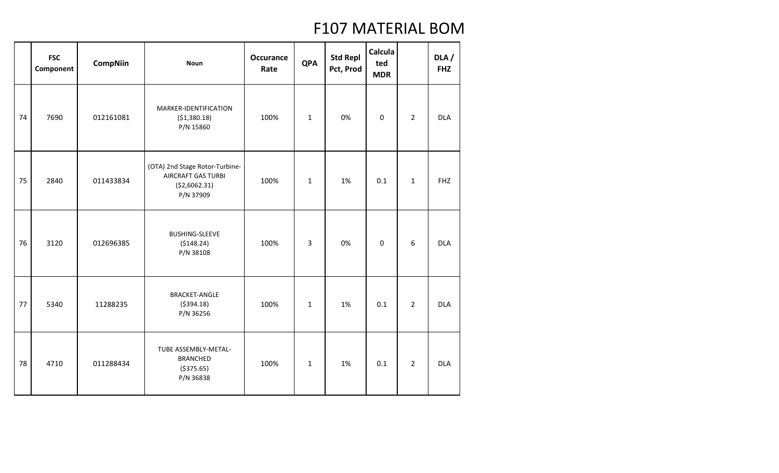|    | <b>FSC</b><br>Component | <b>CompNiin</b> | <b>Noun</b>                                                                                | Occurance<br>Rate | <b>QPA</b>   | <b>Std Repl</b><br>Pct, Prod | Calcula<br>ted<br><b>MDR</b> |                | DLA /<br><b>FHZ</b> |
|----|-------------------------|-----------------|--------------------------------------------------------------------------------------------|-------------------|--------------|------------------------------|------------------------------|----------------|---------------------|
| 74 | 7690                    | 012161081       | MARKER-IDENTIFICATION<br>( \$1,380.18)<br>P/N 15860                                        | 100%              | $\mathbf 1$  | 0%                           | $\mathbf 0$                  | $\overline{2}$ | <b>DLA</b>          |
| 75 | 2840                    | 011433834       | (OTA) 2nd Stage Rotor-Turbine-<br><b>AIRCRAFT GAS TURBI</b><br>( \$2,6062.31)<br>P/N 37909 | 100%              | $\mathbf{1}$ | 1%                           | 0.1                          | $\mathbf{1}$   | <b>FHZ</b>          |
| 76 | 3120                    | 012696385       | <b>BUSHING-SLEEVE</b><br>(5148.24)<br>P/N 38108                                            | 100%              | 3            | 0%                           | $\mathbf 0$                  | 6              | <b>DLA</b>          |
| 77 | 5340                    | 11288235        | <b>BRACKET-ANGLE</b><br>( \$394.18)<br>P/N 36256                                           | 100%              | $\mathbf 1$  | 1%                           | 0.1                          | $\overline{2}$ | <b>DLA</b>          |
| 78 | 4710                    | 011288434       | TUBE ASSEMBLY-METAL-<br><b>BRANCHED</b><br>( \$375.65)<br>P/N 36838                        | 100%              | $\mathbf{1}$ | 1%                           | 0.1                          | $\overline{2}$ | <b>DLA</b>          |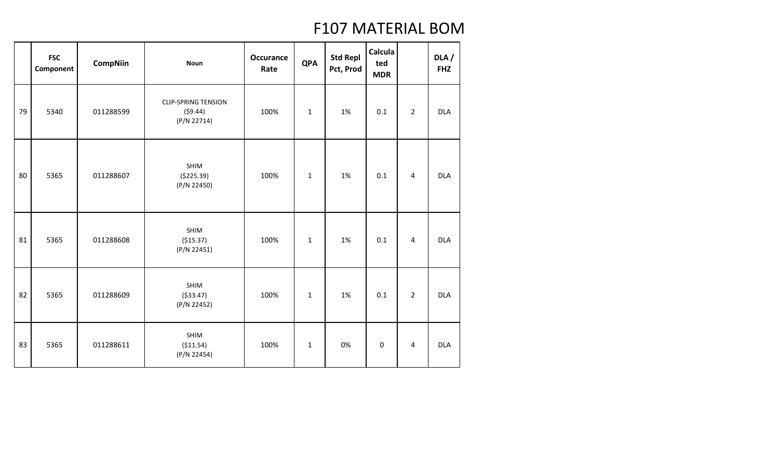|    | <b>FSC</b><br>Component | <b>CompNiin</b> | <b>Noun</b>                                          | <b>Occurance</b><br>Rate | <b>QPA</b>   | <b>Std Repl</b><br>Pct, Prod | <b>Calcula</b><br>ted<br><b>MDR</b> |                | DLA /<br><b>FHZ</b> |
|----|-------------------------|-----------------|------------------------------------------------------|--------------------------|--------------|------------------------------|-------------------------------------|----------------|---------------------|
| 79 | 5340                    | 011288599       | <b>CLIP-SPRING TENSION</b><br>(59.44)<br>(P/N 22714) | 100%                     | $\mathbf{1}$ | 1%                           | 0.1                                 | $\overline{2}$ | <b>DLA</b>          |
| 80 | 5365                    | 011288607       | SHIM<br>( \$225.39)<br>(P/N 22450)                   | 100%                     | $\mathbf 1$  | 1%                           | 0.1                                 | $\overline{4}$ | <b>DLA</b>          |
| 81 | 5365                    | 011288608       | SHIM<br>( \$15.37)<br>(P/N 22451)                    | 100%                     | $\mathbf 1$  | 1%                           | 0.1                                 | $\overline{4}$ | <b>DLA</b>          |
| 82 | 5365                    | 011288609       | SHIM<br>( \$33.47)<br>(P/N 22452)                    | 100%                     | $\mathbf 1$  | 1%                           | 0.1                                 | $\overline{2}$ | <b>DLA</b>          |
| 83 | 5365                    | 011288611       | SHIM<br>( \$11.54)<br>(P/N 22454)                    | 100%                     | $\mathbf{1}$ | 0%                           | $\boldsymbol{0}$                    | $\overline{4}$ | <b>DLA</b>          |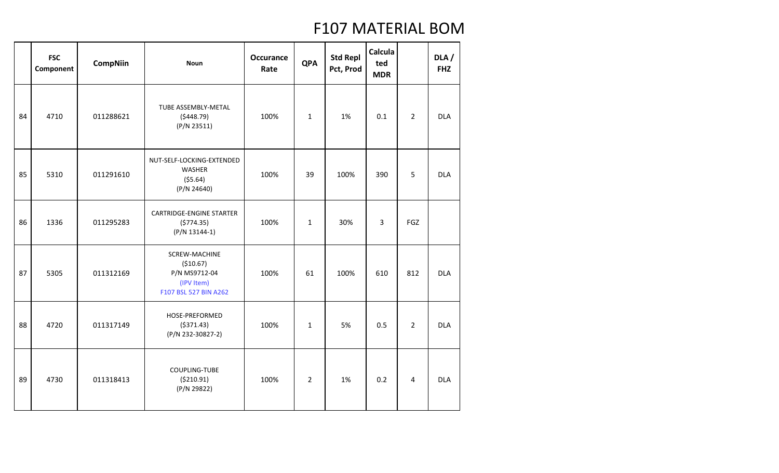|    | <b>FSC</b><br>Component | <b>CompNiin</b> | <b>Noun</b>                                                                         | <b>Occurance</b><br>Rate | <b>QPA</b>     | <b>Std Repl</b><br>Pct, Prod | Calcula<br>ted<br><b>MDR</b> |                | DLA/<br><b>FHZ</b> |
|----|-------------------------|-----------------|-------------------------------------------------------------------------------------|--------------------------|----------------|------------------------------|------------------------------|----------------|--------------------|
| 84 | 4710                    | 011288621       | TUBE ASSEMBLY-METAL<br>(5448.79)<br>(P/N 23511)                                     | 100%                     | $\mathbf{1}$   | 1%                           | 0.1                          | $\overline{2}$ | <b>DLA</b>         |
| 85 | 5310                    | 011291610       | NUT-SELF-LOCKING-EXTENDED<br>WASHER<br>(55.64)<br>(P/N 24640)                       | 100%                     | 39             | 100%                         | 390                          | 5              | <b>DLA</b>         |
| 86 | 1336                    | 011295283       | CARTRIDGE-ENGINE STARTER<br>(5774.35)<br>$(P/N 13144-1)$                            | 100%                     | $\mathbf{1}$   | 30%                          | 3                            | FGZ            |                    |
| 87 | 5305                    | 011312169       | SCREW-MACHINE<br>( \$10.67)<br>P/N MS9712-04<br>(IPV Item)<br>F107 BSL 527 BIN A262 | 100%                     | 61             | 100%                         | 610                          | 812            | <b>DLA</b>         |
| 88 | 4720                    | 011317149       | HOSE-PREFORMED<br>( \$371.43)<br>(P/N 232-30827-2)                                  | 100%                     | $\mathbf{1}$   | 5%                           | 0.5                          | $\overline{2}$ | <b>DLA</b>         |
| 89 | 4730                    | 011318413       | COUPLING-TUBE<br>( \$210.91)<br>(P/N 29822)                                         | 100%                     | $\overline{2}$ | 1%                           | 0.2                          | 4              | <b>DLA</b>         |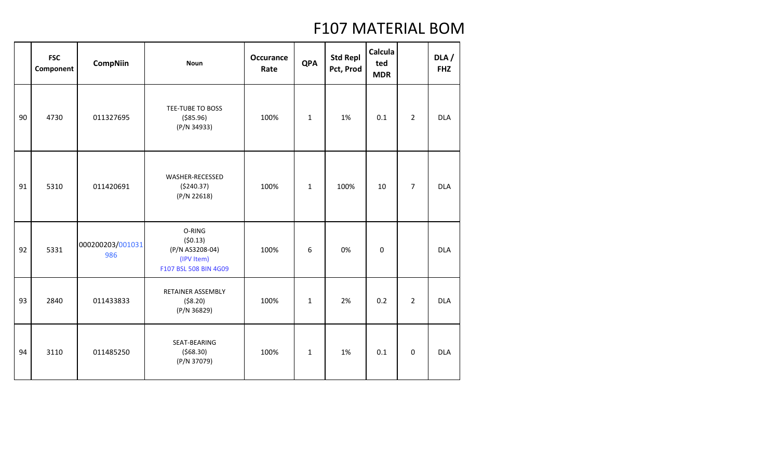|    | <b>FSC</b><br>Component | <b>CompNiin</b>         | <b>Noun</b>                                                                 | <b>Occurance</b><br>Rate | <b>QPA</b>   | <b>Std Repl</b><br>Pct, Prod | <b>Calcula</b><br>ted<br><b>MDR</b> |                | DLA/<br><b>FHZ</b> |
|----|-------------------------|-------------------------|-----------------------------------------------------------------------------|--------------------------|--------------|------------------------------|-------------------------------------|----------------|--------------------|
| 90 | 4730                    | 011327695               | TEE-TUBE TO BOSS<br>( \$85.96)<br>(P/N 34933)                               | 100%                     | $\mathbf{1}$ | 1%                           | 0.1                                 | $\overline{2}$ | <b>DLA</b>         |
| 91 | 5310                    | 011420691               | WASHER-RECESSED<br>( \$240.37)<br>(P/N 22618)                               | 100%                     | $\mathbf{1}$ | 100%                         | 10                                  | $\overline{7}$ | <b>DLA</b>         |
| 92 | 5331                    | 000200203/001031<br>986 | O-RING<br>(50.13)<br>(P/N AS3208-04)<br>(IPV Item)<br>F107 BSL 508 BIN 4G09 | 100%                     | 6            | 0%                           | $\mathbf 0$                         |                | <b>DLA</b>         |
| 93 | 2840                    | 011433833               | <b>RETAINER ASSEMBLY</b><br>( \$8.20)<br>(P/N 36829)                        | 100%                     | $\mathbf{1}$ | 2%                           | 0.2                                 | $\overline{2}$ | <b>DLA</b>         |
| 94 | 3110                    | 011485250               | SEAT-BEARING<br>(568.30)<br>(P/N 37079)                                     | 100%                     | $\mathbf{1}$ | 1%                           | 0.1                                 | $\mathbf 0$    | <b>DLA</b>         |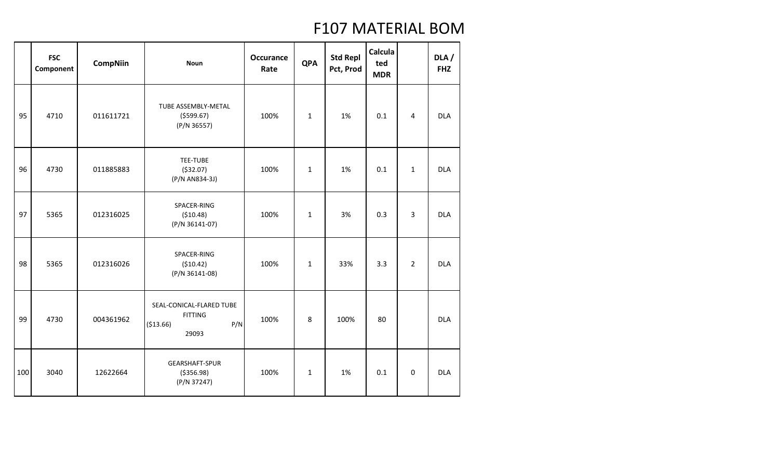|     | <b>FSC</b><br>Component | <b>CompNiin</b> | <b>Noun</b>                                                              | <b>Occurance</b><br>Rate | <b>QPA</b>   | <b>Std Repl</b><br>Pct, Prod | Calcula<br>ted<br><b>MDR</b> |                | DLA/<br><b>FHZ</b> |
|-----|-------------------------|-----------------|--------------------------------------------------------------------------|--------------------------|--------------|------------------------------|------------------------------|----------------|--------------------|
| 95  | 4710                    | 011611721       | TUBE ASSEMBLY-METAL<br>(5599.67)<br>(P/N 36557)                          | 100%                     | $\mathbf{1}$ | 1%                           | 0.1                          | $\overline{4}$ | <b>DLA</b>         |
| 96  | 4730                    | 011885883       | TEE-TUBE<br>( \$32.07)<br>(P/N AN834-3J)                                 | 100%                     | $\mathbf{1}$ | 1%                           | 0.1                          | $\mathbf{1}$   | <b>DLA</b>         |
| 97  | 5365                    | 012316025       | SPACER-RING<br>( \$10.48)<br>(P/N 36141-07)                              | 100%                     | $\mathbf{1}$ | 3%                           | 0.3                          | 3              | <b>DLA</b>         |
| 98  | 5365                    | 012316026       | SPACER-RING<br>(510.42)<br>(P/N 36141-08)                                | 100%                     | $\mathbf{1}$ | 33%                          | 3.3                          | $\overline{2}$ | <b>DLA</b>         |
| 99  | 4730                    | 004361962       | SEAL-CONICAL-FLARED TUBE<br><b>FITTING</b><br>P/N<br>( \$13.66)<br>29093 | 100%                     | 8            | 100%                         | 80                           |                | <b>DLA</b>         |
| 100 | 3040                    | 12622664        | GEARSHAFT-SPUR<br>( \$356.98)<br>(P/N 37247)                             | 100%                     | $\mathbf{1}$ | 1%                           | 0.1                          | $\mathbf 0$    | <b>DLA</b>         |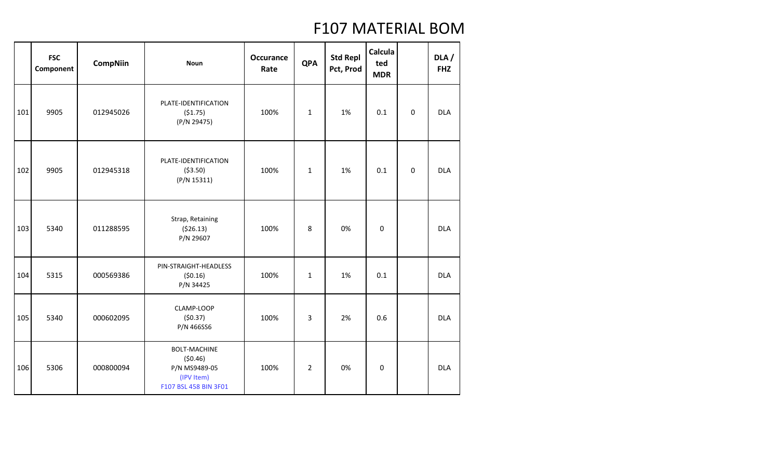|     | <b>FSC</b><br>Component | <b>CompNiin</b> | <b>Noun</b>                                                                            | <b>Occurance</b><br>Rate | <b>QPA</b>     | <b>Std Repl</b><br>Pct, Prod | Calcula<br>ted<br><b>MDR</b> |             | DLA /<br><b>FHZ</b> |
|-----|-------------------------|-----------------|----------------------------------------------------------------------------------------|--------------------------|----------------|------------------------------|------------------------------|-------------|---------------------|
| 101 | 9905                    | 012945026       | PLATE-IDENTIFICATION<br>(51.75)<br>(P/N 29475)                                         | 100%                     | $\mathbf{1}$   | 1%                           | 0.1                          | $\mathbf 0$ | <b>DLA</b>          |
| 102 | 9905                    | 012945318       | PLATE-IDENTIFICATION<br>( \$3.50)<br>(P/N 15311)                                       | 100%                     | $\mathbf{1}$   | 1%                           | 0.1                          | $\mathbf 0$ | <b>DLA</b>          |
| 103 | 5340                    | 011288595       | Strap, Retaining<br>(526.13)<br>P/N 29607                                              | 100%                     | 8              | 0%                           | $\boldsymbol{0}$             |             | <b>DLA</b>          |
| 104 | 5315                    | 000569386       | PIN-STRAIGHT-HEADLESS<br>(50.16)<br>P/N 34425                                          | 100%                     | $\mathbf 1$    | 1%                           | 0.1                          |             | <b>DLA</b>          |
| 105 | 5340                    | 000602095       | CLAMP-LOOP<br>(50.37)<br>P/N 466SS6                                                    | 100%                     | 3              | 2%                           | 0.6                          |             | <b>DLA</b>          |
| 106 | 5306                    | 000800094       | <b>BOLT-MACHINE</b><br>(50.46)<br>P/N MS9489-05<br>(IPV Item)<br>F107 BSL 458 BIN 3F01 | 100%                     | $\overline{2}$ | 0%                           | 0                            |             | <b>DLA</b>          |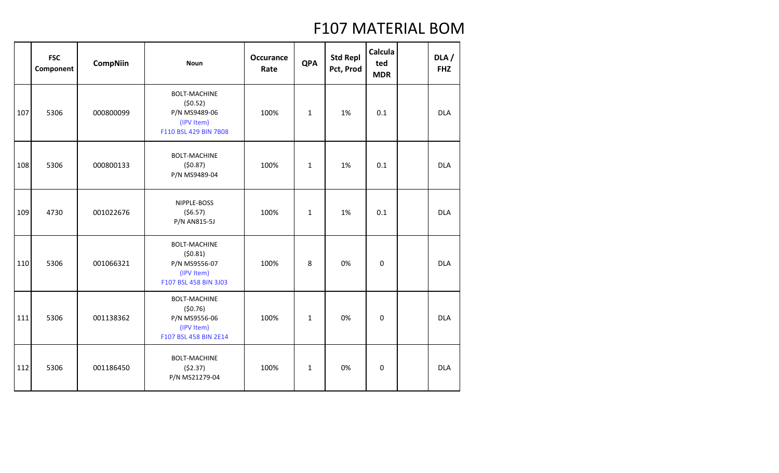|     | <b>FSC</b><br>Component | <b>CompNiin</b> | <b>Noun</b>                                                                            | <b>Occurance</b><br>Rate | <b>QPA</b>   | <b>Std Repl</b><br>Pct, Prod | Calcula<br>ted<br><b>MDR</b> | DLA/<br><b>FHZ</b> |
|-----|-------------------------|-----------------|----------------------------------------------------------------------------------------|--------------------------|--------------|------------------------------|------------------------------|--------------------|
| 107 | 5306                    | 000800099       | <b>BOLT-MACHINE</b><br>(50.52)<br>P/N MS9489-06<br>(IPV Item)<br>F110 BSL 429 BIN 7B08 | 100%                     | $\mathbf{1}$ | 1%                           | 0.1                          | <b>DLA</b>         |
| 108 | 5306                    | 000800133       | <b>BOLT-MACHINE</b><br>(50.87)<br>P/N MS9489-04                                        | 100%                     | $\mathbf{1}$ | 1%                           | 0.1                          | <b>DLA</b>         |
| 109 | 4730                    | 001022676       | NIPPLE-BOSS<br>(56.57)<br>P/N AN815-5J                                                 | 100%                     | $\mathbf{1}$ | 1%                           | 0.1                          | <b>DLA</b>         |
| 110 | 5306                    | 001066321       | <b>BOLT-MACHINE</b><br>(50.81)<br>P/N MS9556-07<br>(IPV Item)<br>F107 BSL 458 BIN 3J03 | 100%                     | 8            | 0%                           | $\mathbf 0$                  | <b>DLA</b>         |
| 111 | 5306                    | 001138362       | <b>BOLT-MACHINE</b><br>(50.76)<br>P/N MS9556-06<br>(IPV Item)<br>F107 BSL 458 BIN 2E14 | 100%                     | $\mathbf{1}$ | 0%                           | $\pmb{0}$                    | <b>DLA</b>         |
| 112 | 5306                    | 001186450       | <b>BOLT-MACHINE</b><br>(52.37)<br>P/N MS21279-04                                       | 100%                     | $\mathbf{1}$ | 0%                           | $\mathbf 0$                  | <b>DLA</b>         |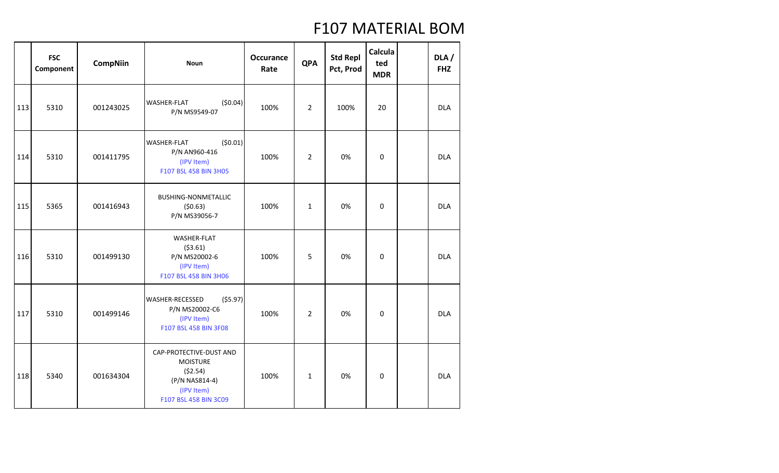|     | <b>FSC</b><br>Component | <b>CompNiin</b> | <b>Noun</b>                                                                                                    | <b>Occurance</b><br>Rate | <b>QPA</b>     | <b>Std Repl</b><br>Pct, Prod | Calcula<br>ted<br><b>MDR</b> | DLA/<br><b>FHZ</b> |
|-----|-------------------------|-----------------|----------------------------------------------------------------------------------------------------------------|--------------------------|----------------|------------------------------|------------------------------|--------------------|
| 113 | 5310                    | 001243025       | (50.04)<br><b>WASHER-FLAT</b><br>P/N MS9549-07                                                                 | 100%                     | 2              | 100%                         | 20                           | <b>DLA</b>         |
| 114 | 5310                    | 001411795       | (50.01)<br><b>WASHER-FLAT</b><br>P/N AN960-416<br>(IPV Item)<br>F107 BSL 458 BIN 3H05                          | 100%                     | $\overline{2}$ | 0%                           | 0                            | <b>DLA</b>         |
| 115 | 5365                    | 001416943       | BUSHING-NONMETALLIC<br>(50.63)<br>P/N MS39056-7                                                                | 100%                     | $\mathbf{1}$   | 0%                           | $\pmb{0}$                    | <b>DLA</b>         |
| 116 | 5310                    | 001499130       | WASHER-FLAT<br>(53.61)<br>P/N MS20002-6<br>(IPV Item)<br>F107 BSL 458 BIN 3H06                                 | 100%                     | 5              | 0%                           | $\boldsymbol{0}$             | <b>DLA</b>         |
| 117 | 5310                    | 001499146       | (55.97)<br><b>WASHER-RECESSED</b><br>P/N MS20002-C6<br>(IPV Item)<br>F107 BSL 458 BIN 3F08                     | 100%                     | $\overline{2}$ | 0%                           | $\pmb{0}$                    | <b>DLA</b>         |
| 118 | 5340                    | 001634304       | CAP-PROTECTIVE-DUST AND<br><b>MOISTURE</b><br>(52.54)<br>(P/N NAS814-4)<br>(IPV Item)<br>F107 BSL 458 BIN 3C09 | 100%                     | $\mathbf{1}$   | 0%                           | $\boldsymbol{0}$             | <b>DLA</b>         |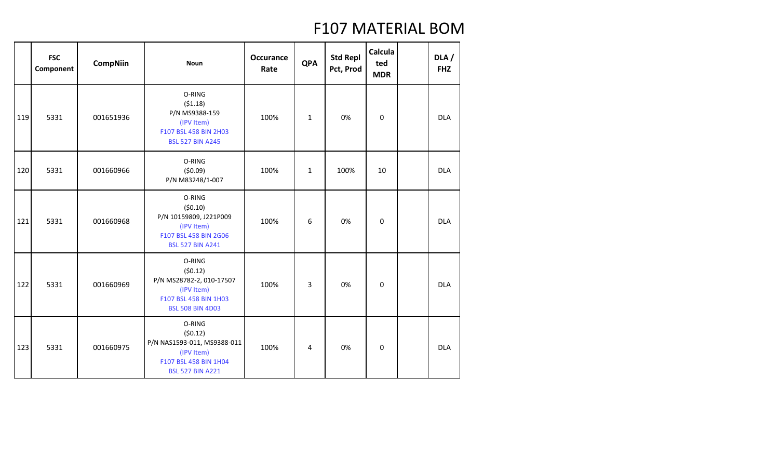|     | <b>FSC</b><br>Component | <b>CompNiin</b> | <b>Noun</b>                                                                                                        | <b>Occurance</b><br>Rate | <b>QPA</b>   | <b>Std Repl</b><br>Pct, Prod | Calcula<br>ted<br><b>MDR</b> | DLA/<br><b>FHZ</b> |
|-----|-------------------------|-----------------|--------------------------------------------------------------------------------------------------------------------|--------------------------|--------------|------------------------------|------------------------------|--------------------|
| 119 | 5331                    | 001651936       | O-RING<br>(51.18)<br>P/N MS9388-159<br>(IPV Item)<br>F107 BSL 458 BIN 2H03<br><b>BSL 527 BIN A245</b>              | 100%                     | $\mathbf{1}$ | 0%                           | 0                            | <b>DLA</b>         |
| 120 | 5331                    | 001660966       | O-RING<br>(50.09)<br>P/N M83248/1-007                                                                              | 100%                     | $\mathbf{1}$ | 100%                         | 10                           | <b>DLA</b>         |
| 121 | 5331                    | 001660968       | O-RING<br>(50.10)<br>P/N 10159809, J221P009<br>(IPV Item)<br>F107 BSL 458 BIN 2G06<br><b>BSL 527 BIN A241</b>      | 100%                     | 6            | 0%                           | 0                            | <b>DLA</b>         |
| 122 | 5331                    | 001660969       | O-RING<br>(50.12)<br>P/N MS28782-2, 010-17507<br>(IPV Item)<br>F107 BSL 458 BIN 1H03<br><b>BSL 508 BIN 4D03</b>    | 100%                     | 3            | 0%                           | 0                            | <b>DLA</b>         |
| 123 | 5331                    | 001660975       | O-RING<br>(50.12)<br>P/N NAS1593-011, MS9388-011<br>(IPV Item)<br>F107 BSL 458 BIN 1H04<br><b>BSL 527 BIN A221</b> | 100%                     | 4            | 0%                           | $\mathbf 0$                  | <b>DLA</b>         |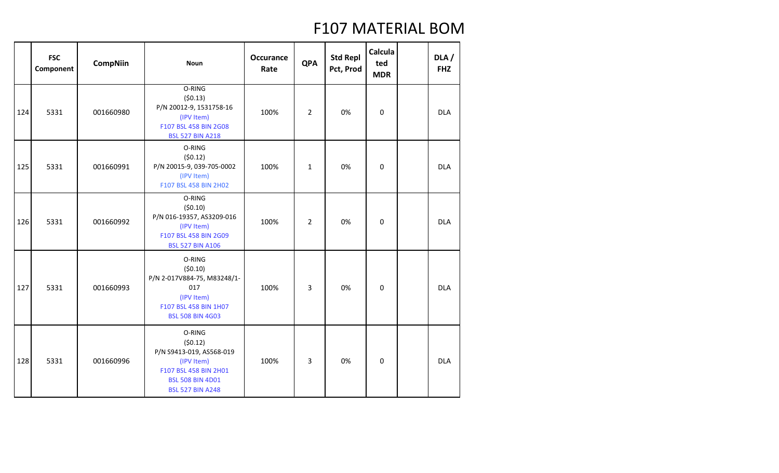|     | <b>FSC</b><br>Component | <b>CompNiin</b> | <b>Noun</b>                                                                                                                                | Occurance<br>Rate | <b>QPA</b>     | <b>Std Repl</b><br>Pct, Prod | Calcula<br>ted<br><b>MDR</b> | DLA/<br><b>FHZ</b> |
|-----|-------------------------|-----------------|--------------------------------------------------------------------------------------------------------------------------------------------|-------------------|----------------|------------------------------|------------------------------|--------------------|
| 124 | 5331                    | 001660980       | O-RING<br>(50.13)<br>P/N 20012-9, 1531758-16<br>(IPV Item)<br>F107 BSL 458 BIN 2G08<br><b>BSL 527 BIN A218</b>                             | 100%              | 2              | 0%                           | 0                            | <b>DLA</b>         |
| 125 | 5331                    | 001660991       | O-RING<br>(50.12)<br>P/N 20015-9, 039-705-0002<br>(IPV Item)<br>F107 BSL 458 BIN 2H02                                                      | 100%              | $\mathbf{1}$   | 0%                           | $\boldsymbol{0}$             | <b>DLA</b>         |
| 126 | 5331                    | 001660992       | O-RING<br>(50.10)<br>P/N 016-19357, AS3209-016<br>(IPV Item)<br>F107 BSL 458 BIN 2G09<br><b>BSL 527 BIN A106</b>                           | 100%              | $\overline{2}$ | 0%                           | 0                            | <b>DLA</b>         |
| 127 | 5331                    | 001660993       | O-RING<br>(50.10)<br>P/N 2-017V884-75, M83248/1-<br>017<br>(IPV Item)<br>F107 BSL 458 BIN 1H07<br><b>BSL 508 BIN 4G03</b>                  | 100%              | 3              | 0%                           | $\mathbf 0$                  | <b>DLA</b>         |
| 128 | 5331                    | 001660996       | O-RING<br>(50.12)<br>P/N S9413-019, AS568-019<br>(IPV Item)<br>F107 BSL 458 BIN 2H01<br><b>BSL 508 BIN 4D01</b><br><b>BSL 527 BIN A248</b> | 100%              | 3              | 0%                           | $\mathbf 0$                  | <b>DLA</b>         |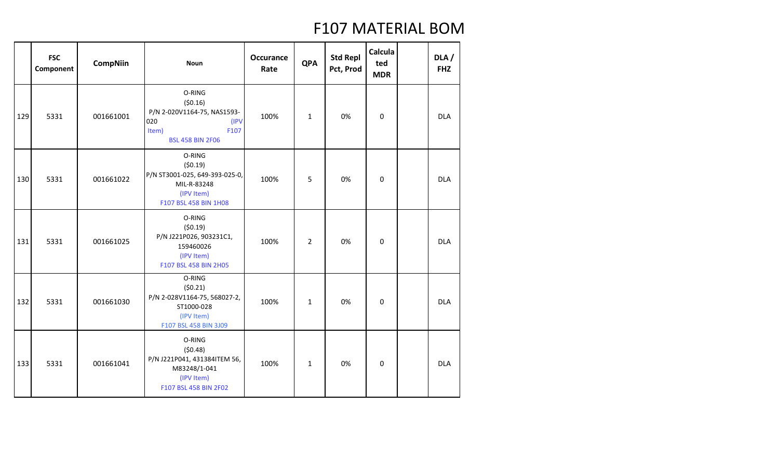|     | <b>FSC</b><br>Component | <b>CompNiin</b> | <b>Noun</b>                                                                                                 | <b>Occurance</b><br>Rate | <b>QPA</b>     | <b>Std Repl</b><br>Pct, Prod | Calcula<br>ted<br><b>MDR</b> | DLA/<br><b>FHZ</b> |
|-----|-------------------------|-----------------|-------------------------------------------------------------------------------------------------------------|--------------------------|----------------|------------------------------|------------------------------|--------------------|
| 129 | 5331                    | 001661001       | O-RING<br>(50.16)<br>P/N 2-020V1164-75, NAS1593-<br>020<br>(IPV<br>F107<br>Item)<br><b>BSL 458 BIN 2F06</b> | 100%                     | $\mathbf{1}$   | 0%                           | $\mathbf 0$                  | <b>DLA</b>         |
| 130 | 5331                    | 001661022       | O-RING<br>(50.19)<br>P/N ST3001-025, 649-393-025-0,<br>MIL-R-83248<br>(IPV Item)<br>F107 BSL 458 BIN 1H08   | 100%                     | 5              | 0%                           | $\boldsymbol{0}$             | <b>DLA</b>         |
| 131 | 5331                    | 001661025       | O-RING<br>(50.19)<br>P/N J221P026, 903231C1,<br>159460026<br>(IPV Item)<br>F107 BSL 458 BIN 2H05            | 100%                     | $\overline{2}$ | 0%                           | $\mathbf 0$                  | <b>DLA</b>         |
| 132 | 5331                    | 001661030       | O-RING<br>(50.21)<br>P/N 2-028V1164-75, 568027-2,<br>ST1000-028<br>(IPV Item)<br>F107 BSL 458 BIN 3J09      | 100%                     | $\mathbf{1}$   | 0%                           | 0                            | <b>DLA</b>         |
| 133 | 5331                    | 001661041       | O-RING<br>(50.48)<br>P/N J221P041, 431384ITEM 56,<br>M83248/1-041<br>(IPV Item)<br>F107 BSL 458 BIN 2F02    | 100%                     | $\mathbf{1}$   | 0%                           | $\mathbf 0$                  | <b>DLA</b>         |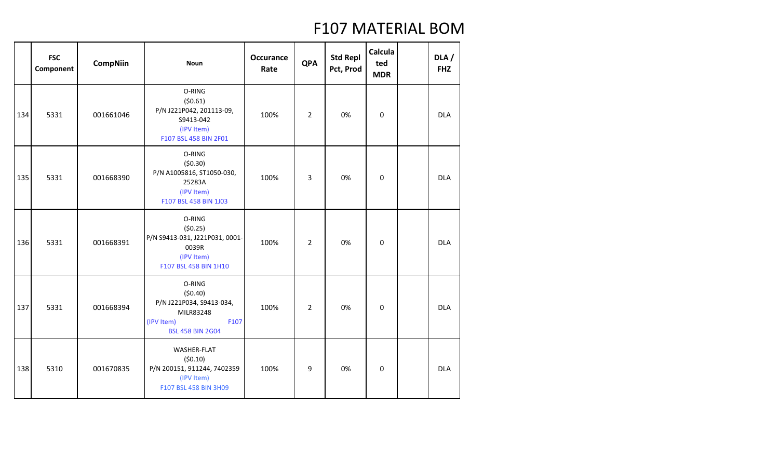|     | <b>FSC</b><br>Component | <b>CompNiin</b> | <b>Noun</b>                                                                                                 | <b>Occurance</b><br>Rate | <b>QPA</b>     | <b>Std Repl</b><br>Pct, Prod | <b>Calcula</b><br>ted<br><b>MDR</b> | DLA/<br><b>FHZ</b> |
|-----|-------------------------|-----------------|-------------------------------------------------------------------------------------------------------------|--------------------------|----------------|------------------------------|-------------------------------------|--------------------|
| 134 | 5331                    | 001661046       | O-RING<br>(50.61)<br>P/N J221P042, 201113-09,<br>S9413-042<br>(IPV Item)<br>F107 BSL 458 BIN 2F01           | 100%                     | $\overline{2}$ | 0%                           | 0                                   | <b>DLA</b>         |
| 135 | 5331                    | 001668390       | O-RING<br>(50.30)<br>P/N A1005816, ST1050-030,<br>25283A<br>(IPV Item)<br>F107 BSL 458 BIN 1J03             | 100%                     | 3              | 0%                           | 0                                   | <b>DLA</b>         |
| 136 | 5331                    | 001668391       | O-RING<br>(50.25)<br>P/N S9413-031, J221P031, 0001-<br>0039R<br>(IPV Item)<br>F107 BSL 458 BIN 1H10         | 100%                     | $\overline{2}$ | 0%                           | $\mathbf 0$                         | <b>DLA</b>         |
| 137 | 5331                    | 001668394       | O-RING<br>(50.40)<br>P/N J221P034, S9413-034,<br>MILR83248<br>(IPV Item)<br>F107<br><b>BSL 458 BIN 2G04</b> | 100%                     | $\overline{2}$ | 0%                           | $\mathbf 0$                         | <b>DLA</b>         |
| 138 | 5310                    | 001670835       | WASHER-FLAT<br>(50.10)<br>P/N 200151, 911244, 7402359<br>(IPV Item)<br>F107 BSL 458 BIN 3H09                | 100%                     | 9              | 0%                           | $\mathbf 0$                         | <b>DLA</b>         |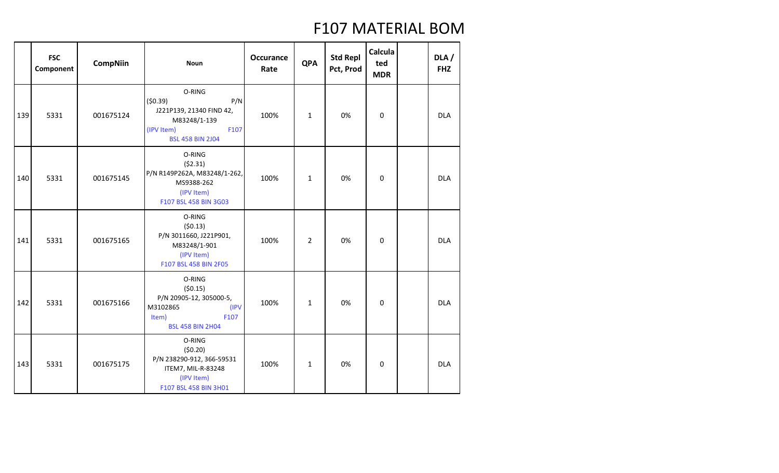|     | <b>FSC</b><br>Component | <b>CompNiin</b> | <b>Noun</b>                                                                                                           | <b>Occurance</b><br>Rate | <b>QPA</b>     | <b>Std Repl</b><br>Pct, Prod | Calcula<br>ted<br><b>MDR</b> | DLA/<br><b>FHZ</b> |
|-----|-------------------------|-----------------|-----------------------------------------------------------------------------------------------------------------------|--------------------------|----------------|------------------------------|------------------------------|--------------------|
| 139 | 5331                    | 001675124       | O-RING<br>(50.39)<br>P/N<br>J221P139, 21340 FIND 42,<br>M83248/1-139<br>(IPV Item)<br>F107<br><b>BSL 458 BIN 2J04</b> | 100%                     | $\mathbf{1}$   | 0%                           | $\mathbf 0$                  | <b>DLA</b>         |
| 140 | 5331                    | 001675145       | O-RING<br>(52.31)<br>P/N R149P262A, M83248/1-262,<br>MS9388-262<br>(IPV Item)<br>F107 BSL 458 BIN 3G03                | 100%                     | $\mathbf{1}$   | 0%                           | $\mathbf 0$                  | <b>DLA</b>         |
| 141 | 5331                    | 001675165       | O-RING<br>(50.13)<br>P/N 3011660, J221P901,<br>M83248/1-901<br>(IPV Item)<br>F107 BSL 458 BIN 2F05                    | 100%                     | $\overline{2}$ | 0%                           | 0                            | <b>DLA</b>         |
| 142 | 5331                    | 001675166       | O-RING<br>(50.15)<br>P/N 20905-12, 305000-5,<br>M3102865<br>(IPV<br>F107<br>Item)<br><b>BSL 458 BIN 2H04</b>          | 100%                     | $\mathbf{1}$   | 0%                           | $\boldsymbol{0}$             | <b>DLA</b>         |
| 143 | 5331                    | 001675175       | O-RING<br>(50.20)<br>P/N 238290-912, 366-59531<br>ITEM7, MIL-R-83248<br>(IPV Item)<br>F107 BSL 458 BIN 3H01           | 100%                     | $\mathbf{1}$   | 0%                           | $\mathbf 0$                  | <b>DLA</b>         |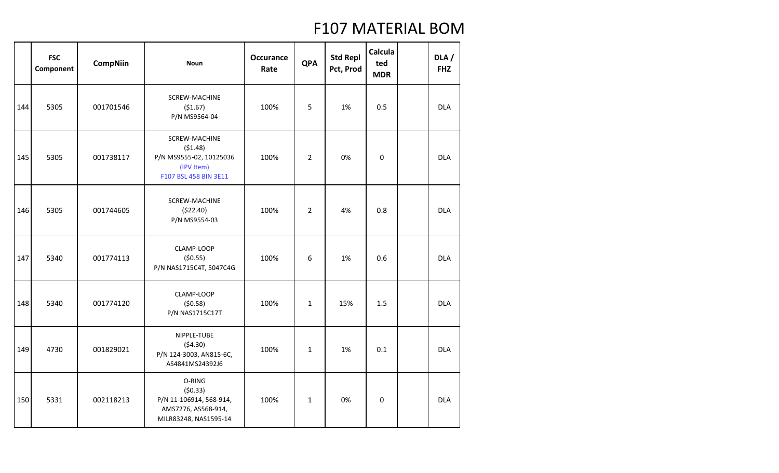|     | <b>FSC</b><br>Component | <b>CompNiin</b> | <b>Noun</b>                                                                                       | <b>Occurance</b><br>Rate | <b>QPA</b>     | <b>Std Repl</b><br>Pct, Prod | Calcula<br>ted<br><b>MDR</b> | DLA/<br><b>FHZ</b> |
|-----|-------------------------|-----------------|---------------------------------------------------------------------------------------------------|--------------------------|----------------|------------------------------|------------------------------|--------------------|
| 144 | 5305                    | 001701546       | <b>SCREW-MACHINE</b><br>(\$1.67)<br>P/N MS9564-04                                                 | 100%                     | 5              | 1%                           | 0.5                          | <b>DLA</b>         |
| 145 | 5305                    | 001738117       | <b>SCREW-MACHINE</b><br>(51.48)<br>P/N MS9555-02, 10125036<br>(IPV Item)<br>F107 BSL 458 BIN 3E11 | 100%                     | $\overline{2}$ | 0%                           | $\boldsymbol{0}$             | <b>DLA</b>         |
| 146 | 5305                    | 001744605       | <b>SCREW-MACHINE</b><br>(\$22.40)<br>P/N MS9554-03                                                | 100%                     | $\overline{2}$ | 4%                           | 0.8                          | <b>DLA</b>         |
| 147 | 5340                    | 001774113       | CLAMP-LOOP<br>(50.55)<br>P/N NAS1715C4T, 5047C4G                                                  | 100%                     | 6              | 1%                           | 0.6                          | <b>DLA</b>         |
| 148 | 5340                    | 001774120       | CLAMP-LOOP<br>(50.58)<br>P/N NAS1715C17T                                                          | 100%                     | $\mathbf{1}$   | 15%                          | 1.5                          | <b>DLA</b>         |
| 149 | 4730                    | 001829021       | NIPPLE-TUBE<br>(54.30)<br>P/N 124-3003, AN815-6C,<br>AS4841MS24392J6                              | 100%                     | $\mathbf{1}$   | 1%                           | 0.1                          | <b>DLA</b>         |
| 150 | 5331                    | 002118213       | O-RING<br>(50.33)<br>P/N 11-106914, 568-914,<br>AMS7276, AS568-914,<br>MILR83248, NAS1595-14      | 100%                     | $\mathbf{1}$   | 0%                           | 0                            | <b>DLA</b>         |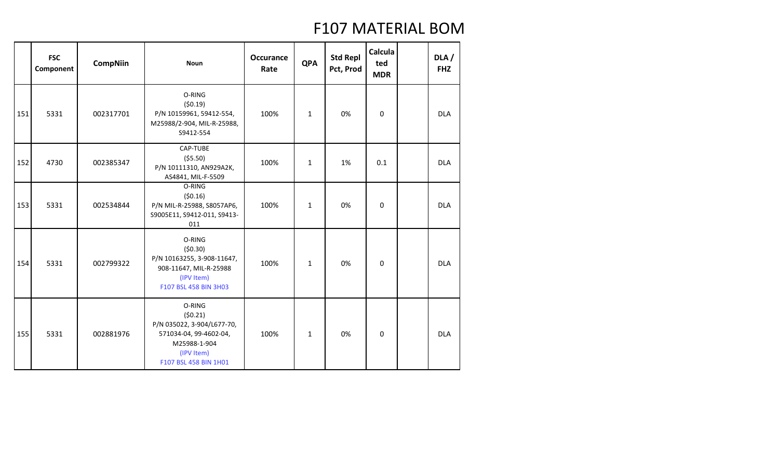|     | <b>FSC</b><br>Component | <b>CompNiin</b> | <b>Noun</b>                                                                                                                      | <b>Occurance</b><br>Rate | <b>QPA</b>   | <b>Std Repl</b><br>Pct, Prod | Calcula<br>ted<br><b>MDR</b> | DLA/<br><b>FHZ</b> |
|-----|-------------------------|-----------------|----------------------------------------------------------------------------------------------------------------------------------|--------------------------|--------------|------------------------------|------------------------------|--------------------|
| 151 | 5331                    | 002317701       | O-RING<br>(50.19)<br>P/N 10159961, 59412-554,<br>M25988/2-904, MIL-R-25988,<br>S9412-554                                         | 100%                     | $\mathbf{1}$ | 0%                           | $\Omega$                     | <b>DLA</b>         |
| 152 | 4730                    | 002385347       | CAP-TUBE<br>(55.50)<br>P/N 10111310, AN929A2K,<br>AS4841, MIL-F-5509                                                             | 100%                     | $\mathbf{1}$ | 1%                           | 0.1                          | <b>DLA</b>         |
| 153 | 5331                    | 002534844       | O-RING<br>(50.16)<br>P/N MIL-R-25988, S8057AP6,<br>S9005E11, S9412-011, S9413-<br>011                                            | 100%                     | $\mathbf{1}$ | 0%                           | 0                            | <b>DLA</b>         |
| 154 | 5331                    | 002799322       | O-RING<br>(50.30)<br>P/N 10163255, 3-908-11647,<br>908-11647, MIL-R-25988<br>(IPV Item)<br>F107 BSL 458 BIN 3H03                 | 100%                     | $\mathbf{1}$ | 0%                           | $\mathbf 0$                  | <b>DLA</b>         |
| 155 | 5331                    | 002881976       | O-RING<br>(50.21)<br>P/N 035022, 3-904/L677-70,<br>571034-04, 99-4602-04,<br>M25988-1-904<br>(IPV Item)<br>F107 BSL 458 BIN 1H01 | 100%                     | $\mathbf{1}$ | 0%                           | $\mathbf 0$                  | <b>DLA</b>         |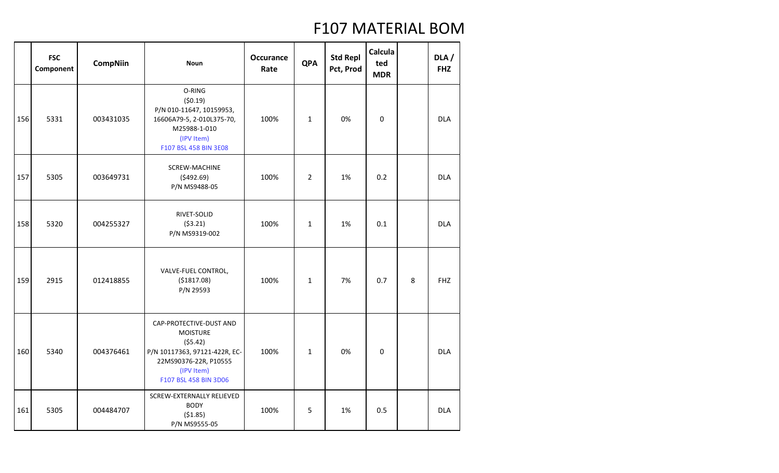|     | <b>FSC</b><br>Component | <b>CompNiin</b> | <b>Noun</b>                                                                                                                                            | <b>Occurance</b><br>Rate | <b>QPA</b>     | <b>Std Repl</b><br>Pct, Prod | Calcula<br>ted<br><b>MDR</b> |   | DLA /<br><b>FHZ</b> |
|-----|-------------------------|-----------------|--------------------------------------------------------------------------------------------------------------------------------------------------------|--------------------------|----------------|------------------------------|------------------------------|---|---------------------|
| 156 | 5331                    | 003431035       | O-RING<br>(50.19)<br>P/N 010-11647, 10159953,<br>16606A79-5, 2-010L375-70,<br>M25988-1-010<br>(IPV Item)<br>F107 BSL 458 BIN 3E08                      | 100%                     | $\mathbf{1}$   | 0%                           | $\mathbf 0$                  |   | <b>DLA</b>          |
| 157 | 5305                    | 003649731       | <b>SCREW-MACHINE</b><br>(5492.69)<br>P/N MS9488-05                                                                                                     | 100%                     | $\overline{2}$ | 1%                           | 0.2                          |   | <b>DLA</b>          |
| 158 | 5320                    | 004255327       | RIVET-SOLID<br>(53.21)<br>P/N MS9319-002                                                                                                               | 100%                     | $\mathbf{1}$   | 1%                           | 0.1                          |   | <b>DLA</b>          |
| 159 | 2915                    | 012418855       | VALVE-FUEL CONTROL,<br>( \$1817.08)<br>P/N 29593                                                                                                       | 100%                     | $\mathbf{1}$   | 7%                           | 0.7                          | 8 | <b>FHZ</b>          |
| 160 | 5340                    | 004376461       | CAP-PROTECTIVE-DUST AND<br><b>MOISTURE</b><br>(55.42)<br>P/N 10117363, 97121-422R, EC-<br>22MS90376-22R, P10555<br>(IPV Item)<br>F107 BSL 458 BIN 3D06 | 100%                     | $\mathbf{1}$   | 0%                           | $\mathbf 0$                  |   | <b>DLA</b>          |
| 161 | 5305                    | 004484707       | SCREW-EXTERNALLY RELIEVED<br><b>BODY</b><br>(51.85)<br>P/N MS9555-05                                                                                   | 100%                     | 5              | 1%                           | 0.5                          |   | <b>DLA</b>          |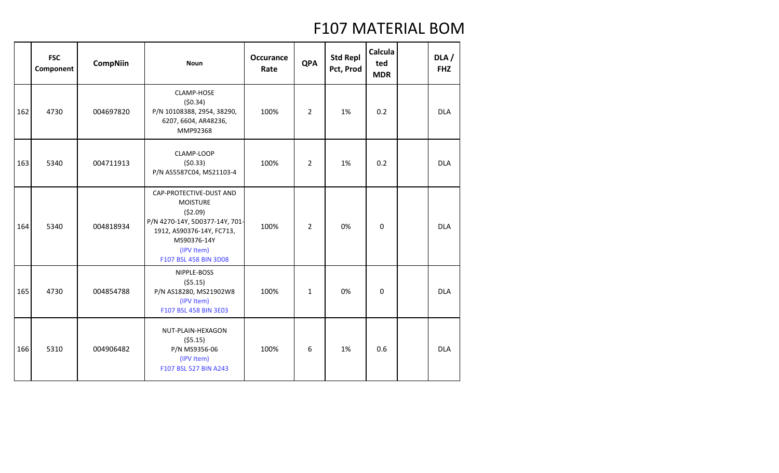|     | <b>FSC</b><br>Component | <b>CompNiin</b> | <b>Noun</b>                                                                                                                                                                | <b>Occurance</b><br>Rate | <b>QPA</b>     | <b>Std Repl</b><br>Pct, Prod | Calcula<br>ted<br><b>MDR</b> | DLA/<br><b>FHZ</b> |
|-----|-------------------------|-----------------|----------------------------------------------------------------------------------------------------------------------------------------------------------------------------|--------------------------|----------------|------------------------------|------------------------------|--------------------|
| 162 | 4730                    | 004697820       | <b>CLAMP-HOSE</b><br>(50.34)<br>P/N 10108388, 2954, 38290,<br>6207, 6604, AR48236,<br>MMP92368                                                                             | 100%                     | $\overline{2}$ | 1%                           | 0.2                          | <b>DLA</b>         |
| 163 | 5340                    | 004711913       | CLAMP-LOOP<br>(50.33)<br>P/N AS5587C04, MS21103-4                                                                                                                          | 100%                     | $\overline{2}$ | 1%                           | 0.2                          | <b>DLA</b>         |
| 164 | 5340                    | 004818934       | CAP-PROTECTIVE-DUST AND<br><b>MOISTURE</b><br>(52.09)<br>P/N 4270-14Y, 5D0377-14Y, 701-<br>1912, AS90376-14Y, FC713,<br>MS90376-14Y<br>(IPV Item)<br>F107 BSL 458 BIN 3D08 | 100%                     | $\overline{2}$ | 0%                           | 0                            | <b>DLA</b>         |
| 165 | 4730                    | 004854788       | NIPPLE-BOSS<br>(55.15)<br>P/N AS18280, MS21902W8<br>(IPV Item)<br>F107 BSL 458 BIN 3E03                                                                                    | 100%                     | $\mathbf{1}$   | 0%                           | 0                            | <b>DLA</b>         |
| 166 | 5310                    | 004906482       | NUT-PLAIN-HEXAGON<br>(55.15)<br>P/N MS9356-06<br>(IPV Item)<br>F107 BSL 527 BIN A243                                                                                       | 100%                     | 6              | 1%                           | 0.6                          | <b>DLA</b>         |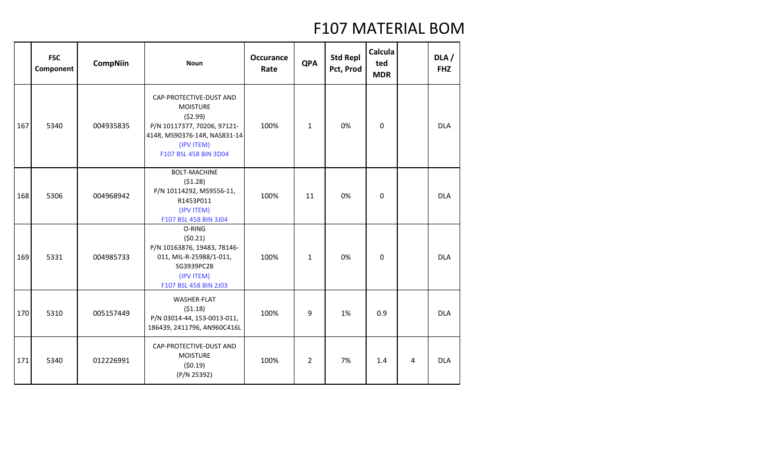|     | <b>FSC</b><br>Component | <b>CompNiin</b> | <b>Noun</b>                                                                                                                                                 | <b>Occurance</b><br>Rate | <b>QPA</b>     | <b>Std Repl</b><br>Pct, Prod | Calcula<br>ted<br><b>MDR</b> |   | DLA/<br><b>FHZ</b> |
|-----|-------------------------|-----------------|-------------------------------------------------------------------------------------------------------------------------------------------------------------|--------------------------|----------------|------------------------------|------------------------------|---|--------------------|
| 167 | 5340                    | 004935835       | CAP-PROTECTIVE-DUST AND<br><b>MOISTURE</b><br>(52.99)<br>P/N 10117377, 70206, 97121-<br>414R, MS90376-14R, NAS831-14<br>(IPV ITEM)<br>F107 BSL 458 BIN 3D04 | 100%                     | $\mathbf{1}$   | 0%                           | $\Omega$                     |   | <b>DLA</b>         |
| 168 | 5306                    | 004968942       | <b>BOLT-MACHINE</b><br>(51.28)<br>P/N 10114292, MS9556-11,<br>R1453P011<br>(IPV ITEM)<br>F107 BSL 458 BIN 3J04                                              | 100%                     | 11             | 0%                           | 0                            |   | <b>DLA</b>         |
| 169 | 5331                    | 004985733       | O-RING<br>(50.21)<br>P/N 10163876, 19483, 78146-<br>011, MIL-R-25988/1-011,<br>SG3939PC28<br>(IPV ITEM)<br>F107 BSL 458 BIN 2J03                            | 100%                     | $\mathbf{1}$   | 0%                           | $\Omega$                     |   | <b>DLA</b>         |
| 170 | 5310                    | 005157449       | <b>WASHER-FLAT</b><br>(51.18)<br>P/N 03014-44, 153-0013-011,<br>186439, 2411796, AN960C416L                                                                 | 100%                     | 9              | 1%                           | 0.9                          |   | <b>DLA</b>         |
| 171 | 5340                    | 012226991       | CAP-PROTECTIVE-DUST AND<br><b>MOISTURE</b><br>(50.19)<br>(P/N 25392)                                                                                        | 100%                     | $\overline{2}$ | 7%                           | 1.4                          | 4 | <b>DLA</b>         |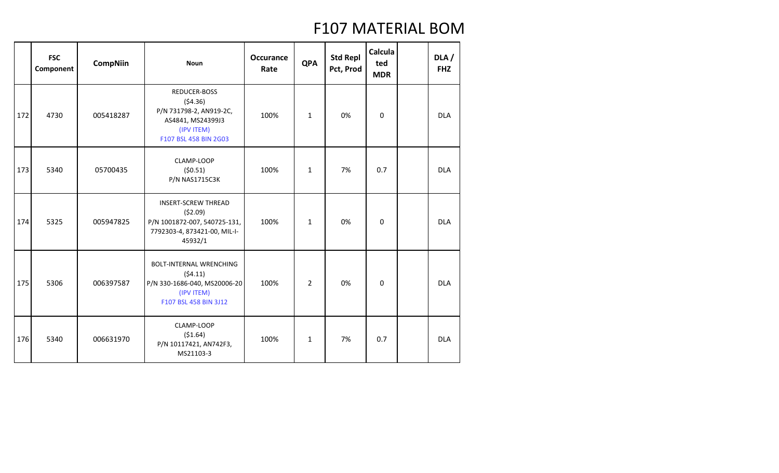|     | <b>FSC</b><br>Component | <b>CompNiin</b> | <b>Noun</b>                                                                                                      | <b>Occurance</b><br>Rate | <b>QPA</b>     | <b>Std Repl</b><br>Pct, Prod | Calcula<br>ted<br><b>MDR</b> | DLA/<br><b>FHZ</b> |
|-----|-------------------------|-----------------|------------------------------------------------------------------------------------------------------------------|--------------------------|----------------|------------------------------|------------------------------|--------------------|
| 172 | 4730                    | 005418287       | REDUCER-BOSS<br>(54.36)<br>P/N 731798-2, AN919-2C,<br>AS4841, MS24399J3<br>(IPV ITEM)<br>F107 BSL 458 BIN 2G03   | 100%                     | $\mathbf{1}$   | 0%                           | $\mathbf 0$                  | <b>DLA</b>         |
| 173 | 5340                    | 05700435        | CLAMP-LOOP<br>(50.51)<br><b>P/N NAS1715C3K</b>                                                                   | 100%                     | $\mathbf{1}$   | 7%                           | 0.7                          | <b>DLA</b>         |
| 174 | 5325                    | 005947825       | <b>INSERT-SCREW THREAD</b><br>(52.09)<br>P/N 1001872-007, 540725-131,<br>7792303-4, 873421-00, MIL-I-<br>45932/1 | 100%                     | $\mathbf{1}$   | 0%                           | $\pmb{0}$                    | <b>DLA</b>         |
| 175 | 5306                    | 006397587       | <b>BOLT-INTERNAL WRENCHING</b><br>(54.11)<br>P/N 330-1686-040, MS20006-20<br>(IPV ITEM)<br>F107 BSL 458 BIN 3J12 | 100%                     | $\overline{2}$ | 0%                           | $\mathbf 0$                  | <b>DLA</b>         |
| 176 | 5340                    | 006631970       | CLAMP-LOOP<br>( \$1.64)<br>P/N 10117421, AN742F3,<br>MS21103-3                                                   | 100%                     | $\mathbf{1}$   | 7%                           | 0.7                          | <b>DLA</b>         |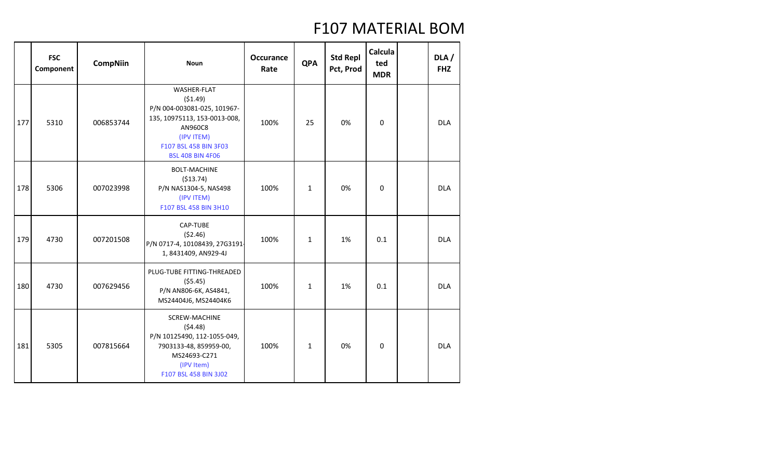|     | <b>FSC</b><br>Component | <b>CompNiin</b> | <b>Noun</b>                                                                                                                                                               | <b>Occurance</b><br>Rate | <b>QPA</b>   | <b>Std Repl</b><br>Pct, Prod | Calcula<br>ted<br><b>MDR</b> | DLA /<br><b>FHZ</b> |
|-----|-------------------------|-----------------|---------------------------------------------------------------------------------------------------------------------------------------------------------------------------|--------------------------|--------------|------------------------------|------------------------------|---------------------|
| 177 | 5310                    | 006853744       | <b>WASHER-FLAT</b><br>(51.49)<br>P/N 004-003081-025, 101967-<br>135, 10975113, 153-0013-008,<br>AN960C8<br>(IPV ITEM)<br>F107 BSL 458 BIN 3F03<br><b>BSL 408 BIN 4F06</b> | 100%                     | 25           | 0%                           | 0                            | <b>DLA</b>          |
| 178 | 5306                    | 007023998       | <b>BOLT-MACHINE</b><br>(513.74)<br>P/N NAS1304-5, NAS498<br>(IPV ITEM)<br>F107 BSL 458 BIN 3H10                                                                           | 100%                     | $\mathbf{1}$ | 0%                           | 0                            | <b>DLA</b>          |
| 179 | 4730                    | 007201508       | CAP-TUBE<br>(52.46)<br>P/N 0717-4, 10108439, 27G3191<br>1,8431409, AN929-4J                                                                                               | 100%                     | $\mathbf{1}$ | 1%                           | 0.1                          | <b>DLA</b>          |
| 180 | 4730                    | 007629456       | PLUG-TUBE FITTING-THREADED<br>(55.45)<br>P/N AN806-6K, AS4841,<br>MS24404J6, MS24404K6                                                                                    | 100%                     | $\mathbf{1}$ | 1%                           | 0.1                          | <b>DLA</b>          |
| 181 | 5305                    | 007815664       | <b>SCREW-MACHINE</b><br>(54.48)<br>P/N 10125490, 112-1055-049,<br>7903133-48, 859959-00,<br>MS24693-C271<br>(IPV Item)<br>F107 BSL 458 BIN 3J02                           | 100%                     | $\mathbf{1}$ | 0%                           | 0                            | <b>DLA</b>          |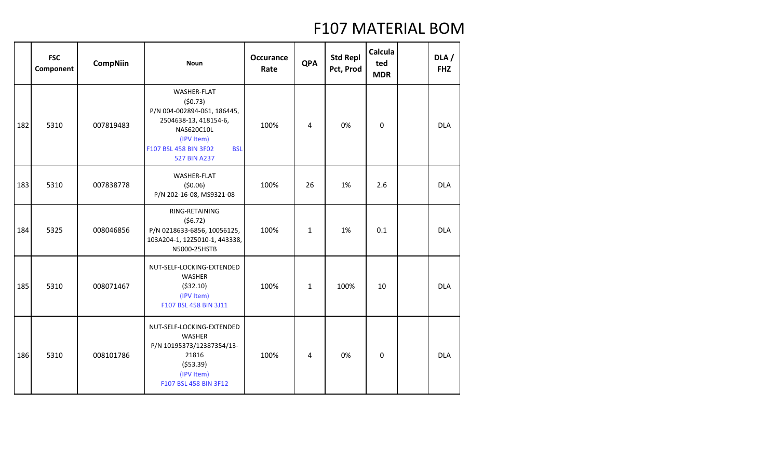|     | <b>FSC</b><br>Component | <b>CompNiin</b> | <b>Noun</b>                                                                                                                                                              | <b>Occurance</b><br>Rate | <b>QPA</b>   | <b>Std Repl</b><br>Pct, Prod | Calcula<br>ted<br><b>MDR</b> | DLA/<br><b>FHZ</b> |
|-----|-------------------------|-----------------|--------------------------------------------------------------------------------------------------------------------------------------------------------------------------|--------------------------|--------------|------------------------------|------------------------------|--------------------|
| 182 | 5310                    | 007819483       | <b>WASHER-FLAT</b><br>(50.73)<br>P/N 004-002894-061, 186445,<br>2504638-13, 418154-6,<br>NAS620C10L<br>(IPV Item)<br>F107 BSL 458 BIN 3F02<br><b>BSL</b><br>527 BIN A237 | 100%                     | 4            | 0%                           | $\mathbf 0$                  | <b>DLA</b>         |
| 183 | 5310                    | 007838778       | WASHER-FLAT<br>(50.06)<br>P/N 202-16-08, MS9321-08                                                                                                                       | 100%                     | 26           | 1%                           | 2.6                          | <b>DLA</b>         |
| 184 | 5325                    | 008046856       | RING-RETAINING<br>(56.72)<br>P/N 0218633-6856, 10056125,<br>103A204-1, 12Z5010-1, 443338,<br>N5000-25HSTB                                                                | 100%                     | $\mathbf{1}$ | 1%                           | 0.1                          | <b>DLA</b>         |
| 185 | 5310                    | 008071467       | NUT-SELF-LOCKING-EXTENDED<br><b>WASHER</b><br>( \$32.10)<br>(IPV Item)<br>F107 BSL 458 BIN 3J11                                                                          | 100%                     | $\mathbf{1}$ | 100%                         | 10                           | <b>DLA</b>         |
| 186 | 5310                    | 008101786       | NUT-SELF-LOCKING-EXTENDED<br><b>WASHER</b><br>P/N 10195373/12387354/13-<br>21816<br>( \$53.39)<br>(IPV Item)<br>F107 BSL 458 BIN 3F12                                    | 100%                     | 4            | 0%                           | $\pmb{0}$                    | <b>DLA</b>         |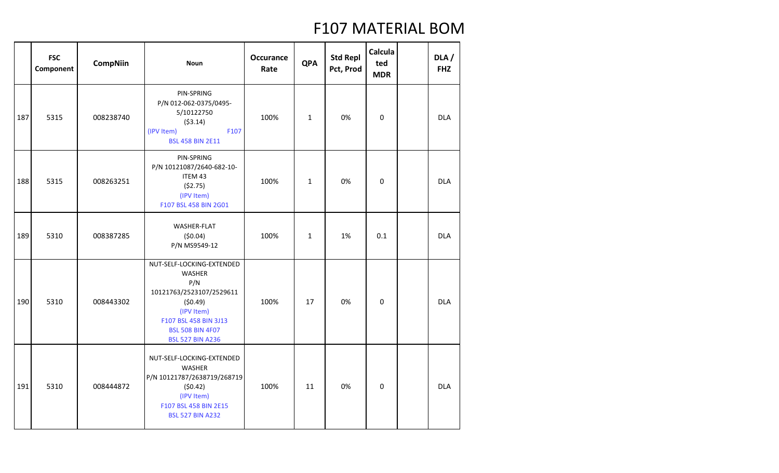|     | <b>FSC</b><br>Component | <b>CompNiin</b> | <b>Noun</b>                                                                                                                                                                           | <b>Occurance</b><br>Rate | <b>QPA</b>   | <b>Std Repl</b><br>Pct, Prod | Calcula<br>ted<br><b>MDR</b> | DLA/<br><b>FHZ</b> |
|-----|-------------------------|-----------------|---------------------------------------------------------------------------------------------------------------------------------------------------------------------------------------|--------------------------|--------------|------------------------------|------------------------------|--------------------|
| 187 | 5315                    | 008238740       | PIN-SPRING<br>P/N 012-062-0375/0495-<br>5/10122750<br>(53.14)<br>(IPV Item)<br>F107<br><b>BSL 458 BIN 2E11</b>                                                                        | 100%                     | $\mathbf{1}$ | 0%                           | $\mathbf 0$                  | <b>DLA</b>         |
| 188 | 5315                    | 008263251       | PIN-SPRING<br>P/N 10121087/2640-682-10-<br>ITEM 43<br>(\$2.75)<br>(IPV Item)<br>F107 BSL 458 BIN 2G01                                                                                 | 100%                     | $\mathbf{1}$ | 0%                           | 0                            | <b>DLA</b>         |
| 189 | 5310                    | 008387285       | WASHER-FLAT<br>(50.04)<br>P/N MS9549-12                                                                                                                                               | 100%                     | $\mathbf{1}$ | 1%                           | 0.1                          | <b>DLA</b>         |
| 190 | 5310                    | 008443302       | NUT-SELF-LOCKING-EXTENDED<br><b>WASHER</b><br>P/N<br>10121763/2523107/2529611<br>(50.49)<br>(IPV Item)<br>F107 BSL 458 BIN 3J13<br><b>BSL 508 BIN 4F07</b><br><b>BSL 527 BIN A236</b> | 100%                     | 17           | 0%                           | $\mathbf 0$                  | <b>DLA</b>         |
| 191 | 5310                    | 008444872       | NUT-SELF-LOCKING-EXTENDED<br><b>WASHER</b><br>P/N 10121787/2638719/268719<br>(50.42)<br>(IPV Item)<br>F107 BSL 458 BIN 2E15<br><b>BSL 527 BIN A232</b>                                | 100%                     | 11           | 0%                           | 0                            | <b>DLA</b>         |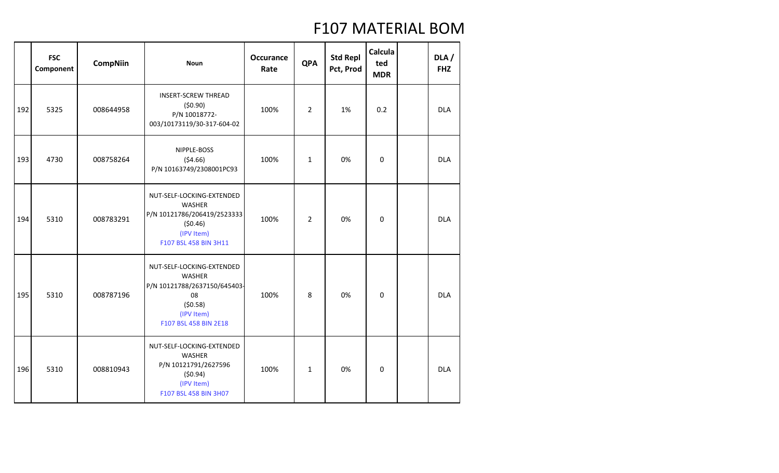|     | <b>FSC</b><br>Component | <b>CompNiin</b> | <b>Noun</b>                                                                                                                        | <b>Occurance</b><br>Rate | <b>QPA</b>     | <b>Std Repl</b><br>Pct, Prod | Calcula<br>ted<br><b>MDR</b> | DLA /<br><b>FHZ</b> |
|-----|-------------------------|-----------------|------------------------------------------------------------------------------------------------------------------------------------|--------------------------|----------------|------------------------------|------------------------------|---------------------|
| 192 | 5325                    | 008644958       | <b>INSERT-SCREW THREAD</b><br>(50.90)<br>P/N 10018772-<br>003/10173119/30-317-604-02                                               | 100%                     | $\overline{2}$ | 1%                           | 0.2                          | <b>DLA</b>          |
| 193 | 4730                    | 008758264       | NIPPLE-BOSS<br>(54.66)<br>P/N 10163749/2308001PC93                                                                                 | 100%                     | $\mathbf{1}$   | 0%                           | $\Omega$                     | <b>DLA</b>          |
| 194 | 5310                    | 008783291       | NUT-SELF-LOCKING-EXTENDED<br><b>WASHER</b><br>P/N 10121786/206419/2523333<br>(50.46)<br>(IPV Item)<br>F107 BSL 458 BIN 3H11        | 100%                     | $\overline{2}$ | 0%                           | $\mathbf 0$                  | <b>DLA</b>          |
| 195 | 5310                    | 008787196       | NUT-SELF-LOCKING-EXTENDED<br><b>WASHER</b><br>P/N 10121788/2637150/645403-<br>08<br>(50.58)<br>(IPV Item)<br>F107 BSL 458 BIN 2E18 | 100%                     | 8              | 0%                           | 0                            | <b>DLA</b>          |
| 196 | 5310                    | 008810943       | NUT-SELF-LOCKING-EXTENDED<br>WASHER<br>P/N 10121791/2627596<br>(50.94)<br>(IPV Item)<br>F107 BSL 458 BIN 3H07                      | 100%                     | $\mathbf{1}$   | 0%                           | $\mathbf 0$                  | <b>DLA</b>          |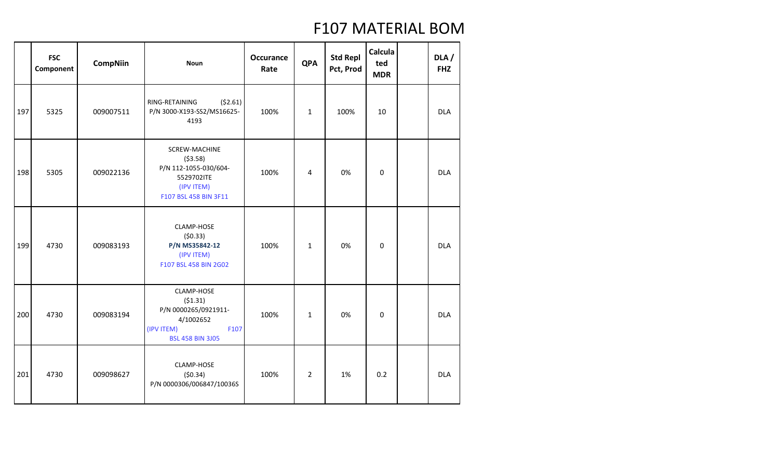|     | <b>FSC</b><br>Component | <b>CompNiin</b> | <b>Noun</b>                                                                                                 | <b>Occurance</b><br>Rate | <b>QPA</b>     | <b>Std Repl</b><br>Pct, Prod | Calcula<br>ted<br><b>MDR</b> | DLA /<br><b>FHZ</b> |
|-----|-------------------------|-----------------|-------------------------------------------------------------------------------------------------------------|--------------------------|----------------|------------------------------|------------------------------|---------------------|
| 197 | 5325                    | 009007511       | (52.61)<br>RING-RETAINING<br>P/N 3000-X193-SS2/MS16625-<br>4193                                             | 100%                     | $\mathbf{1}$   | 100%                         | 10                           | <b>DLA</b>          |
| 198 | 5305                    | 009022136       | SCREW-MACHINE<br>(53.58)<br>P/N 112-1055-030/604-<br>5529702ITE<br>(IPV ITEM)<br>F107 BSL 458 BIN 3F11      | 100%                     | 4              | 0%                           | 0                            | <b>DLA</b>          |
| 199 | 4730                    | 009083193       | CLAMP-HOSE<br>(50.33)<br>P/N MS35842-12<br>(IPV ITEM)<br>F107 BSL 458 BIN 2G02                              | 100%                     | $\mathbf 1$    | 0%                           | 0                            | <b>DLA</b>          |
| 200 | 4730                    | 009083194       | CLAMP-HOSE<br>(51.31)<br>P/N 0000265/0921911-<br>4/1002652<br>(IPV ITEM)<br>F107<br><b>BSL 458 BIN 3J05</b> | 100%                     | $\mathbf{1}$   | 0%                           | 0                            | <b>DLA</b>          |
| 201 | 4730                    | 009098627       | CLAMP-HOSE<br>(50.34)<br>P/N 0000306/006847/10036S                                                          | 100%                     | $\overline{2}$ | 1%                           | 0.2                          | <b>DLA</b>          |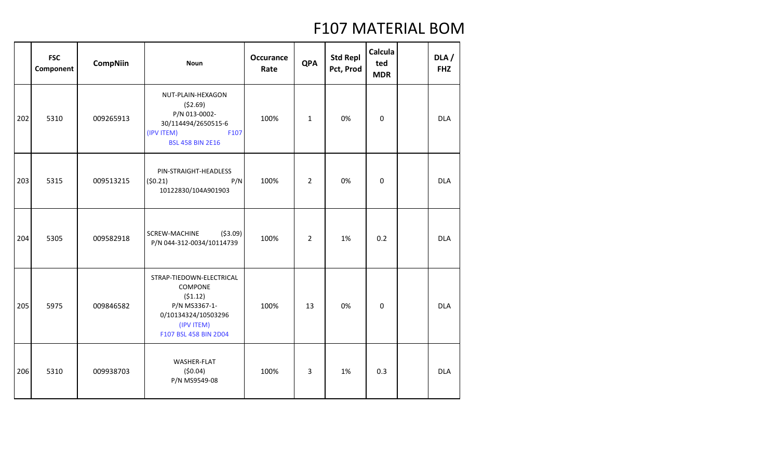|     | <b>FSC</b><br>Component | <b>CompNiin</b> | <b>Noun</b>                                                                                                                   | <b>Occurance</b><br>Rate | <b>QPA</b>     | <b>Std Repl</b><br>Pct, Prod | Calcula<br>ted<br><b>MDR</b> | DLA/<br><b>FHZ</b> |
|-----|-------------------------|-----------------|-------------------------------------------------------------------------------------------------------------------------------|--------------------------|----------------|------------------------------|------------------------------|--------------------|
| 202 | 5310                    | 009265913       | NUT-PLAIN-HEXAGON<br>(52.69)<br>P/N 013-0002-<br>30/114494/2650515-6<br>(IPV ITEM)<br>F107<br><b>BSL 458 BIN 2E16</b>         | 100%                     | $\mathbf{1}$   | 0%                           | $\mathbf 0$                  | <b>DLA</b>         |
| 203 | 5315                    | 009513215       | PIN-STRAIGHT-HEADLESS<br>(50.21)<br>P/N<br>10122830/104A901903                                                                | 100%                     | $\overline{2}$ | 0%                           | $\mathbf 0$                  | <b>DLA</b>         |
| 204 | 5305                    | 009582918       | ( \$3.09)<br>SCREW-MACHINE<br>P/N 044-312-0034/10114739                                                                       | 100%                     | $\overline{2}$ | 1%                           | 0.2                          | <b>DLA</b>         |
| 205 | 5975                    | 009846582       | STRAP-TIEDOWN-ELECTRICAL<br>COMPONE<br>(51.12)<br>P/N MS3367-1-<br>0/10134324/10503296<br>(IPV ITEM)<br>F107 BSL 458 BIN 2D04 | 100%                     | 13             | 0%                           | 0                            | <b>DLA</b>         |
| 206 | 5310                    | 009938703       | WASHER-FLAT<br>(50.04)<br>P/N MS9549-08                                                                                       | 100%                     | 3              | 1%                           | 0.3                          | <b>DLA</b>         |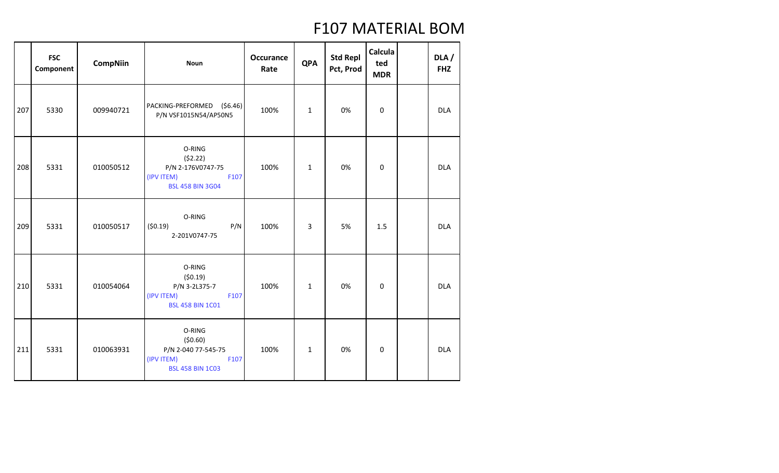|     | <b>FSC</b><br>Component | <b>CompNiin</b> | <b>Noun</b>                                                                               | <b>Occurance</b><br>Rate | <b>QPA</b>   | <b>Std Repl</b><br>Pct, Prod | Calcula<br>ted<br><b>MDR</b> | DLA/<br><b>FHZ</b> |
|-----|-------------------------|-----------------|-------------------------------------------------------------------------------------------|--------------------------|--------------|------------------------------|------------------------------|--------------------|
| 207 | 5330                    | 009940721       | PACKING-PREFORMED (\$6.46)<br>P/N VSF1015N54/AP50N5                                       | 100%                     | $\mathbf{1}$ | 0%                           | 0                            | <b>DLA</b>         |
| 208 | 5331                    | 010050512       | O-RING<br>(52.22)<br>P/N 2-176V0747-75<br>(IPV ITEM)<br>F107<br><b>BSL 458 BIN 3G04</b>   | 100%                     | $\mathbf{1}$ | 0%                           | $\pmb{0}$                    | <b>DLA</b>         |
| 209 | 5331                    | 010050517       | O-RING<br>(50.19)<br>P/N<br>2-201V0747-75                                                 | 100%                     | 3            | 5%                           | 1.5                          | <b>DLA</b>         |
| 210 | 5331                    | 010054064       | O-RING<br>(50.19)<br>P/N 3-2L375-7<br>(IPV ITEM)<br>F107<br><b>BSL 458 BIN 1C01</b>       | 100%                     | $\mathbf{1}$ | 0%                           | $\boldsymbol{0}$             | <b>DLA</b>         |
| 211 | 5331                    | 010063931       | O-RING<br>(50.60)<br>P/N 2-040 77-545-75<br>(IPV ITEM)<br>F107<br><b>BSL 458 BIN 1C03</b> | 100%                     | $\mathbf 1$  | 0%                           | 0                            | <b>DLA</b>         |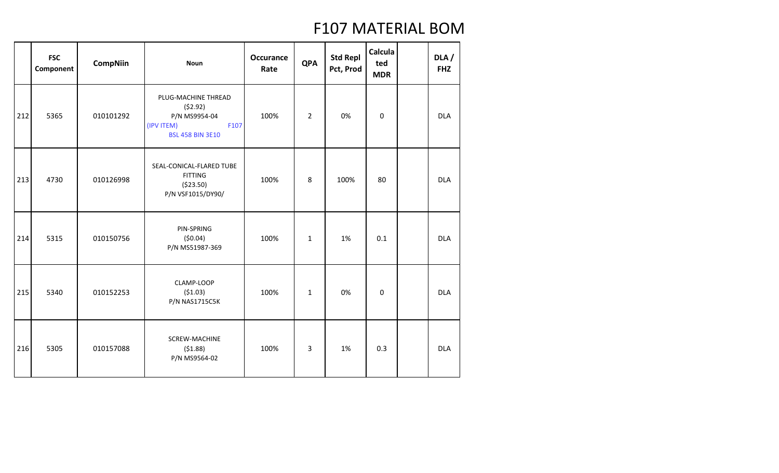|     | <b>FSC</b><br>Component | <b>CompNiin</b> | <b>Noun</b>                                                                                      | <b>Occurance</b><br>Rate | <b>QPA</b>     | <b>Std Repl</b><br>Pct, Prod | Calcula<br>ted<br><b>MDR</b> | DLA/<br><b>FHZ</b> |
|-----|-------------------------|-----------------|--------------------------------------------------------------------------------------------------|--------------------------|----------------|------------------------------|------------------------------|--------------------|
| 212 | 5365                    | 010101292       | PLUG-MACHINE THREAD<br>(52.92)<br>P/N MS9954-04<br>(IPV ITEM)<br>F107<br><b>BSL 458 BIN 3E10</b> | 100%                     | $\overline{2}$ | 0%                           | $\boldsymbol{0}$             | <b>DLA</b>         |
| 213 | 4730                    | 010126998       | SEAL-CONICAL-FLARED TUBE<br><b>FITTING</b><br>( \$23.50)<br>P/N VSF1015/DY90/                    | 100%                     | 8              | 100%                         | 80                           | <b>DLA</b>         |
| 214 | 5315                    | 010150756       | PIN-SPRING<br>(50.04)<br>P/N MS51987-369                                                         | 100%                     | $\mathbf{1}$   | 1%                           | 0.1                          | <b>DLA</b>         |
| 215 | 5340                    | 010152253       | CLAMP-LOOP<br>(51.03)<br>P/N NAS1715C5K                                                          | 100%                     | $\mathbf 1$    | 0%                           | $\mathbf 0$                  | <b>DLA</b>         |
| 216 | 5305                    | 010157088       | <b>SCREW-MACHINE</b><br>(51.88)<br>P/N MS9564-02                                                 | 100%                     | 3              | 1%                           | 0.3                          | <b>DLA</b>         |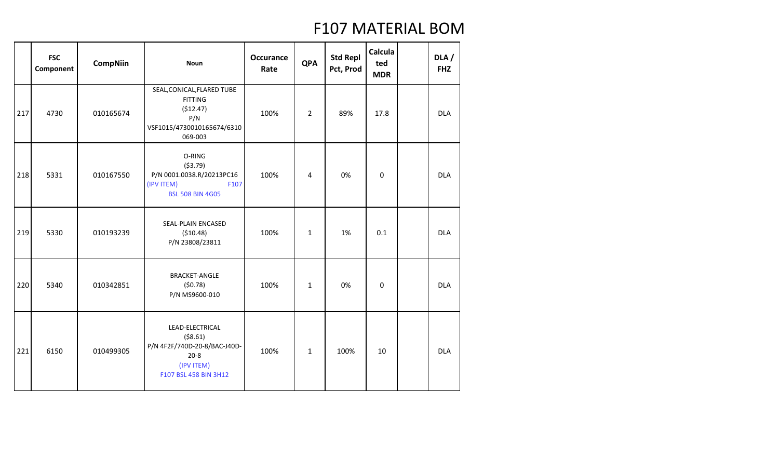|     | <b>FSC</b><br>Component | <b>CompNiin</b> | <b>Noun</b>                                                                                                     | <b>Occurance</b><br>Rate | <b>QPA</b>     | <b>Std Repl</b><br>Pct, Prod | Calcula<br>ted<br><b>MDR</b> | DLA /<br><b>FHZ</b> |
|-----|-------------------------|-----------------|-----------------------------------------------------------------------------------------------------------------|--------------------------|----------------|------------------------------|------------------------------|---------------------|
| 217 | 4730                    | 010165674       | SEAL, CONICAL, FLARED TUBE<br><b>FITTING</b><br>(\$12.47)<br>P/N<br>VSF1015/4730010165674/6310<br>069-003       | 100%                     | $\overline{2}$ | 89%                          | 17.8                         | <b>DLA</b>          |
| 218 | 5331                    | 010167550       | O-RING<br>(53.79)<br>P/N 0001.0038.R/20213PC16<br>(IPV ITEM)<br>F107<br><b>BSL 508 BIN 4G05</b>                 | 100%                     | 4              | 0%                           | $\mathbf 0$                  | <b>DLA</b>          |
| 219 | 5330                    | 010193239       | SEAL-PLAIN ENCASED<br>( \$10.48)<br>P/N 23808/23811                                                             | 100%                     | $\mathbf{1}$   | 1%                           | 0.1                          | <b>DLA</b>          |
| 220 | 5340                    | 010342851       | <b>BRACKET-ANGLE</b><br>(50.78)<br>P/N MS9600-010                                                               | 100%                     | $\mathbf{1}$   | 0%                           | $\mathbf 0$                  | <b>DLA</b>          |
| 221 | 6150                    | 010499305       | LEAD-ELECTRICAL<br>( \$8.61)<br>P/N 4F2F/740D-20-8/BAC-J40D-<br>$20 - 8$<br>(IPV ITEM)<br>F107 BSL 458 BIN 3H12 | 100%                     | $\mathbf{1}$   | 100%                         | 10                           | <b>DLA</b>          |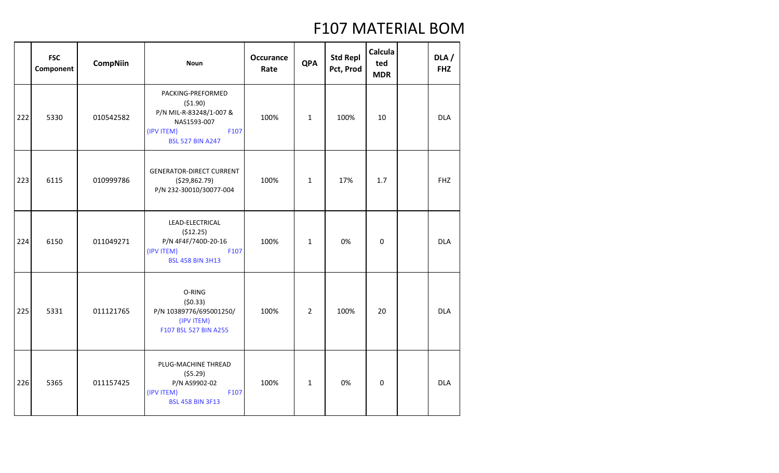|     | <b>FSC</b><br>Component | <b>CompNiin</b> | <b>Noun</b>                                                                                                             | <b>Occurance</b><br>Rate | <b>QPA</b>     | <b>Std Repl</b><br>Pct, Prod | Calcula<br>ted<br><b>MDR</b> | DLA /<br><b>FHZ</b> |
|-----|-------------------------|-----------------|-------------------------------------------------------------------------------------------------------------------------|--------------------------|----------------|------------------------------|------------------------------|---------------------|
| 222 | 5330                    | 010542582       | PACKING-PREFORMED<br>(51.90)<br>P/N MIL-R-83248/1-007 &<br>NAS1593-007<br>(IPV ITEM)<br>F107<br><b>BSL 527 BIN A247</b> | 100%                     | $\mathbf{1}$   | 100%                         | 10                           | <b>DLA</b>          |
| 223 | 6115                    | 010999786       | <b>GENERATOR-DIRECT CURRENT</b><br>( \$29,862.79)<br>P/N 232-30010/30077-004                                            | 100%                     | $\mathbf{1}$   | 17%                          | 1.7                          | <b>FHZ</b>          |
| 224 | 6150                    | 011049271       | LEAD-ELECTRICAL<br>(512.25)<br>P/N 4F4F/740D-20-16<br>(IPV ITEM)<br>F107<br><b>BSL 458 BIN 3H13</b>                     | 100%                     | $\mathbf{1}$   | 0%                           | $\mathbf 0$                  | <b>DLA</b>          |
| 225 | 5331                    | 011121765       | O-RING<br>(50.33)<br>P/N 10389776/695001250/<br>(IPV ITEM)<br>F107 BSL 527 BIN A255                                     | 100%                     | $\overline{2}$ | 100%                         | 20                           | <b>DLA</b>          |
| 226 | 5365                    | 011157425       | PLUG-MACHINE THREAD<br>(55.29)<br>P/N AS9902-02<br>(IPV ITEM)<br>F107<br><b>BSL 458 BIN 3F13</b>                        | 100%                     | $\mathbf{1}$   | 0%                           | 0                            | <b>DLA</b>          |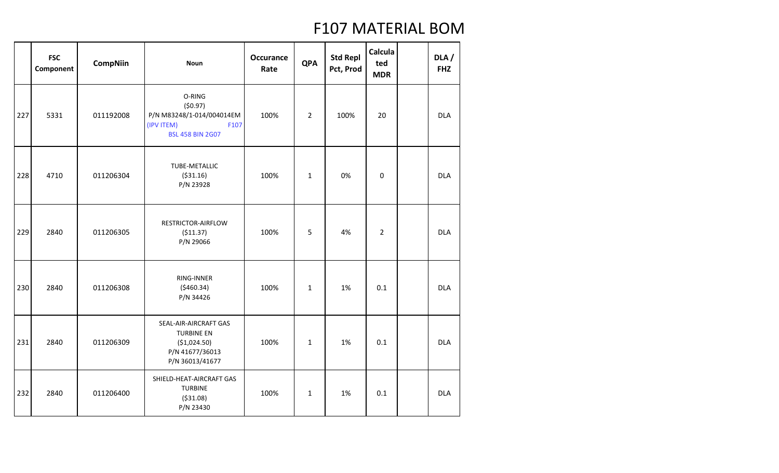|     | <b>FSC</b><br>Component | <b>CompNiin</b> | <b>Noun</b>                                                                                      | <b>Occurance</b><br>Rate | <b>QPA</b>     | <b>Std Repl</b><br>Pct, Prod | Calcula<br>ted<br><b>MDR</b> | DLA/<br><b>FHZ</b> |
|-----|-------------------------|-----------------|--------------------------------------------------------------------------------------------------|--------------------------|----------------|------------------------------|------------------------------|--------------------|
| 227 | 5331                    | 011192008       | O-RING<br>(50.97)<br>P/N M83248/1-014/004014EM<br>(IPV ITEM)<br>F107<br><b>BSL 458 BIN 2G07</b>  | 100%                     | $\overline{2}$ | 100%                         | 20                           | <b>DLA</b>         |
| 228 | 4710                    | 011206304       | TUBE-METALLIC<br>( \$31.16)<br>P/N 23928                                                         | 100%                     | $\mathbf{1}$   | 0%                           | $\mathbf 0$                  | <b>DLA</b>         |
| 229 | 2840                    | 011206305       | RESTRICTOR-AIRFLOW<br>(511.37)<br>P/N 29066                                                      | 100%                     | 5              | 4%                           | $\overline{2}$               | <b>DLA</b>         |
| 230 | 2840                    | 011206308       | RING-INNER<br>(5460.34)<br>P/N 34426                                                             | 100%                     | $\mathbf 1$    | 1%                           | 0.1                          | <b>DLA</b>         |
| 231 | 2840                    | 011206309       | SEAL-AIR-AIRCRAFT GAS<br><b>TURBINE EN</b><br>(\$1,024.50)<br>P/N 41677/36013<br>P/N 36013/41677 | 100%                     | $\mathbf 1$    | 1%                           | 0.1                          | <b>DLA</b>         |
| 232 | 2840                    | 011206400       | SHIELD-HEAT-AIRCRAFT GAS<br><b>TURBINE</b><br>( \$31.08)<br>P/N 23430                            | 100%                     | $\mathbf{1}$   | 1%                           | 0.1                          | <b>DLA</b>         |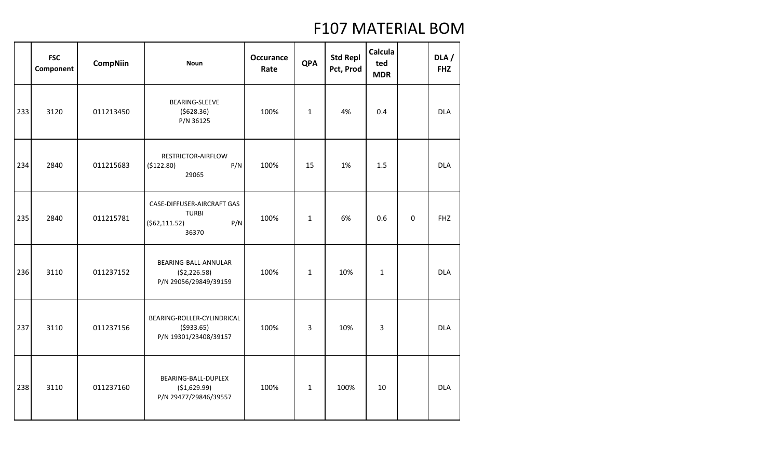|     | <b>FSC</b><br>Component | <b>CompNiin</b> | <b>Noun</b>                                                                   | <b>Occurance</b><br>Rate | <b>QPA</b>   | <b>Std Repl</b><br>Pct, Prod | Calcula<br>ted<br><b>MDR</b> |             | DLA/<br><b>FHZ</b> |
|-----|-------------------------|-----------------|-------------------------------------------------------------------------------|--------------------------|--------------|------------------------------|------------------------------|-------------|--------------------|
| 233 | 3120                    | 011213450       | BEARING-SLEEVE<br>(5628.36)<br>P/N 36125                                      | 100%                     | $\mathbf{1}$ | 4%                           | 0.4                          |             | <b>DLA</b>         |
| 234 | 2840                    | 011215683       | RESTRICTOR-AIRFLOW<br>P/N<br>(\$122.80)<br>29065                              | 100%                     | 15           | 1%                           | 1.5                          |             | <b>DLA</b>         |
| 235 | 2840                    | 011215781       | CASE-DIFFUSER-AIRCRAFT GAS<br><b>TURBI</b><br>P/N<br>( \$62, 111.52)<br>36370 | 100%                     | $\mathbf{1}$ | 6%                           | 0.6                          | $\mathbf 0$ | <b>FHZ</b>         |
| 236 | 3110                    | 011237152       | BEARING-BALL-ANNULAR<br>( \$2,226.58)<br>P/N 29056/29849/39159                | 100%                     | $\mathbf{1}$ | 10%                          | $\mathbf 1$                  |             | <b>DLA</b>         |
| 237 | 3110                    | 011237156       | BEARING-ROLLER-CYLINDRICAL<br>(5933.65)<br>P/N 19301/23408/39157              | 100%                     | 3            | 10%                          | 3                            |             | <b>DLA</b>         |
| 238 | 3110                    | 011237160       | BEARING-BALL-DUPLEX<br>(\$1,629.99)<br>P/N 29477/29846/39557                  | 100%                     | $\mathbf{1}$ | 100%                         | 10                           |             | <b>DLA</b>         |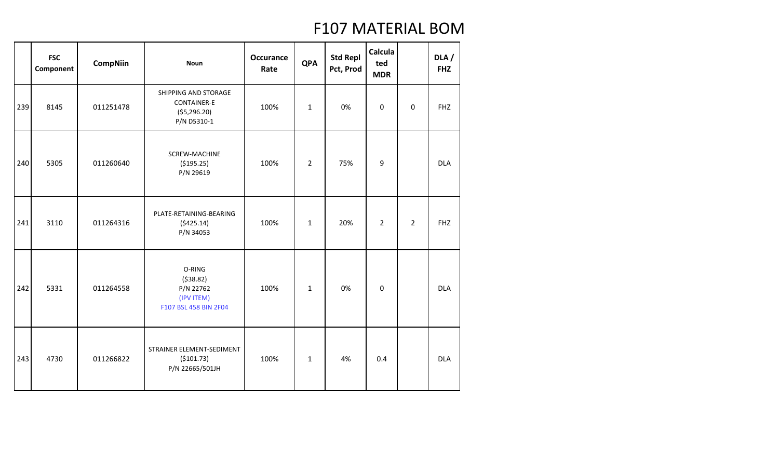|     | <b>FSC</b><br>Component | <b>CompNiin</b> | <b>Noun</b>                                                                | <b>Occurance</b><br>Rate | <b>QPA</b>     | <b>Std Repl</b><br>Pct, Prod | Calcula<br>ted<br><b>MDR</b> |                | DLA/<br><b>FHZ</b> |
|-----|-------------------------|-----------------|----------------------------------------------------------------------------|--------------------------|----------------|------------------------------|------------------------------|----------------|--------------------|
| 239 | 8145                    | 011251478       | SHIPPING AND STORAGE<br><b>CONTAINER-E</b><br>( \$5,296.20)<br>P/N D5310-1 | 100%                     | $\mathbf{1}$   | 0%                           | $\boldsymbol{0}$             | 0              | <b>FHZ</b>         |
| 240 | 5305                    | 011260640       | SCREW-MACHINE<br>( \$195.25)<br>P/N 29619                                  | 100%                     | $\overline{2}$ | 75%                          | 9                            |                | <b>DLA</b>         |
| 241 | 3110                    | 011264316       | PLATE-RETAINING-BEARING<br>(5425.14)<br>P/N 34053                          | 100%                     | $\mathbf 1$    | 20%                          | $\overline{2}$               | $\overline{2}$ | <b>FHZ</b>         |
| 242 | 5331                    | 011264558       | O-RING<br>(538.82)<br>P/N 22762<br>(IPV ITEM)<br>F107 BSL 458 BIN 2F04     | 100%                     | $\mathbf{1}$   | 0%                           | $\mathbf 0$                  |                | <b>DLA</b>         |
| 243 | 4730                    | 011266822       | STRAINER ELEMENT-SEDIMENT<br>( \$101.73)<br>P/N 22665/501JH                | 100%                     | $\mathbf{1}$   | 4%                           | 0.4                          |                | <b>DLA</b>         |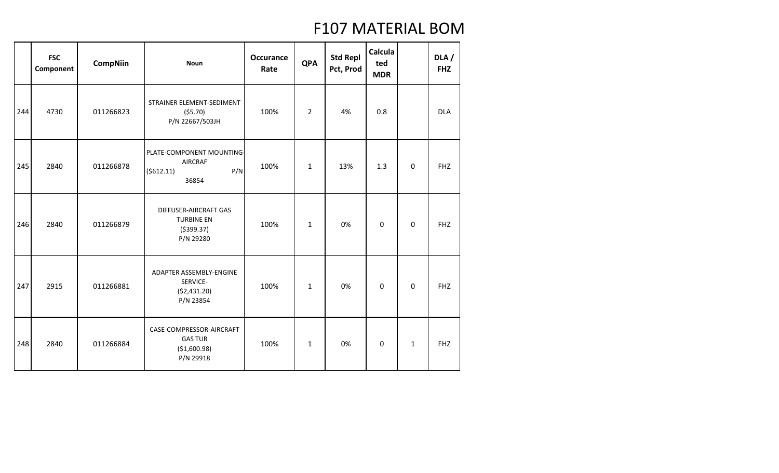|     | <b>FSC</b><br>Component | <b>CompNiin</b> | <b>Noun</b>                                                               | <b>Occurance</b><br>Rate | <b>QPA</b>     | <b>Std Repl</b><br>Pct, Prod | Calcula<br>ted<br><b>MDR</b> |              | DLA/<br><b>FHZ</b> |
|-----|-------------------------|-----------------|---------------------------------------------------------------------------|--------------------------|----------------|------------------------------|------------------------------|--------------|--------------------|
| 244 | 4730                    | 011266823       | STRAINER ELEMENT-SEDIMENT<br>(55.70)<br>P/N 22667/503JH                   | 100%                     | $\overline{2}$ | 4%                           | 0.8                          |              | <b>DLA</b>         |
| 245 | 2840                    | 011266878       | PLATE-COMPONENT MOUNTING<br><b>AIRCRAF</b><br>P/N<br>( \$612.11)<br>36854 | 100%                     | $\mathbf{1}$   | 13%                          | 1.3                          | 0            | <b>FHZ</b>         |
| 246 | 2840                    | 011266879       | DIFFUSER-AIRCRAFT GAS<br><b>TURBINE EN</b><br>( \$399.37)<br>P/N 29280    | 100%                     | $\mathbf{1}$   | 0%                           | 0                            | $\Omega$     | <b>FHZ</b>         |
| 247 | 2915                    | 011266881       | ADAPTER ASSEMBLY-ENGINE<br>SERVICE-<br>( \$2,431.20)<br>P/N 23854         | 100%                     | $\mathbf{1}$   | 0%                           | $\mathbf 0$                  | 0            | <b>FHZ</b>         |
| 248 | 2840                    | 011266884       | CASE-COMPRESSOR-AIRCRAFT<br><b>GAS TUR</b><br>(\$1,600.98)<br>P/N 29918   | 100%                     | $\mathbf{1}$   | 0%                           | $\boldsymbol{0}$             | $\mathbf{1}$ | <b>FHZ</b>         |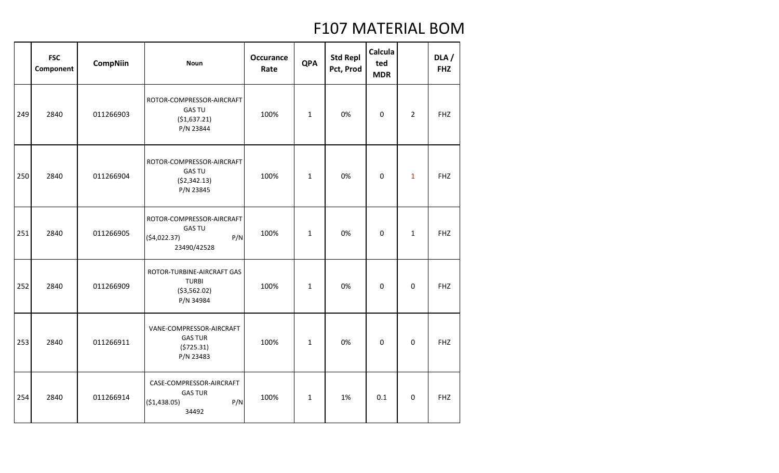|     | <b>FSC</b><br>Component | <b>CompNiin</b> | <b>Noun</b>                                                                     | <b>Occurance</b><br>Rate | <b>QPA</b>   | <b>Std Repl</b><br>Pct, Prod | Calcula<br>ted<br><b>MDR</b> |                | DLA/<br><b>FHZ</b> |
|-----|-------------------------|-----------------|---------------------------------------------------------------------------------|--------------------------|--------------|------------------------------|------------------------------|----------------|--------------------|
| 249 | 2840                    | 011266903       | ROTOR-COMPRESSOR-AIRCRAFT<br><b>GAS TU</b><br>( \$1,637.21)<br>P/N 23844        | 100%                     | $\mathbf{1}$ | 0%                           | $\Omega$                     | $\overline{2}$ | <b>FHZ</b>         |
| 250 | 2840                    | 011266904       | ROTOR-COMPRESSOR-AIRCRAFT<br><b>GAS TU</b><br>( \$2,342.13)<br>P/N 23845        | 100%                     | $\mathbf 1$  | 0%                           | $\mathbf 0$                  | $\mathbf{1}$   | <b>FHZ</b>         |
| 251 | 2840                    | 011266905       | ROTOR-COMPRESSOR-AIRCRAFT<br><b>GAS TU</b><br>(54,022.37)<br>P/N<br>23490/42528 | 100%                     | $\mathbf 1$  | 0%                           | $\mathbf 0$                  | $\mathbf{1}$   | <b>FHZ</b>         |
| 252 | 2840                    | 011266909       | ROTOR-TURBINE-AIRCRAFT GAS<br><b>TURBI</b><br>( \$3,562.02)<br>P/N 34984        | 100%                     | $\mathbf 1$  | 0%                           | $\mathbf 0$                  | $\mathbf 0$    | <b>FHZ</b>         |
| 253 | 2840                    | 011266911       | VANE-COMPRESSOR-AIRCRAFT<br><b>GAS TUR</b><br>(5725.31)<br>P/N 23483            | 100%                     | $\mathbf 1$  | 0%                           | $\mathbf 0$                  | $\Omega$       | <b>FHZ</b>         |
| 254 | 2840                    | 011266914       | CASE-COMPRESSOR-AIRCRAFT<br><b>GAS TUR</b><br>P/N<br>(\$1,438.05)<br>34492      | 100%                     | $\mathbf{1}$ | 1%                           | 0.1                          | $\mathbf 0$    | <b>FHZ</b>         |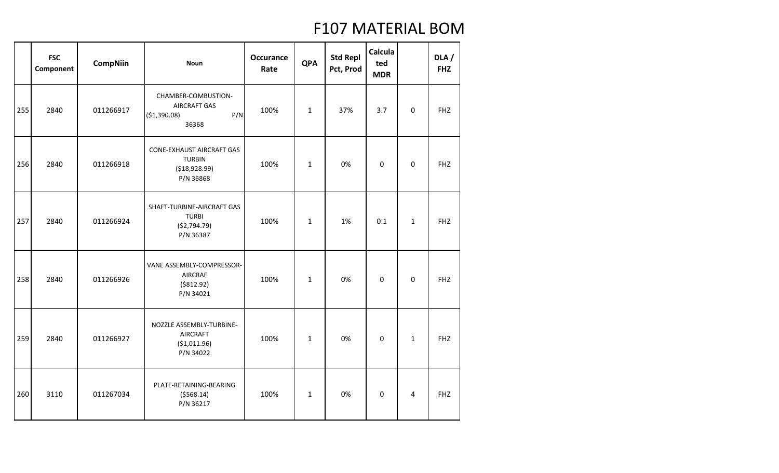|     | <b>FSC</b><br>Component | <b>CompNiin</b> | <b>Noun</b>                                                                      | <b>Occurance</b><br>Rate | <b>QPA</b>   | <b>Std Repl</b><br>Pct, Prod | <b>Calcula</b><br>ted<br><b>MDR</b> |                | DLA/<br><b>FHZ</b> |
|-----|-------------------------|-----------------|----------------------------------------------------------------------------------|--------------------------|--------------|------------------------------|-------------------------------------|----------------|--------------------|
| 255 | 2840                    | 011266917       | CHAMBER-COMBUSTION-<br><b>AIRCRAFT GAS</b><br>P/N<br>(\$1,390.08)<br>36368       | 100%                     | $\mathbf{1}$ | 37%                          | 3.7                                 | $\mathbf 0$    | <b>FHZ</b>         |
| 256 | 2840                    | 011266918       | <b>CONE-EXHAUST AIRCRAFT GAS</b><br><b>TURBIN</b><br>( \$18,928.99)<br>P/N 36868 | 100%                     | $\mathbf{1}$ | 0%                           | $\mathbf 0$                         | $\mathbf 0$    | <b>FHZ</b>         |
| 257 | 2840                    | 011266924       | SHAFT-TURBINE-AIRCRAFT GAS<br><b>TURBI</b><br>(\$2,794.79)<br>P/N 36387          | 100%                     | $\mathbf{1}$ | 1%                           | 0.1                                 | $\mathbf{1}$   | <b>FHZ</b>         |
| 258 | 2840                    | 011266926       | VANE ASSEMBLY-COMPRESSOR-<br>AIRCRAF<br>( \$812.92)<br>P/N 34021                 | 100%                     | $\mathbf{1}$ | 0%                           | $\mathbf 0$                         | $\mathbf 0$    | <b>FHZ</b>         |
| 259 | 2840                    | 011266927       | NOZZLE ASSEMBLY-TURBINE-<br><b>AIRCRAFT</b><br>( \$1,011.96)<br>P/N 34022        | 100%                     | $\mathbf{1}$ | 0%                           | $\mathbf 0$                         | $\mathbf{1}$   | <b>FHZ</b>         |
| 260 | 3110                    | 011267034       | PLATE-RETAINING-BEARING<br>( \$568.14)<br>P/N 36217                              | 100%                     | $\mathbf{1}$ | 0%                           | $\mathbf 0$                         | $\overline{4}$ | <b>FHZ</b>         |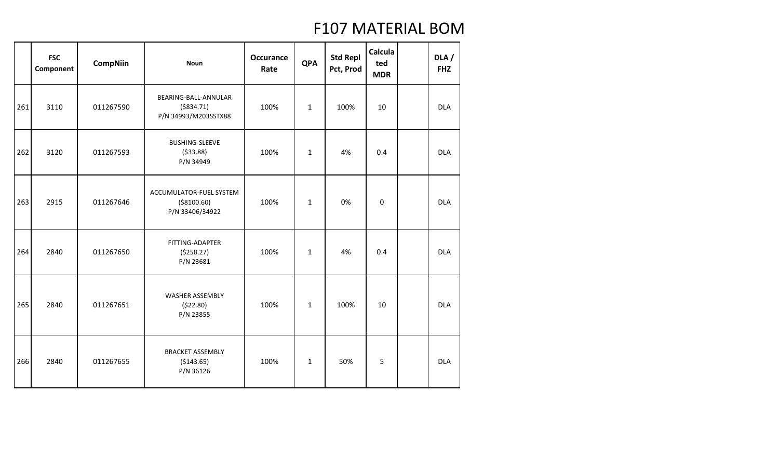|     | <b>FSC</b><br>Component | <b>CompNiin</b> | <b>Noun</b>                                                 | <b>Occurance</b><br>Rate | <b>QPA</b>   | <b>Std Repl</b><br>Pct, Prod | Calcula<br>ted<br><b>MDR</b> | DLA/<br><b>FHZ</b> |
|-----|-------------------------|-----------------|-------------------------------------------------------------|--------------------------|--------------|------------------------------|------------------------------|--------------------|
| 261 | 3110                    | 011267590       | BEARING-BALL-ANNULAR<br>( \$834.71)<br>P/N 34993/M203SSTX88 | 100%                     | $\mathbf{1}$ | 100%                         | 10                           | <b>DLA</b>         |
| 262 | 3120                    | 011267593       | <b>BUSHING-SLEEVE</b><br>( \$33.88)<br>P/N 34949            | 100%                     | $\mathbf{1}$ | 4%                           | 0.4                          | <b>DLA</b>         |
| 263 | 2915                    | 011267646       | ACCUMULATOR-FUEL SYSTEM<br>( \$8100.60)<br>P/N 33406/34922  | 100%                     | $\mathbf{1}$ | 0%                           | $\mathbf 0$                  | <b>DLA</b>         |
| 264 | 2840                    | 011267650       | FITTING-ADAPTER<br>(5258.27)<br>P/N 23681                   | 100%                     | $\mathbf{1}$ | 4%                           | 0.4                          | <b>DLA</b>         |
| 265 | 2840                    | 011267651       | WASHER ASSEMBLY<br>(522.80)<br>P/N 23855                    | 100%                     | $\mathbf{1}$ | 100%                         | 10                           | <b>DLA</b>         |
| 266 | 2840                    | 011267655       | <b>BRACKET ASSEMBLY</b><br>( \$143.65)<br>P/N 36126         | 100%                     | $\mathbf{1}$ | 50%                          | 5                            | <b>DLA</b>         |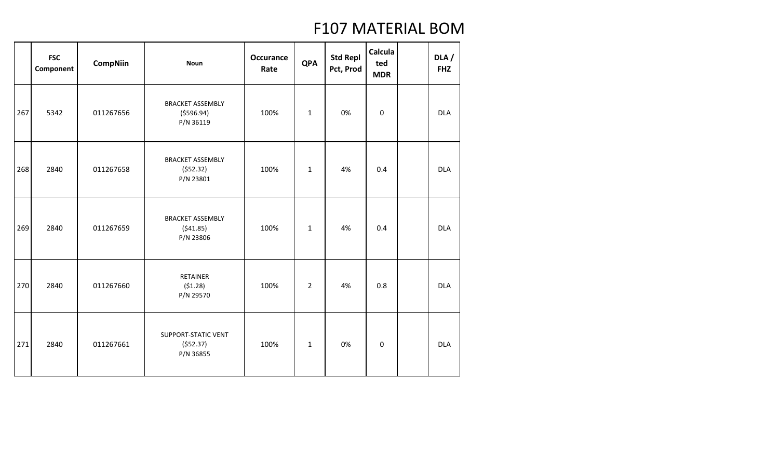|     | <b>FSC</b><br>Component | <b>CompNiin</b> | <b>Noun</b>                                         | <b>Occurance</b><br>Rate | <b>QPA</b>     | <b>Std Repl</b><br>Pct, Prod | Calcula<br>ted<br><b>MDR</b> | DLA/<br><b>FHZ</b> |
|-----|-------------------------|-----------------|-----------------------------------------------------|--------------------------|----------------|------------------------------|------------------------------|--------------------|
| 267 | 5342                    | 011267656       | <b>BRACKET ASSEMBLY</b><br>( \$596.94)<br>P/N 36119 | 100%                     | $\mathbf{1}$   | 0%                           | $\boldsymbol{0}$             | <b>DLA</b>         |
| 268 | 2840                    | 011267658       | <b>BRACKET ASSEMBLY</b><br>(552.32)<br>P/N 23801    | 100%                     | $\mathbf{1}$   | 4%                           | 0.4                          | <b>DLA</b>         |
| 269 | 2840                    | 011267659       | <b>BRACKET ASSEMBLY</b><br>(541.85)<br>P/N 23806    | 100%                     | $\mathbf{1}$   | 4%                           | 0.4                          | <b>DLA</b>         |
| 270 | 2840                    | 011267660       | <b>RETAINER</b><br>(51.28)<br>P/N 29570             | 100%                     | $\overline{2}$ | 4%                           | 0.8                          | <b>DLA</b>         |
| 271 | 2840                    | 011267661       | <b>SUPPORT-STATIC VENT</b><br>(552.37)<br>P/N 36855 | 100%                     | $\mathbf{1}$   | 0%                           | $\boldsymbol{0}$             | <b>DLA</b>         |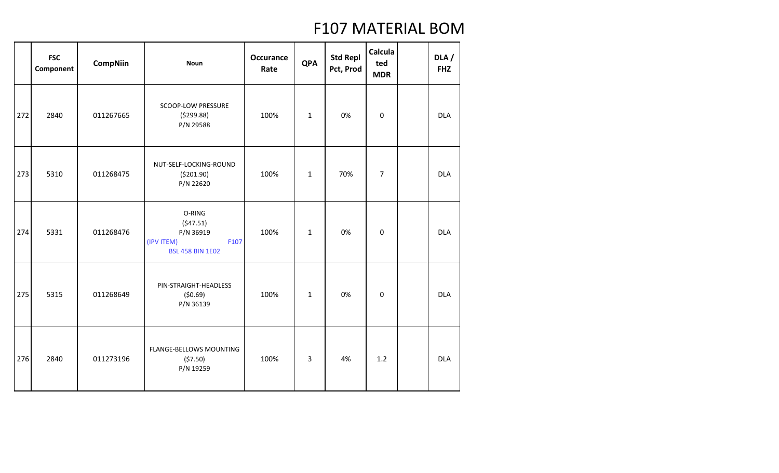|     | <b>FSC</b><br>Component | <b>CompNiin</b> | <b>Noun</b>                                                                      | <b>Occurance</b><br>Rate | <b>QPA</b>   | <b>Std Repl</b><br>Pct, Prod | Calcula<br>ted<br><b>MDR</b> | DLA/<br><b>FHZ</b> |
|-----|-------------------------|-----------------|----------------------------------------------------------------------------------|--------------------------|--------------|------------------------------|------------------------------|--------------------|
| 272 | 2840                    | 011267665       | SCOOP-LOW PRESSURE<br>(5299.88)<br>P/N 29588                                     | 100%                     | $\mathbf{1}$ | 0%                           | 0                            | <b>DLA</b>         |
| 273 | 5310                    | 011268475       | NUT-SELF-LOCKING-ROUND<br>( \$201.90)<br>P/N 22620                               | 100%                     | $\mathbf{1}$ | 70%                          | $\overline{7}$               | <b>DLA</b>         |
| 274 | 5331                    | 011268476       | O-RING<br>(547.51)<br>P/N 36919<br>F107<br>(IPV ITEM)<br><b>BSL 458 BIN 1E02</b> | 100%                     | $\mathbf{1}$ | 0%                           | $\mathbf 0$                  | <b>DLA</b>         |
| 275 | 5315                    | 011268649       | PIN-STRAIGHT-HEADLESS<br>(50.69)<br>P/N 36139                                    | 100%                     | $\mathbf{1}$ | 0%                           | $\mathbf 0$                  | <b>DLA</b>         |
| 276 | 2840                    | 011273196       | <b>FLANGE-BELLOWS MOUNTING</b><br>(57.50)<br>P/N 19259                           | 100%                     | 3            | 4%                           | 1.2                          | <b>DLA</b>         |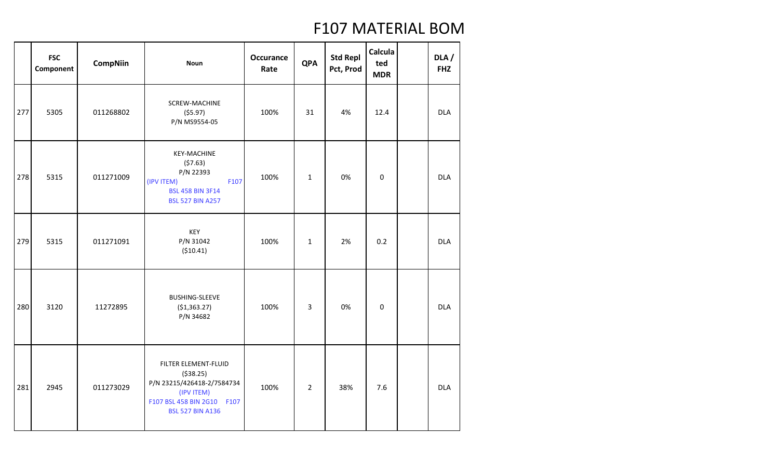|     | <b>FSC</b><br>Component | <b>CompNiin</b> | <b>Noun</b>                                                                                                                             | <b>Occurance</b><br>Rate | <b>QPA</b>     | <b>Std Repl</b><br>Pct, Prod | Calcula<br>ted<br><b>MDR</b> | DLA/<br><b>FHZ</b> |
|-----|-------------------------|-----------------|-----------------------------------------------------------------------------------------------------------------------------------------|--------------------------|----------------|------------------------------|------------------------------|--------------------|
| 277 | 5305                    | 011268802       | SCREW-MACHINE<br>(55.97)<br>P/N MS9554-05                                                                                               | 100%                     | 31             | 4%                           | 12.4                         | <b>DLA</b>         |
| 278 | 5315                    | 011271009       | <b>KEY-MACHINE</b><br>(57.63)<br>P/N 22393<br>F107<br>(IPV ITEM)<br><b>BSL 458 BIN 3F14</b><br><b>BSL 527 BIN A257</b>                  | 100%                     | $\mathbf{1}$   | 0%                           | $\boldsymbol{0}$             | <b>DLA</b>         |
| 279 | 5315                    | 011271091       | KEY<br>P/N 31042<br>( \$10.41)                                                                                                          | 100%                     | $\mathbf{1}$   | 2%                           | 0.2                          | <b>DLA</b>         |
| 280 | 3120                    | 11272895        | <b>BUSHING-SLEEVE</b><br>( \$1,363.27)<br>P/N 34682                                                                                     | 100%                     | 3              | 0%                           | $\mathbf 0$                  | <b>DLA</b>         |
| 281 | 2945                    | 011273029       | FILTER ELEMENT-FLUID<br>( \$38.25)<br>P/N 23215/426418-2/7584734<br>(IPV ITEM)<br>F107 BSL 458 BIN 2G10 F107<br><b>BSL 527 BIN A136</b> | 100%                     | $\overline{2}$ | 38%                          | 7.6                          | <b>DLA</b>         |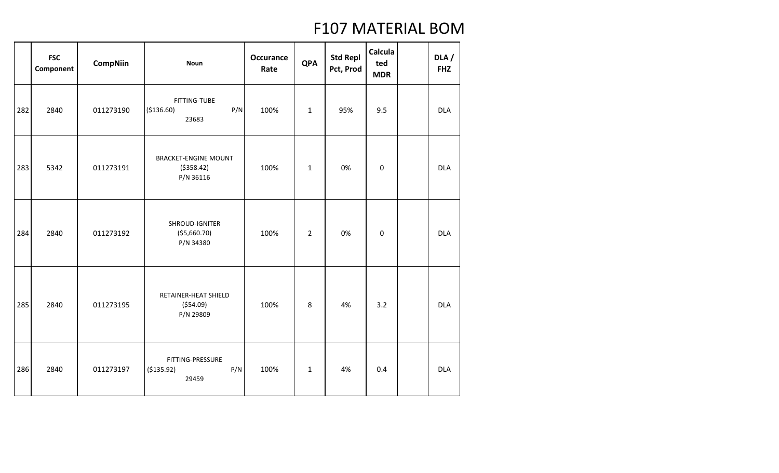|     | <b>FSC</b><br>Component | <b>CompNiin</b> | <b>Noun</b>                                             | <b>Occurance</b><br>Rate | <b>QPA</b>     | <b>Std Repl</b><br>Pct, Prod | Calcula<br>ted<br><b>MDR</b> | DLA/<br><b>FHZ</b> |
|-----|-------------------------|-----------------|---------------------------------------------------------|--------------------------|----------------|------------------------------|------------------------------|--------------------|
| 282 | 2840                    | 011273190       | <b>FITTING-TUBE</b><br>P/N<br>( \$136.60)<br>23683      | 100%                     | $\mathbf 1$    | 95%                          | 9.5                          | <b>DLA</b>         |
| 283 | 5342                    | 011273191       | <b>BRACKET-ENGINE MOUNT</b><br>( \$358.42)<br>P/N 36116 | 100%                     | $\mathbf 1$    | 0%                           | $\boldsymbol{0}$             | <b>DLA</b>         |
| 284 | 2840                    | 011273192       | SHROUD-IGNITER<br>( \$5,660.70)<br>P/N 34380            | 100%                     | $\overline{2}$ | 0%                           | $\mathbf 0$                  | <b>DLA</b>         |
| 285 | 2840                    | 011273195       | RETAINER-HEAT SHIELD<br>( \$54.09)<br>P/N 29809         | 100%                     | 8              | 4%                           | 3.2                          | <b>DLA</b>         |
| 286 | 2840                    | 011273197       | FITTING-PRESSURE<br>P/N<br>( \$135.92)<br>29459         | 100%                     | $\mathbf 1$    | 4%                           | 0.4                          | <b>DLA</b>         |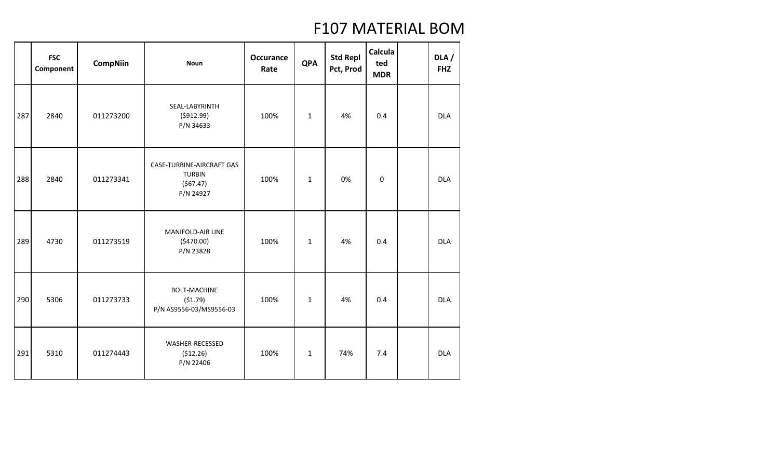|     | <b>FSC</b><br>Component | <b>CompNiin</b> | <b>Noun</b>                                                         | <b>Occurance</b><br>Rate | <b>QPA</b>   | <b>Std Repl</b><br>Pct, Prod | Calcula<br>ted<br><b>MDR</b> | DLA/<br><b>FHZ</b> |
|-----|-------------------------|-----------------|---------------------------------------------------------------------|--------------------------|--------------|------------------------------|------------------------------|--------------------|
| 287 | 2840                    | 011273200       | SEAL-LABYRINTH<br>(5912.99)<br>P/N 34633                            | 100%                     | $\mathbf{1}$ | 4%                           | 0.4                          | <b>DLA</b>         |
| 288 | 2840                    | 011273341       | CASE-TURBINE-AIRCRAFT GAS<br><b>TURBIN</b><br>(567.47)<br>P/N 24927 | 100%                     | $\mathbf{1}$ | 0%                           | $\boldsymbol{0}$             | <b>DLA</b>         |
| 289 | 4730                    | 011273519       | MANIFOLD-AIR LINE<br>(5470.00)<br>P/N 23828                         | 100%                     | $\mathbf{1}$ | 4%                           | 0.4                          | <b>DLA</b>         |
| 290 | 5306                    | 011273733       | <b>BOLT-MACHINE</b><br>(51.79)<br>P/N AS9556-03/MS9556-03           | 100%                     | $\mathbf{1}$ | 4%                           | 0.4                          | <b>DLA</b>         |
| 291 | 5310                    | 011274443       | WASHER-RECESSED<br>(512.26)<br>P/N 22406                            | 100%                     | $\mathbf{1}$ | 74%                          | 7.4                          | <b>DLA</b>         |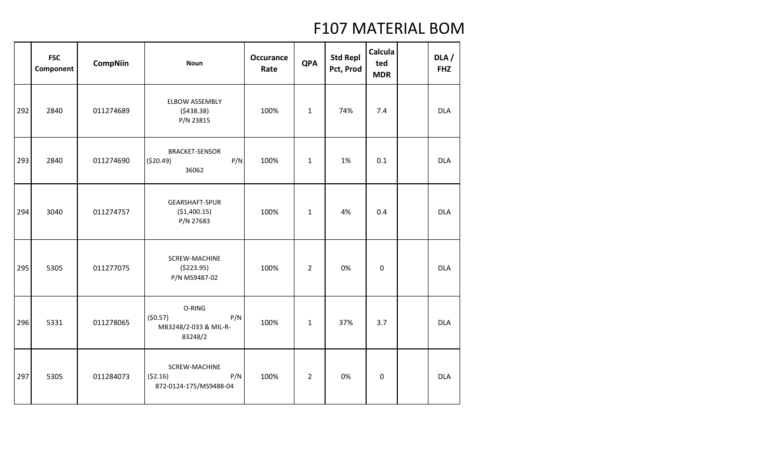|     | <b>FSC</b><br>Component | <b>CompNiin</b> | <b>Noun</b>                                                  | <b>Occurance</b><br>Rate | <b>QPA</b>     | <b>Std Repl</b><br>Pct, Prod | Calcula<br>ted<br><b>MDR</b> | DLA/<br><b>FHZ</b> |
|-----|-------------------------|-----------------|--------------------------------------------------------------|--------------------------|----------------|------------------------------|------------------------------|--------------------|
| 292 | 2840                    | 011274689       | <b>ELBOW ASSEMBLY</b><br>(5438.38)<br>P/N 23815              | 100%                     | $\mathbf{1}$   | 74%                          | 7.4                          | <b>DLA</b>         |
| 293 | 2840                    | 011274690       | <b>BRACKET-SENSOR</b><br>( \$20.49)<br>P/N<br>36062          | 100%                     | $\mathbf{1}$   | 1%                           | 0.1                          | <b>DLA</b>         |
| 294 | 3040                    | 011274757       | GEARSHAFT-SPUR<br>(\$1,400.15)<br>P/N 27683                  | 100%                     | $\mathbf{1}$   | 4%                           | 0.4                          | <b>DLA</b>         |
| 295 | 5305                    | 011277075       | SCREW-MACHINE<br>(\$223.95)<br>P/N MS9487-02                 | 100%                     | $\overline{2}$ | 0%                           | $\boldsymbol{0}$             | <b>DLA</b>         |
| 296 | 5331                    | 011278065       | O-RING<br>(50.57)<br>P/N<br>M83248/2-033 & MIL-R-<br>83248/2 | 100%                     | $\mathbf{1}$   | 37%                          | 3.7                          | <b>DLA</b>         |
| 297 | 5305                    | 011284073       | SCREW-MACHINE<br>P/N<br>(52.16)<br>872-0124-175/MS9488-04    | 100%                     | $\overline{2}$ | 0%                           | 0                            | <b>DLA</b>         |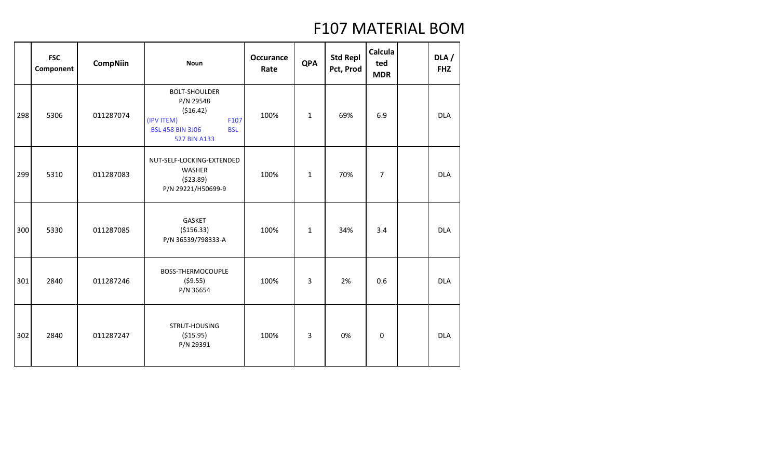|     | <b>FSC</b><br>Component | <b>CompNiin</b> | <b>Noun</b>                                                                                                                    | <b>Occurance</b><br>Rate | <b>QPA</b>   | <b>Std Repl</b><br>Pct, Prod | Calcula<br>ted<br><b>MDR</b> | DLA/<br><b>FHZ</b> |
|-----|-------------------------|-----------------|--------------------------------------------------------------------------------------------------------------------------------|--------------------------|--------------|------------------------------|------------------------------|--------------------|
| 298 | 5306                    | 011287074       | <b>BOLT-SHOULDER</b><br>P/N 29548<br>( \$16.42)<br>(IPV ITEM)<br>F107<br><b>BSL 458 BIN 3J06</b><br><b>BSL</b><br>527 BIN A133 | 100%                     | $\mathbf{1}$ | 69%                          | 6.9                          | <b>DLA</b>         |
| 299 | 5310                    | 011287083       | NUT-SELF-LOCKING-EXTENDED<br>WASHER<br>(523.89)<br>P/N 29221/H50699-9                                                          | 100%                     | $\mathbf{1}$ | 70%                          | $\overline{7}$               | <b>DLA</b>         |
| 300 | 5330                    | 011287085       | GASKET<br>( \$156.33)<br>P/N 36539/798333-A                                                                                    | 100%                     | $\mathbf{1}$ | 34%                          | 3.4                          | <b>DLA</b>         |
| 301 | 2840                    | 011287246       | BOSS-THERMOCOUPLE<br>(59.55)<br>P/N 36654                                                                                      | 100%                     | 3            | 2%                           | 0.6                          | <b>DLA</b>         |
| 302 | 2840                    | 011287247       | STRUT-HOUSING<br>( \$15.95)<br>P/N 29391                                                                                       | 100%                     | 3            | 0%                           | $\boldsymbol{0}$             | <b>DLA</b>         |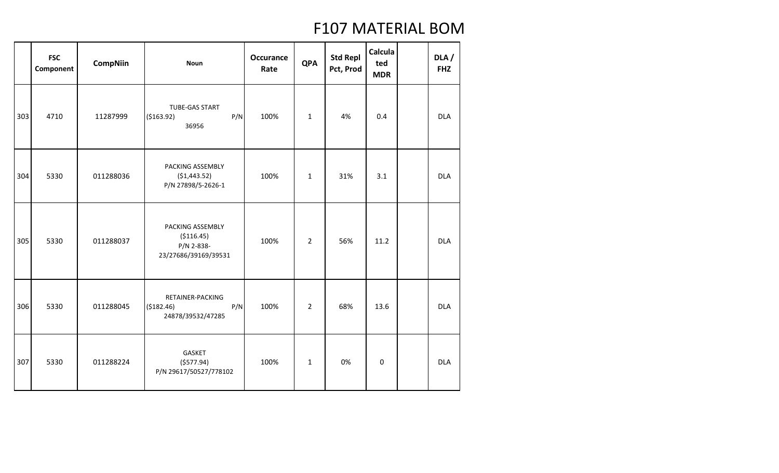|     | <b>FSC</b><br>Component | <b>CompNiin</b> | <b>Noun</b>                                                           | <b>Occurance</b><br>Rate | <b>QPA</b>     | <b>Std Repl</b><br>Pct, Prod | <b>Calcula</b><br>ted<br><b>MDR</b> | DLA/<br><b>FHZ</b> |
|-----|-------------------------|-----------------|-----------------------------------------------------------------------|--------------------------|----------------|------------------------------|-------------------------------------|--------------------|
| 303 | 4710                    | 11287999        | TUBE-GAS START<br>( \$163.92)<br>P/N<br>36956                         | 100%                     | $\mathbf{1}$   | 4%                           | 0.4                                 | <b>DLA</b>         |
| 304 | 5330                    | 011288036       | PACKING ASSEMBLY<br>( \$1,443.52)<br>P/N 27898/5-2626-1               | 100%                     | $\mathbf{1}$   | 31%                          | 3.1                                 | <b>DLA</b>         |
| 305 | 5330                    | 011288037       | PACKING ASSEMBLY<br>( \$116.45)<br>P/N 2-838-<br>23/27686/39169/39531 | 100%                     | $\overline{2}$ | 56%                          | 11.2                                | <b>DLA</b>         |
| 306 | 5330                    | 011288045       | RETAINER-PACKING<br>P/N<br>(\$182.46)<br>24878/39532/47285            | 100%                     | $\overline{2}$ | 68%                          | 13.6                                | <b>DLA</b>         |
| 307 | 5330                    | 011288224       | GASKET<br>(5577.94)<br>P/N 29617/50527/778102                         | 100%                     | $\mathbf{1}$   | 0%                           | $\mathbf 0$                         | <b>DLA</b>         |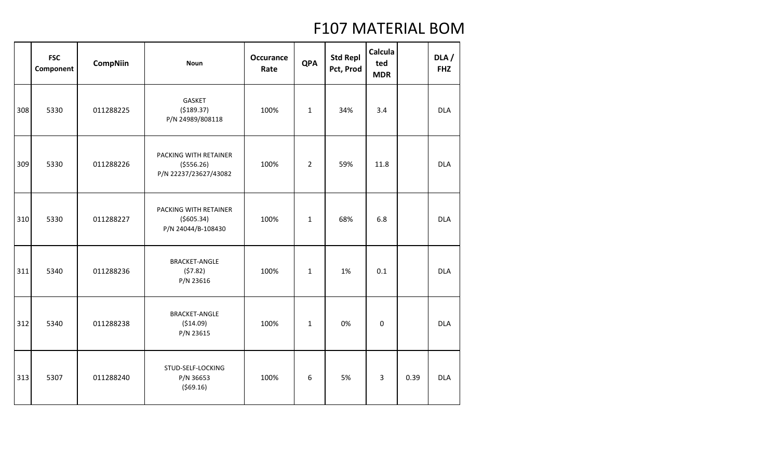|     | <b>FSC</b><br>Component | <b>CompNiin</b> | <b>Noun</b>                                                   | <b>Occurance</b><br>Rate | <b>QPA</b>     | <b>Std Repl</b><br>Pct, Prod | Calcula<br>ted<br><b>MDR</b> |      | DLA/<br><b>FHZ</b> |
|-----|-------------------------|-----------------|---------------------------------------------------------------|--------------------------|----------------|------------------------------|------------------------------|------|--------------------|
| 308 | 5330                    | 011288225       | GASKET<br>( \$189.37)<br>P/N 24989/808118                     | 100%                     | $\mathbf{1}$   | 34%                          | 3.4                          |      | <b>DLA</b>         |
| 309 | 5330                    | 011288226       | PACKING WITH RETAINER<br>( \$556.26)<br>P/N 22237/23627/43082 | 100%                     | $\overline{2}$ | 59%                          | 11.8                         |      | <b>DLA</b>         |
| 310 | 5330                    | 011288227       | PACKING WITH RETAINER<br>( \$605.34)<br>P/N 24044/B-108430    | 100%                     | $\mathbf{1}$   | 68%                          | 6.8                          |      | <b>DLA</b>         |
| 311 | 5340                    | 011288236       | <b>BRACKET-ANGLE</b><br>(57.82)<br>P/N 23616                  | 100%                     | $\mathbf{1}$   | 1%                           | 0.1                          |      | <b>DLA</b>         |
| 312 | 5340                    | 011288238       | <b>BRACKET-ANGLE</b><br>( \$14.09)<br>P/N 23615               | 100%                     | $\mathbf{1}$   | 0%                           | $\mathbf 0$                  |      | <b>DLA</b>         |
| 313 | 5307                    | 011288240       | STUD-SELF-LOCKING<br>P/N 36653<br>(569.16)                    | 100%                     | 6              | 5%                           | 3                            | 0.39 | <b>DLA</b>         |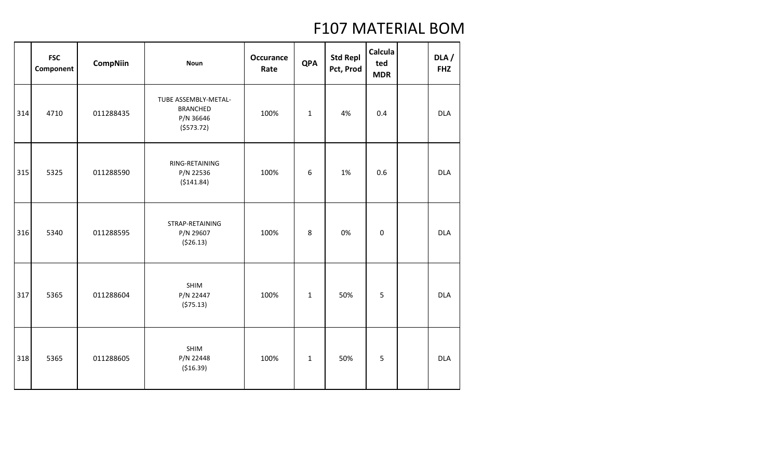|     | <b>FSC</b><br>Component | <b>CompNiin</b> | <b>Noun</b>                                                       | <b>Occurance</b><br>Rate | <b>QPA</b>   | <b>Std Repl</b><br>Pct, Prod | Calcula<br>ted<br><b>MDR</b> | DLA/<br><b>FHZ</b> |
|-----|-------------------------|-----------------|-------------------------------------------------------------------|--------------------------|--------------|------------------------------|------------------------------|--------------------|
| 314 | 4710                    | 011288435       | TUBE ASSEMBLY-METAL-<br><b>BRANCHED</b><br>P/N 36646<br>(5573.72) | 100%                     | $\mathbf{1}$ | 4%                           | 0.4                          | <b>DLA</b>         |
| 315 | 5325                    | 011288590       | RING-RETAINING<br>P/N 22536<br>(5141.84)                          | 100%                     | 6            | 1%                           | 0.6                          | <b>DLA</b>         |
| 316 | 5340                    | 011288595       | STRAP-RETAINING<br>P/N 29607<br>(526.13)                          | 100%                     | 8            | 0%                           | $\boldsymbol{0}$             | <b>DLA</b>         |
| 317 | 5365                    | 011288604       | SHIM<br>P/N 22447<br>(575.13)                                     | 100%                     | $\mathbf{1}$ | 50%                          | 5                            | <b>DLA</b>         |
| 318 | 5365                    | 011288605       | SHIM<br>P/N 22448<br>( \$16.39)                                   | 100%                     | $\mathbf{1}$ | 50%                          | 5                            | <b>DLA</b>         |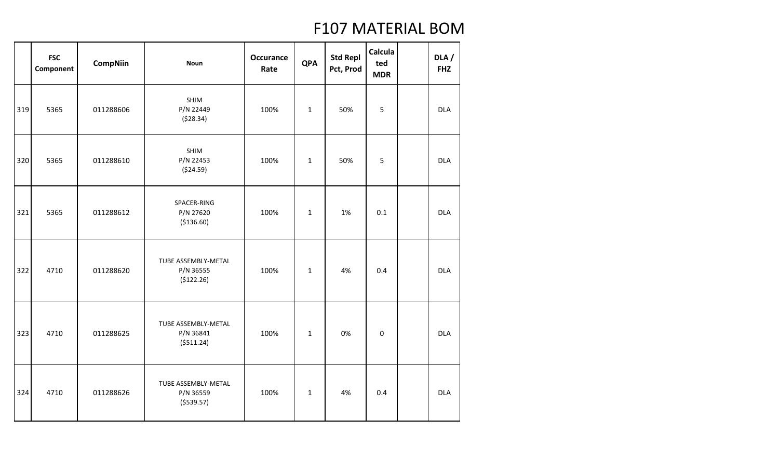|     | <b>FSC</b><br>Component | <b>CompNiin</b> | <b>Noun</b>                                     | <b>Occurance</b><br>Rate | <b>QPA</b>   | <b>Std Repl</b><br>Pct, Prod | Calcula<br>ted<br><b>MDR</b> | DLA/<br><b>FHZ</b> |
|-----|-------------------------|-----------------|-------------------------------------------------|--------------------------|--------------|------------------------------|------------------------------|--------------------|
| 319 | 5365                    | 011288606       | <b>SHIM</b><br>P/N 22449<br>(528.34)            | 100%                     | $\mathbf{1}$ | 50%                          | 5                            | <b>DLA</b>         |
| 320 | 5365                    | 011288610       | <b>SHIM</b><br>P/N 22453<br>( \$24.59)          | 100%                     | $\mathbf 1$  | 50%                          | 5                            | <b>DLA</b>         |
| 321 | 5365                    | 011288612       | SPACER-RING<br>P/N 27620<br>(\$136.60)          | 100%                     | $\mathbf{1}$ | 1%                           | 0.1                          | <b>DLA</b>         |
| 322 | 4710                    | 011288620       | TUBE ASSEMBLY-METAL<br>P/N 36555<br>(\$122.26)  | 100%                     | $\mathbf{1}$ | 4%                           | 0.4                          | <b>DLA</b>         |
| 323 | 4710                    | 011288625       | TUBE ASSEMBLY-METAL<br>P/N 36841<br>( \$511.24) | 100%                     | $\mathbf{1}$ | 0%                           | $\boldsymbol{0}$             | <b>DLA</b>         |
| 324 | 4710                    | 011288626       | TUBE ASSEMBLY-METAL<br>P/N 36559<br>( \$539.57) | 100%                     | $\mathbf 1$  | 4%                           | 0.4                          | <b>DLA</b>         |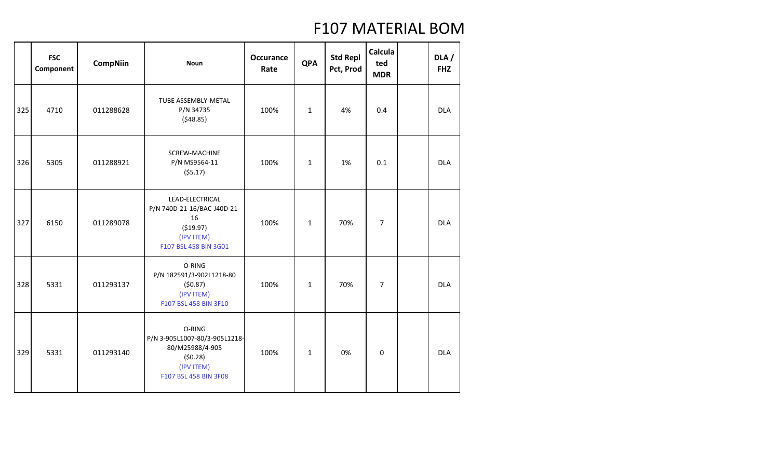|     | <b>FSC</b><br>Component | <b>CompNiin</b> | <b>Noun</b>                                                                                                  | <b>Occurance</b><br>Rate | <b>QPA</b>   | <b>Std Repl</b><br>Pct, Prod | Calcula<br>ted<br><b>MDR</b> | DLA/<br><b>FHZ</b> |
|-----|-------------------------|-----------------|--------------------------------------------------------------------------------------------------------------|--------------------------|--------------|------------------------------|------------------------------|--------------------|
| 325 | 4710                    | 011288628       | <b>TUBE ASSEMBLY-METAL</b><br>P/N 34735<br>(548.85)                                                          | 100%                     | $\mathbf{1}$ | 4%                           | 0.4                          | <b>DLA</b>         |
| 326 | 5305                    | 011288921       | SCREW-MACHINE<br>P/N MS9564-11<br>(55.17)                                                                    | 100%                     | $\mathbf{1}$ | 1%                           | 0.1                          | <b>DLA</b>         |
| 327 | 6150                    | 011289078       | LEAD-ELECTRICAL<br>P/N 740D-21-16/BAC-J40D-21-<br>16<br>( \$19.97)<br>(IPV ITEM)<br>F107 BSL 458 BIN 3G01    | 100%                     | $\mathbf{1}$ | 70%                          | $\overline{7}$               | <b>DLA</b>         |
| 328 | 5331                    | 011293137       | O-RING<br>P/N 182591/3-902L1218-80<br>(50.87)<br>(IPV ITEM)<br>F107 BSL 458 BIN 3F10                         | 100%                     | $\mathbf{1}$ | 70%                          | $\overline{7}$               | <b>DLA</b>         |
| 329 | 5331                    | 011293140       | O-RING<br>P/N 3-905L1007-80/3-905L1218-<br>80/M25988/4-905<br>(50.28)<br>(IPV ITEM)<br>F107 BSL 458 BIN 3F08 | 100%                     | $\mathbf{1}$ | 0%                           | $\mathbf 0$                  | <b>DLA</b>         |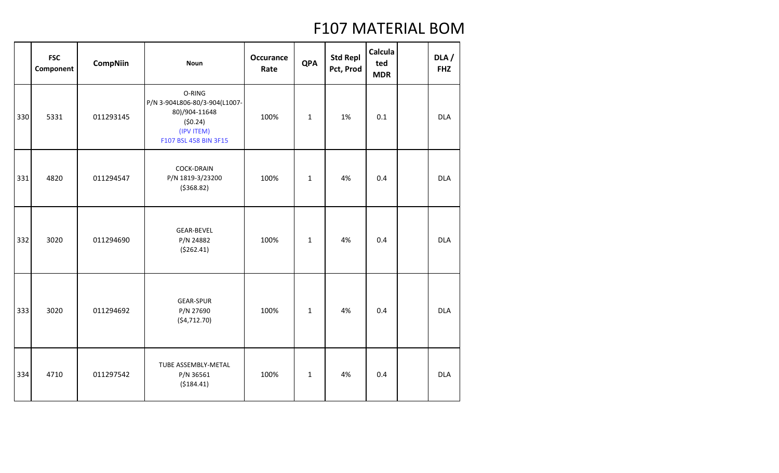|     | <b>FSC</b><br>Component | <b>CompNiin</b> | <b>Noun</b>                                                                                                | <b>Occurance</b><br>Rate | <b>QPA</b>   | <b>Std Repl</b><br>Pct, Prod | Calcula<br>ted<br><b>MDR</b> | DLA /<br><b>FHZ</b> |
|-----|-------------------------|-----------------|------------------------------------------------------------------------------------------------------------|--------------------------|--------------|------------------------------|------------------------------|---------------------|
| 330 | 5331                    | 011293145       | O-RING<br>P/N 3-904L806-80/3-904(L1007-<br>80)/904-11648<br>(50.24)<br>(IPV ITEM)<br>F107 BSL 458 BIN 3F15 | 100%                     | $\mathbf{1}$ | 1%                           | 0.1                          | <b>DLA</b>          |
| 331 | 4820                    | 011294547       | <b>COCK-DRAIN</b><br>P/N 1819-3/23200<br>( \$368.82)                                                       | 100%                     | $\mathbf 1$  | 4%                           | 0.4                          | <b>DLA</b>          |
| 332 | 3020                    | 011294690       | <b>GEAR-BEVEL</b><br>P/N 24882<br>(5262.41)                                                                | 100%                     | $\mathbf{1}$ | 4%                           | 0.4                          | <b>DLA</b>          |
| 333 | 3020                    | 011294692       | <b>GEAR-SPUR</b><br>P/N 27690<br>(54, 712.70)                                                              | 100%                     | $1\,$        | 4%                           | 0.4                          | <b>DLA</b>          |
| 334 | 4710                    | 011297542       | TUBE ASSEMBLY-METAL<br>P/N 36561<br>( \$184.41)                                                            | 100%                     | $\mathbf{1}$ | 4%                           | 0.4                          | <b>DLA</b>          |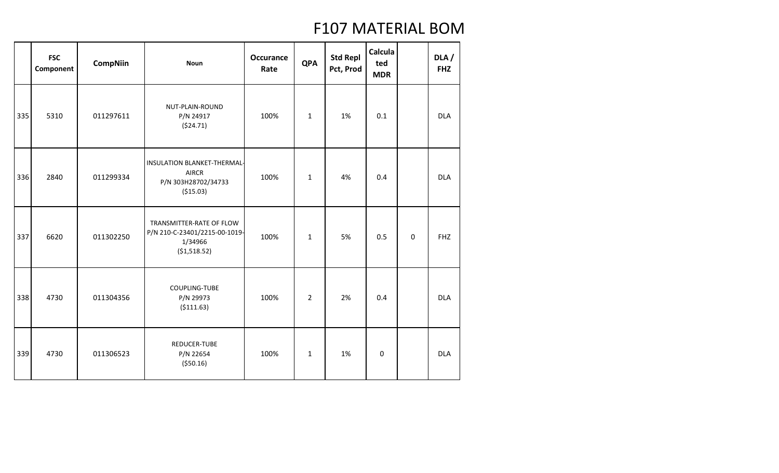|     | <b>FSC</b><br>Component | <b>CompNiin</b> | <b>Noun</b>                                                                           | <b>Occurance</b><br>Rate | <b>QPA</b>     | <b>Std Repl</b><br>Pct, Prod | Calcula<br>ted<br><b>MDR</b> |          | DLA/<br><b>FHZ</b> |
|-----|-------------------------|-----------------|---------------------------------------------------------------------------------------|--------------------------|----------------|------------------------------|------------------------------|----------|--------------------|
| 335 | 5310                    | 011297611       | NUT-PLAIN-ROUND<br>P/N 24917<br>(524.71)                                              | 100%                     | $\mathbf{1}$   | 1%                           | 0.1                          |          | <b>DLA</b>         |
| 336 | 2840                    | 011299334       | INSULATION BLANKET-THERMAL-<br><b>AIRCR</b><br>P/N 303H28702/34733<br>( \$15.03)      | 100%                     | $\mathbf{1}$   | 4%                           | 0.4                          |          | <b>DLA</b>         |
| 337 | 6620                    | 011302250       | TRANSMITTER-RATE OF FLOW<br>P/N 210-C-23401/2215-00-1019-<br>1/34966<br>( \$1,518.52) | 100%                     | $\mathbf{1}$   | 5%                           | 0.5                          | $\Omega$ | <b>FHZ</b>         |
| 338 | 4730                    | 011304356       | COUPLING-TUBE<br>P/N 29973<br>( \$111.63)                                             | 100%                     | $\overline{2}$ | 2%                           | 0.4                          |          | <b>DLA</b>         |
| 339 | 4730                    | 011306523       | REDUCER-TUBE<br>P/N 22654<br>( \$50.16)                                               | 100%                     | $\mathbf{1}$   | 1%                           | $\mathbf 0$                  |          | <b>DLA</b>         |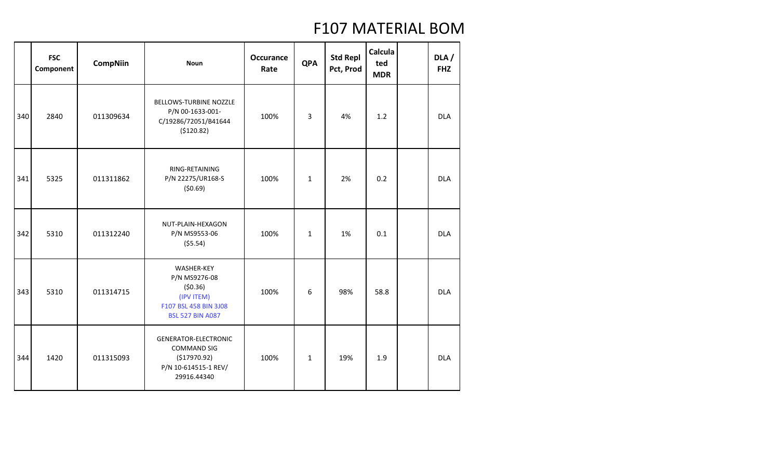|     | <b>FSC</b><br>Component | <b>CompNiin</b> | <b>Noun</b>                                                                                               | <b>Occurance</b><br>Rate | <b>QPA</b>   | <b>Std Repl</b><br>Pct, Prod | <b>Calcula</b><br>ted<br><b>MDR</b> | DLA /<br><b>FHZ</b> |
|-----|-------------------------|-----------------|-----------------------------------------------------------------------------------------------------------|--------------------------|--------------|------------------------------|-------------------------------------|---------------------|
| 340 | 2840                    | 011309634       | BELLOWS-TURBINE NOZZLE<br>P/N 00-1633-001-<br>C/19286/72051/B41644<br>(\$120.82)                          | 100%                     | 3            | 4%                           | 1.2                                 | <b>DLA</b>          |
| 341 | 5325                    | 011311862       | RING-RETAINING<br>P/N 22275/UR168-S<br>(50.69)                                                            | 100%                     | $\mathbf{1}$ | 2%                           | 0.2                                 | <b>DLA</b>          |
| 342 | 5310                    | 011312240       | NUT-PLAIN-HEXAGON<br>P/N MS9553-06<br>(55.54)                                                             | 100%                     | $\mathbf{1}$ | 1%                           | 0.1                                 | <b>DLA</b>          |
| 343 | 5310                    | 011314715       | WASHER-KEY<br>P/N MS9276-08<br>(50.36)<br>(IPV ITEM)<br>F107 BSL 458 BIN 3J08<br><b>BSL 527 BIN A087</b>  | 100%                     | 6            | 98%                          | 58.8                                | <b>DLA</b>          |
| 344 | 1420                    | 011315093       | <b>GENERATOR-ELECTRONIC</b><br><b>COMMAND SIG</b><br>( \$17970.92)<br>P/N 10-614515-1 REV/<br>29916.44340 | 100%                     | $\mathbf 1$  | 19%                          | 1.9                                 | <b>DLA</b>          |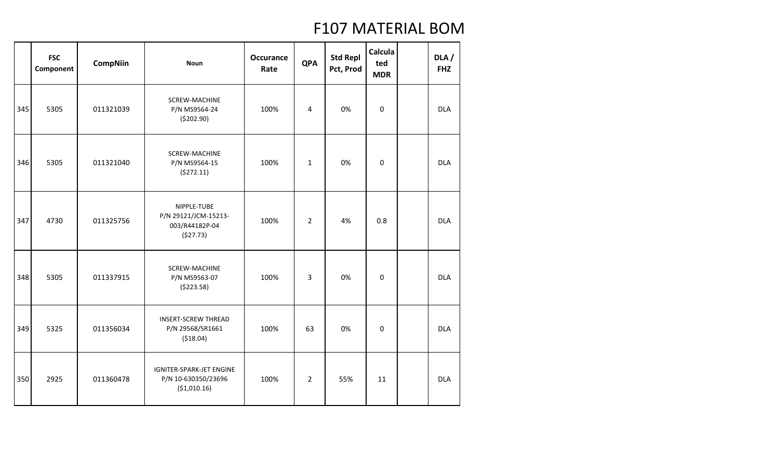|     | <b>FSC</b><br>Component | <b>CompNiin</b> | <b>Noun</b>                                                        | <b>Occurance</b><br>Rate | <b>QPA</b>     | <b>Std Repl</b><br>Pct, Prod | Calcula<br>ted<br><b>MDR</b> | DLA/<br><b>FHZ</b> |
|-----|-------------------------|-----------------|--------------------------------------------------------------------|--------------------------|----------------|------------------------------|------------------------------|--------------------|
| 345 | 5305                    | 011321039       | SCREW-MACHINE<br>P/N MS9564-24<br>(\$202.90)                       | 100%                     | 4              | 0%                           | 0                            | <b>DLA</b>         |
| 346 | 5305                    | 011321040       | SCREW-MACHINE<br>P/N MS9564-15<br>(5272.11)                        | 100%                     | $\mathbf{1}$   | 0%                           | $\mathbf 0$                  | <b>DLA</b>         |
| 347 | 4730                    | 011325756       | NIPPLE-TUBE<br>P/N 29121/JCM-15213-<br>003/R44182P-04<br>(\$27.73) | 100%                     | $\overline{2}$ | 4%                           | 0.8                          | <b>DLA</b>         |
| 348 | 5305                    | 011337915       | SCREW-MACHINE<br>P/N MS9563-07<br>(5223.58)                        | 100%                     | 3              | 0%                           | $\mathbf 0$                  | <b>DLA</b>         |
| 349 | 5325                    | 011356034       | <b>INSERT-SCREW THREAD</b><br>P/N 29568/SR1661<br>( \$18.04)       | 100%                     | 63             | 0%                           | $\mathbf 0$                  | <b>DLA</b>         |
| 350 | 2925                    | 011360478       | IGNITER-SPARK-JET ENGINE<br>P/N 10-630350/23696<br>(\$1,010.16)    | 100%                     | $\overline{2}$ | 55%                          | 11                           | <b>DLA</b>         |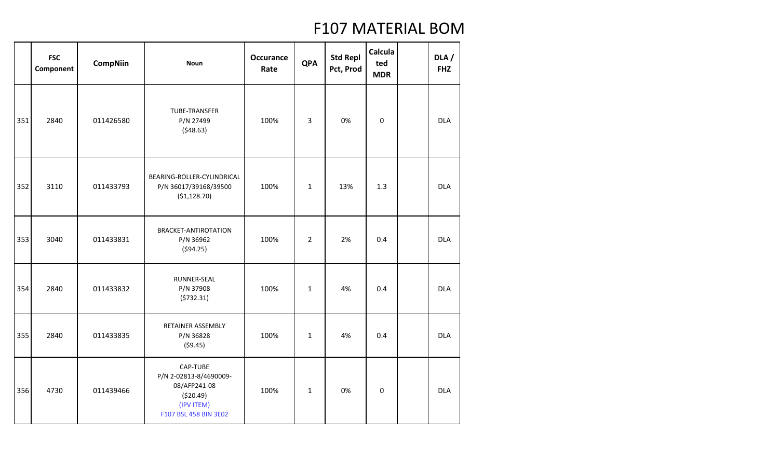|     | <b>FSC</b><br>Component | <b>CompNiin</b> | <b>Noun</b>                                                                                             | <b>Occurance</b><br>Rate | <b>QPA</b>     | <b>Std Repl</b><br>Pct, Prod | Calcula<br>ted<br><b>MDR</b> | DLA/<br><b>FHZ</b> |
|-----|-------------------------|-----------------|---------------------------------------------------------------------------------------------------------|--------------------------|----------------|------------------------------|------------------------------|--------------------|
| 351 | 2840                    | 011426580       | <b>TUBE-TRANSFER</b><br>P/N 27499<br>(548.63)                                                           | 100%                     | 3              | 0%                           | $\boldsymbol{0}$             | <b>DLA</b>         |
| 352 | 3110                    | 011433793       | BEARING-ROLLER-CYLINDRICAL<br>P/N 36017/39168/39500<br>(51, 128.70)                                     | 100%                     | $\mathbf{1}$   | 13%                          | 1.3                          | <b>DLA</b>         |
| 353 | 3040                    | 011433831       | BRACKET-ANTIROTATION<br>P/N 36962<br>(594.25)                                                           | 100%                     | $\overline{2}$ | 2%                           | 0.4                          | <b>DLA</b>         |
| 354 | 2840                    | 011433832       | RUNNER-SEAL<br>P/N 37908<br>(5732.31)                                                                   | 100%                     | $\mathbf{1}$   | 4%                           | 0.4                          | <b>DLA</b>         |
| 355 | 2840                    | 011433835       | RETAINER ASSEMBLY<br>P/N 36828<br>(59.45)                                                               | 100%                     | $\mathbf{1}$   | 4%                           | 0.4                          | <b>DLA</b>         |
| 356 | 4730                    | 011439466       | CAP-TUBE<br>P/N 2-02813-8/4690009-<br>08/AFP241-08<br>( \$20.49)<br>(IPV ITEM)<br>F107 BSL 458 BIN 3E02 | 100%                     | $\mathbf{1}$   | 0%                           | $\boldsymbol{0}$             | <b>DLA</b>         |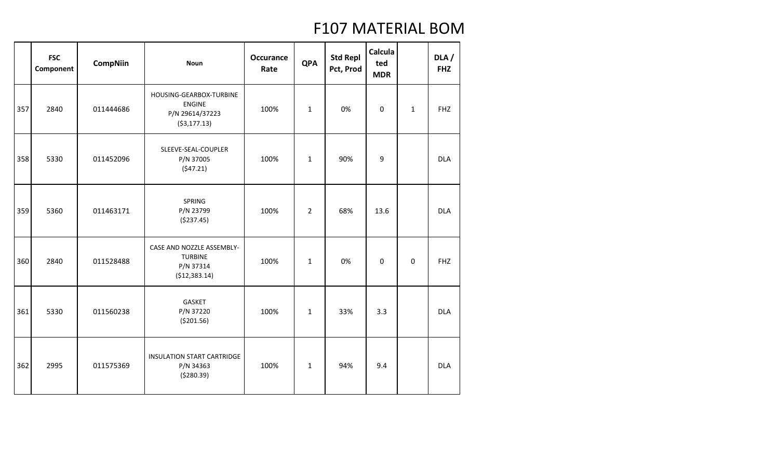|     | <b>FSC</b><br>Component | <b>CompNiin</b> | <b>Noun</b>                                                                  | <b>Occurance</b><br>Rate | <b>QPA</b>     | <b>Std Repl</b><br>Pct, Prod | Calcula<br>ted<br><b>MDR</b> |              | DLA /<br><b>FHZ</b> |
|-----|-------------------------|-----------------|------------------------------------------------------------------------------|--------------------------|----------------|------------------------------|------------------------------|--------------|---------------------|
| 357 | 2840                    | 011444686       | HOUSING-GEARBOX-TURBINE<br><b>ENGINE</b><br>P/N 29614/37223<br>( \$3,177.13) | 100%                     | $\mathbf{1}$   | 0%                           | 0                            | $\mathbf{1}$ | <b>FHZ</b>          |
| 358 | 5330                    | 011452096       | SLEEVE-SEAL-COUPLER<br>P/N 37005<br>(547.21)                                 | 100%                     | $\mathbf{1}$   | 90%                          | 9                            |              | <b>DLA</b>          |
| 359 | 5360                    | 011463171       | SPRING<br>P/N 23799<br>(\$237.45)                                            | 100%                     | $\overline{2}$ | 68%                          | 13.6                         |              | <b>DLA</b>          |
| 360 | 2840                    | 011528488       | CASE AND NOZZLE ASSEMBLY-<br><b>TURBINE</b><br>P/N 37314<br>(\$12,383.14)    | 100%                     | $\mathbf{1}$   | 0%                           | 0                            | 0            | <b>FHZ</b>          |
| 361 | 5330                    | 011560238       | <b>GASKET</b><br>P/N 37220<br>( \$201.56)                                    | 100%                     | $\mathbf{1}$   | 33%                          | 3.3                          |              | <b>DLA</b>          |
| 362 | 2995                    | 011575369       | <b>INSULATION START CARTRIDGE</b><br>P/N 34363<br>( \$280.39)                | 100%                     | $\mathbf{1}$   | 94%                          | 9.4                          |              | <b>DLA</b>          |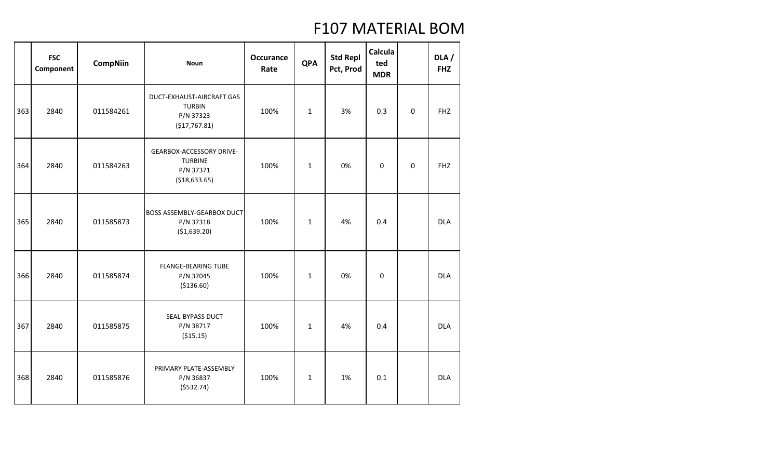|     | <b>FSC</b><br>Component | <b>CompNiin</b> | <b>Noun</b>                                                               | <b>Occurance</b><br>Rate | <b>QPA</b>   | <b>Std Repl</b><br>Pct, Prod | Calcula<br>ted<br><b>MDR</b> |             | DLA/<br><b>FHZ</b> |
|-----|-------------------------|-----------------|---------------------------------------------------------------------------|--------------------------|--------------|------------------------------|------------------------------|-------------|--------------------|
| 363 | 2840                    | 011584261       | DUCT-EXHAUST-AIRCRAFT GAS<br><b>TURBIN</b><br>P/N 37323<br>(\$17,767.81)  | 100%                     | $\mathbf{1}$ | 3%                           | 0.3                          | $\mathbf 0$ | <b>FHZ</b>         |
| 364 | 2840                    | 011584263       | GEARBOX-ACCESSORY DRIVE-<br><b>TURBINE</b><br>P/N 37371<br>( \$18,633.65) | 100%                     | $\mathbf{1}$ | 0%                           | 0                            | $\mathbf 0$ | <b>FHZ</b>         |
| 365 | 2840                    | 011585873       | <b>BOSS ASSEMBLY-GEARBOX DUCT</b><br>P/N 37318<br>(\$1,639.20)            | 100%                     | $\mathbf{1}$ | 4%                           | 0.4                          |             | <b>DLA</b>         |
| 366 | 2840                    | 011585874       | <b>FLANGE-BEARING TUBE</b><br>P/N 37045<br>( \$136.60)                    | 100%                     | $\mathbf{1}$ | 0%                           | 0                            |             | <b>DLA</b>         |
| 367 | 2840                    | 011585875       | SEAL-BYPASS DUCT<br>P/N 38717<br>( \$15.15)                               | 100%                     | $\mathbf{1}$ | 4%                           | 0.4                          |             | <b>DLA</b>         |
| 368 | 2840                    | 011585876       | PRIMARY PLATE-ASSEMBLY<br>P/N 36837<br>( \$532.74)                        | 100%                     | $\mathbf{1}$ | 1%                           | 0.1                          |             | <b>DLA</b>         |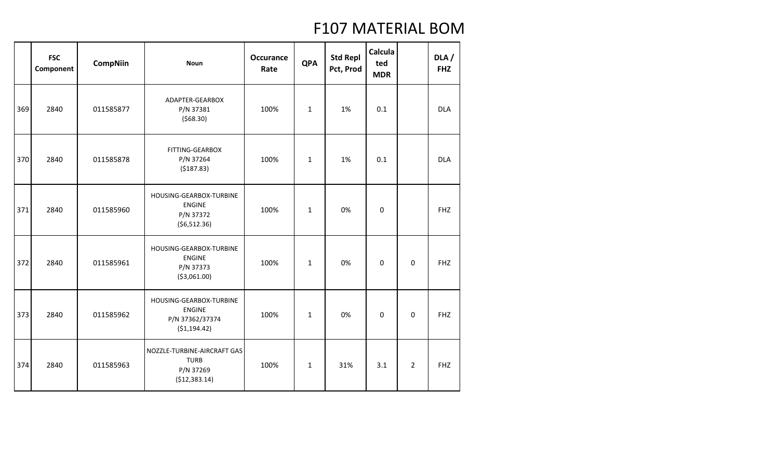|     | <b>FSC</b><br>Component | <b>CompNiin</b> | <b>Noun</b>                                                                  | <b>Occurance</b><br>Rate | <b>QPA</b>   | <b>Std Repl</b><br>Pct, Prod | Calcula<br>ted<br><b>MDR</b> |                | DLA/<br><b>FHZ</b> |
|-----|-------------------------|-----------------|------------------------------------------------------------------------------|--------------------------|--------------|------------------------------|------------------------------|----------------|--------------------|
| 369 | 2840                    | 011585877       | ADAPTER-GEARBOX<br>P/N 37381<br>(568.30)                                     | 100%                     | $\mathbf{1}$ | 1%                           | 0.1                          |                | <b>DLA</b>         |
| 370 | 2840                    | 011585878       | FITTING-GEARBOX<br>P/N 37264<br>(5187.83)                                    | 100%                     | $\mathbf{1}$ | 1%                           | 0.1                          |                | <b>DLA</b>         |
| 371 | 2840                    | 011585960       | HOUSING-GEARBOX-TURBINE<br><b>ENGINE</b><br>P/N 37372<br>(56, 512.36)        | 100%                     | $\mathbf{1}$ | 0%                           | $\boldsymbol{0}$             |                | <b>FHZ</b>         |
| 372 | 2840                    | 011585961       | HOUSING-GEARBOX-TURBINE<br><b>ENGINE</b><br>P/N 37373<br>( \$3,061.00)       | 100%                     | $\mathbf{1}$ | 0%                           | $\mathbf 0$                  | $\mathbf 0$    | <b>FHZ</b>         |
| 373 | 2840                    | 011585962       | HOUSING-GEARBOX-TURBINE<br><b>ENGINE</b><br>P/N 37362/37374<br>( \$1,194.42) | 100%                     | $\mathbf{1}$ | 0%                           | $\mathbf 0$                  | $\mathbf 0$    | <b>FHZ</b>         |
| 374 | 2840                    | 011585963       | NOZZLE-TURBINE-AIRCRAFT GAS<br><b>TURB</b><br>P/N 37269<br>(\$12,383.14)     | 100%                     | $\mathbf{1}$ | 31%                          | 3.1                          | $\overline{2}$ | <b>FHZ</b>         |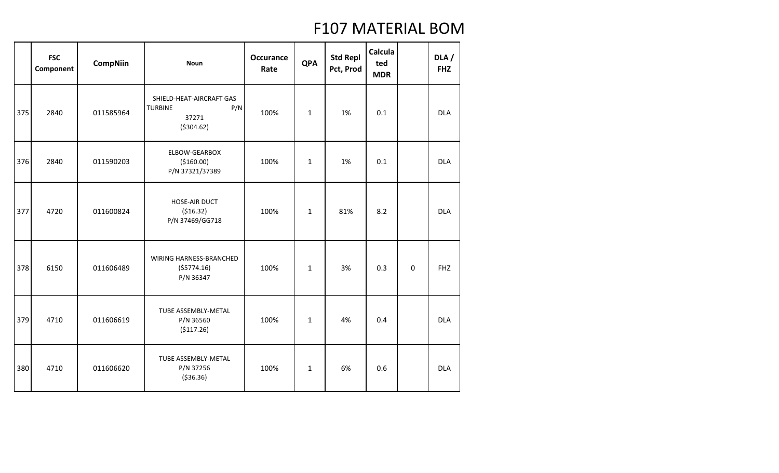|     | <b>FSC</b><br>Component | <b>CompNiin</b> | <b>Noun</b>                                                               | <b>Occurance</b><br>Rate | <b>QPA</b>   | <b>Std Repl</b><br>Pct, Prod | Calcula<br>ted<br><b>MDR</b> |             | DLA /<br><b>FHZ</b> |
|-----|-------------------------|-----------------|---------------------------------------------------------------------------|--------------------------|--------------|------------------------------|------------------------------|-------------|---------------------|
| 375 | 2840                    | 011585964       | SHIELD-HEAT-AIRCRAFT GAS<br>P/N<br><b>TURBINE</b><br>37271<br>( \$304.62) | 100%                     | $\mathbf{1}$ | 1%                           | 0.1                          |             | <b>DLA</b>          |
| 376 | 2840                    | 011590203       | ELBOW-GEARBOX<br>(\$160.00)<br>P/N 37321/37389                            | 100%                     | $\mathbf{1}$ | 1%                           | 0.1                          |             | <b>DLA</b>          |
| 377 | 4720                    | 011600824       | HOSE-AIR DUCT<br>( \$16.32)<br>P/N 37469/GG718                            | 100%                     | $\mathbf 1$  | 81%                          | 8.2                          |             | <b>DLA</b>          |
| 378 | 6150                    | 011606489       | WIRING HARNESS-BRANCHED<br>(55774.16)<br>P/N 36347                        | 100%                     | $\mathbf{1}$ | 3%                           | 0.3                          | $\mathbf 0$ | <b>FHZ</b>          |
| 379 | 4710                    | 011606619       | TUBE ASSEMBLY-METAL<br>P/N 36560<br>(\$117.26)                            | 100%                     | $\mathbf{1}$ | 4%                           | 0.4                          |             | <b>DLA</b>          |
| 380 | 4710                    | 011606620       | TUBE ASSEMBLY-METAL<br>P/N 37256<br>( \$36.36)                            | 100%                     | $\mathbf{1}$ | 6%                           | 0.6                          |             | <b>DLA</b>          |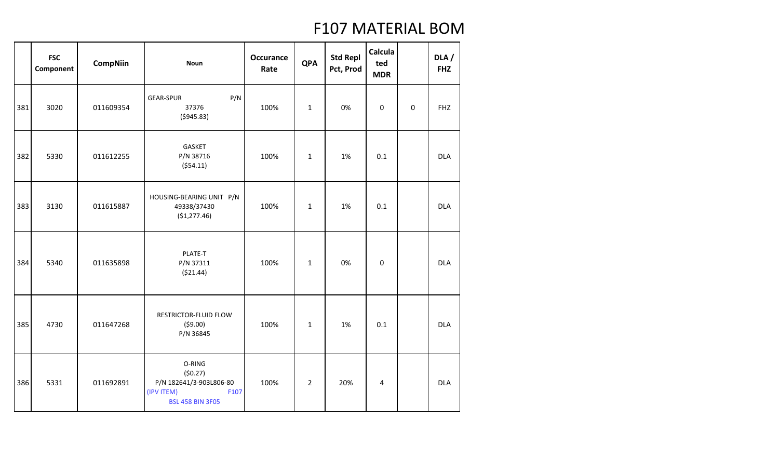|     | <b>FSC</b><br>Component | <b>CompNiin</b> | <b>Noun</b>                                                                                   | <b>Occurance</b><br>Rate | <b>QPA</b>     | <b>Std Repl</b><br>Pct, Prod | Calcula<br>ted<br><b>MDR</b> |   | DLA/<br><b>FHZ</b> |
|-----|-------------------------|-----------------|-----------------------------------------------------------------------------------------------|--------------------------|----------------|------------------------------|------------------------------|---|--------------------|
| 381 | 3020                    | 011609354       | P/N<br><b>GEAR-SPUR</b><br>37376<br>( \$945.83)                                               | 100%                     | $\mathbf{1}$   | 0%                           | $\mathbf 0$                  | 0 | <b>FHZ</b>         |
| 382 | 5330                    | 011612255       | <b>GASKET</b><br>P/N 38716<br>(554.11)                                                        | 100%                     | $\mathbf{1}$   | 1%                           | 0.1                          |   | <b>DLA</b>         |
| 383 | 3130                    | 011615887       | HOUSING-BEARING UNIT P/N<br>49338/37430<br>(\$1,277.46)                                       | 100%                     | $\mathbf{1}$   | 1%                           | 0.1                          |   | <b>DLA</b>         |
| 384 | 5340                    | 011635898       | PLATE-T<br>P/N 37311<br>( \$21.44)                                                            | 100%                     | $\mathbf{1}$   | 0%                           | $\boldsymbol{0}$             |   | <b>DLA</b>         |
| 385 | 4730                    | 011647268       | RESTRICTOR-FLUID FLOW<br>(59.00)<br>P/N 36845                                                 | 100%                     | $\mathbf{1}$   | 1%                           | 0.1                          |   | <b>DLA</b>         |
| 386 | 5331                    | 011692891       | O-RING<br>(50.27)<br>P/N 182641/3-903L806-80<br>(IPV ITEM)<br>F107<br><b>BSL 458 BIN 3F05</b> | 100%                     | $\overline{2}$ | 20%                          | 4                            |   | <b>DLA</b>         |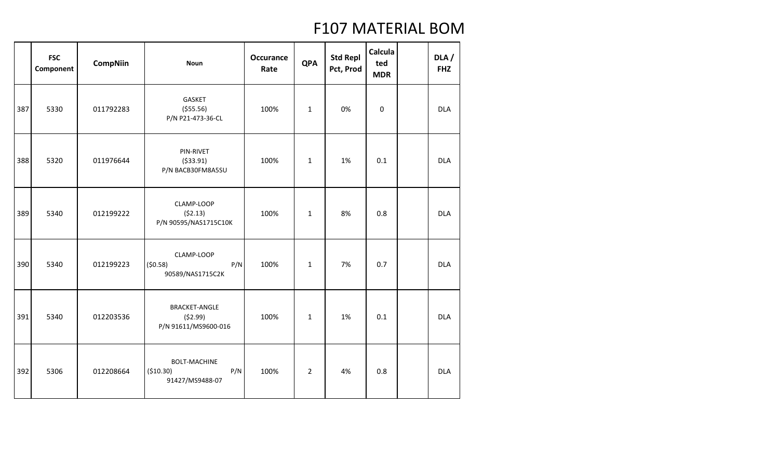|     | <b>FSC</b><br>Component | <b>CompNiin</b> | <b>Noun</b>                                                 | <b>Occurance</b><br>Rate | <b>QPA</b>     | <b>Std Repl</b><br>Pct, Prod | Calcula<br>ted<br><b>MDR</b> | DLA/<br><b>FHZ</b> |
|-----|-------------------------|-----------------|-------------------------------------------------------------|--------------------------|----------------|------------------------------|------------------------------|--------------------|
| 387 | 5330                    | 011792283       | GASKET<br>( \$55.56)<br>P/N P21-473-36-CL                   | 100%                     | $\mathbf{1}$   | 0%                           | 0                            | <b>DLA</b>         |
| 388 | 5320                    | 011976644       | PIN-RIVET<br>( \$33.91)<br>P/N BACB30FM8A5SU                | 100%                     | $\mathbf{1}$   | 1%                           | 0.1                          | <b>DLA</b>         |
| 389 | 5340                    | 012199222       | CLAMP-LOOP<br>(52.13)<br>P/N 90595/NAS1715C10K              | 100%                     | $\mathbf{1}$   | 8%                           | 0.8                          | <b>DLA</b>         |
| 390 | 5340                    | 012199223       | CLAMP-LOOP<br>(50.58)<br>P/N<br>90589/NAS1715C2K            | 100%                     | $\mathbf{1}$   | 7%                           | 0.7                          | <b>DLA</b>         |
| 391 | 5340                    | 012203536       | <b>BRACKET-ANGLE</b><br>(52.99)<br>P/N 91611/MS9600-016     | 100%                     | $\mathbf{1}$   | 1%                           | 0.1                          | <b>DLA</b>         |
| 392 | 5306                    | 012208664       | <b>BOLT-MACHINE</b><br>P/N<br>( \$10.30)<br>91427/MS9488-07 | 100%                     | $\overline{2}$ | 4%                           | 0.8                          | <b>DLA</b>         |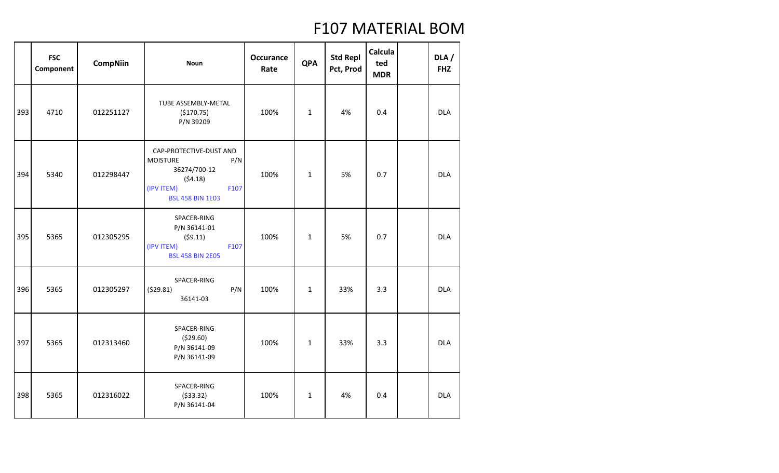|     | <b>FSC</b><br>Component | <b>CompNiin</b> | <b>Noun</b>                                                                                                                   | <b>Occurance</b><br>Rate | <b>QPA</b>   | <b>Std Repl</b><br>Pct, Prod | Calcula<br>ted<br><b>MDR</b> | DLA /<br><b>FHZ</b> |
|-----|-------------------------|-----------------|-------------------------------------------------------------------------------------------------------------------------------|--------------------------|--------------|------------------------------|------------------------------|---------------------|
| 393 | 4710                    | 012251127       | TUBE ASSEMBLY-METAL<br>(\$170.75)<br>P/N 39209                                                                                | 100%                     | $\mathbf 1$  | 4%                           | 0.4                          | <b>DLA</b>          |
| 394 | 5340                    | 012298447       | CAP-PROTECTIVE-DUST AND<br>P/N<br><b>MOISTURE</b><br>36274/700-12<br>(54.18)<br>(IPV ITEM)<br>F107<br><b>BSL 458 BIN 1E03</b> | 100%                     | $\mathbf{1}$ | 5%                           | 0.7                          | <b>DLA</b>          |
| 395 | 5365                    | 012305295       | SPACER-RING<br>P/N 36141-01<br>(59.11)<br>(IPV ITEM)<br>F107<br><b>BSL 458 BIN 2E05</b>                                       | 100%                     | $\mathbf{1}$ | 5%                           | 0.7                          | <b>DLA</b>          |
| 396 | 5365                    | 012305297       | SPACER-RING<br>(529.81)<br>P/N<br>36141-03                                                                                    | 100%                     | $\mathbf{1}$ | 33%                          | 3.3                          | <b>DLA</b>          |
| 397 | 5365                    | 012313460       | SPACER-RING<br>( \$29.60)<br>P/N 36141-09<br>P/N 36141-09                                                                     | 100%                     | $\mathbf 1$  | 33%                          | 3.3                          | <b>DLA</b>          |
| 398 | 5365                    | 012316022       | SPACER-RING<br>( \$33.32)<br>P/N 36141-04                                                                                     | 100%                     | $\mathbf{1}$ | 4%                           | 0.4                          | <b>DLA</b>          |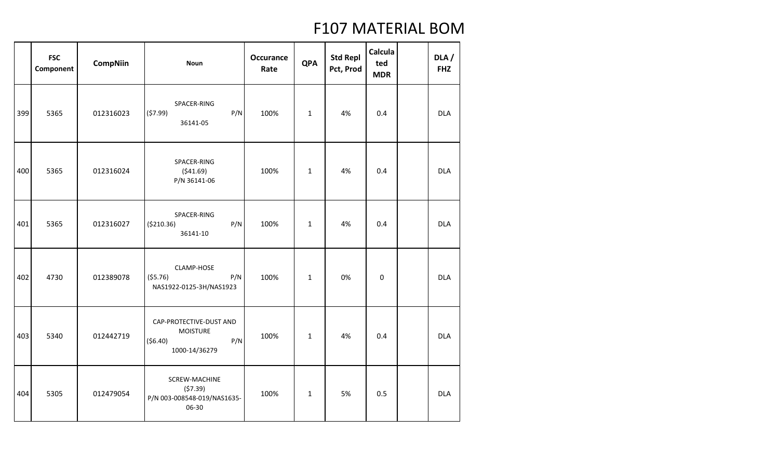|     | <b>FSC</b><br>Component | <b>CompNiin</b> | <b>Noun</b>                                                                     | <b>Occurance</b><br>Rate | <b>QPA</b>   | <b>Std Repl</b><br>Pct, Prod | Calcula<br>ted<br><b>MDR</b> | DLA/<br><b>FHZ</b> |
|-----|-------------------------|-----------------|---------------------------------------------------------------------------------|--------------------------|--------------|------------------------------|------------------------------|--------------------|
| 399 | 5365                    | 012316023       | SPACER-RING<br>P/N<br>(57.99)<br>36141-05                                       | 100%                     | $\mathbf{1}$ | 4%                           | 0.4                          | <b>DLA</b>         |
| 400 | 5365                    | 012316024       | SPACER-RING<br>(541.69)<br>P/N 36141-06                                         | 100%                     | $\mathbf{1}$ | 4%                           | 0.4                          | <b>DLA</b>         |
| 401 | 5365                    | 012316027       | SPACER-RING<br>P/N<br>( \$210.36)<br>36141-10                                   | 100%                     | $\mathbf{1}$ | 4%                           | 0.4                          | <b>DLA</b>         |
| 402 | 4730                    | 012389078       | CLAMP-HOSE<br>(55.76)<br>P/N<br>NAS1922-0125-3H/NAS1923                         | 100%                     | $\mathbf{1}$ | 0%                           | $\boldsymbol{0}$             | <b>DLA</b>         |
| 403 | 5340                    | 012442719       | CAP-PROTECTIVE-DUST AND<br><b>MOISTURE</b><br>( \$6.40)<br>P/N<br>1000-14/36279 | 100%                     | $\mathbf{1}$ | 4%                           | 0.4                          | <b>DLA</b>         |
| 404 | 5305                    | 012479054       | SCREW-MACHINE<br>(57.39)<br>P/N 003-008548-019/NAS1635-<br>06-30                | 100%                     | $\mathbf{1}$ | 5%                           | 0.5                          | <b>DLA</b>         |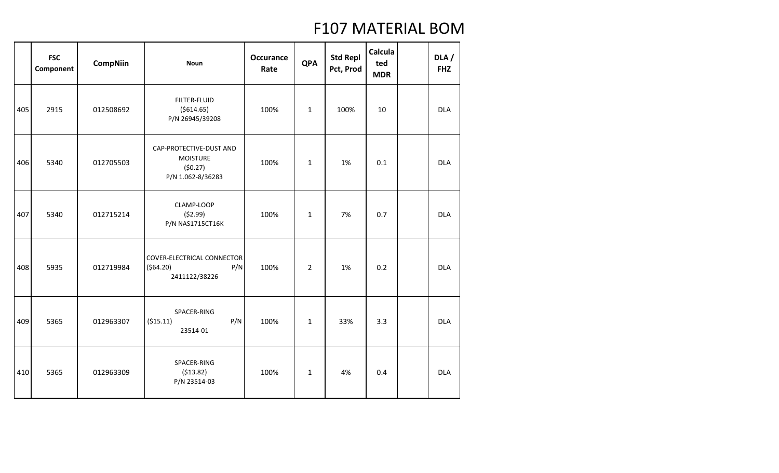|     | <b>FSC</b><br>Component | <b>CompNiin</b> | <b>Noun</b>                                                                | <b>Occurance</b><br>Rate | <b>QPA</b>     | <b>Std Repl</b><br>Pct, Prod | Calcula<br>ted<br><b>MDR</b> | DLA/<br><b>FHZ</b> |
|-----|-------------------------|-----------------|----------------------------------------------------------------------------|--------------------------|----------------|------------------------------|------------------------------|--------------------|
| 405 | 2915                    | 012508692       | FILTER-FLUID<br>( \$614.65)<br>P/N 26945/39208                             | 100%                     | $\mathbf{1}$   | 100%                         | 10                           | <b>DLA</b>         |
| 406 | 5340                    | 012705503       | CAP-PROTECTIVE-DUST AND<br><b>MOISTURE</b><br>(50.27)<br>P/N 1.062-8/36283 | 100%                     | $\mathbf{1}$   | 1%                           | 0.1                          | <b>DLA</b>         |
| 407 | 5340                    | 012715214       | CLAMP-LOOP<br>(52.99)<br><b>P/N NAS1715CT16K</b>                           | 100%                     | $\mathbf{1}$   | 7%                           | 0.7                          | <b>DLA</b>         |
| 408 | 5935                    | 012719984       | <b>COVER-ELECTRICAL CONNECTOR</b><br>(564.20)<br>P/N<br>2411122/38226      | 100%                     | $\overline{2}$ | 1%                           | 0.2                          | <b>DLA</b>         |
| 409 | 5365                    | 012963307       | SPACER-RING<br>P/N<br>( \$15.11)<br>23514-01                               | 100%                     | $\mathbf{1}$   | 33%                          | 3.3                          | <b>DLA</b>         |
| 410 | 5365                    | 012963309       | SPACER-RING<br>(513.82)<br>P/N 23514-03                                    | 100%                     | $\mathbf{1}$   | 4%                           | 0.4                          | <b>DLA</b>         |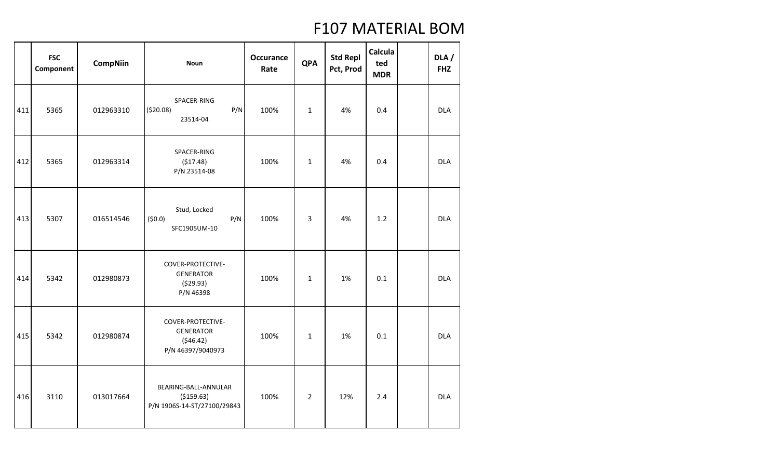|     | <b>FSC</b><br>Component | <b>CompNiin</b> | <b>Noun</b>                                                            | <b>Occurance</b><br>Rate | <b>QPA</b>     | <b>Std Repl</b><br>Pct, Prod | Calcula<br>ted<br><b>MDR</b> | DLA/<br><b>FHZ</b> |
|-----|-------------------------|-----------------|------------------------------------------------------------------------|--------------------------|----------------|------------------------------|------------------------------|--------------------|
| 411 | 5365                    | 012963310       | SPACER-RING<br>( \$20.08)<br>P/N<br>23514-04                           | 100%                     | $\mathbf{1}$   | 4%                           | 0.4                          | <b>DLA</b>         |
| 412 | 5365                    | 012963314       | SPACER-RING<br>(517.48)<br>P/N 23514-08                                | 100%                     | $\mathbf{1}$   | 4%                           | 0.4                          | <b>DLA</b>         |
| 413 | 5307                    | 016514546       | Stud, Locked<br>(50.0)<br>P/N<br>SFC1905UM-10                          | 100%                     | 3              | 4%                           | 1.2                          | <b>DLA</b>         |
| 414 | 5342                    | 012980873       | COVER-PROTECTIVE-<br><b>GENERATOR</b><br>(529.93)<br>P/N 46398         | 100%                     | $\mathbf{1}$   | 1%                           | 0.1                          | <b>DLA</b>         |
| 415 | 5342                    | 012980874       | COVER-PROTECTIVE-<br><b>GENERATOR</b><br>(546.42)<br>P/N 46397/9040973 | 100%                     | $\mathbf{1}$   | 1%                           | 0.1                          | <b>DLA</b>         |
| 416 | 3110                    | 013017664       | BEARING-BALL-ANNULAR<br>( \$159.63)<br>P/N 1906S-14-ST/27100/29843     | 100%                     | $\overline{2}$ | 12%                          | 2.4                          | <b>DLA</b>         |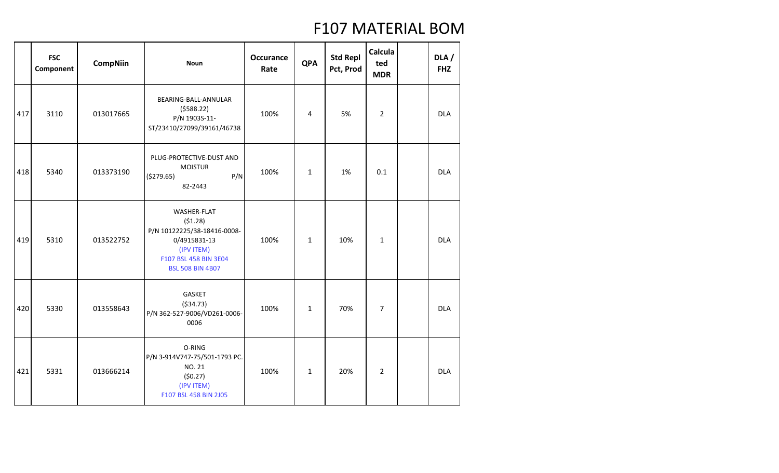|     | <b>FSC</b><br>Component | <b>CompNiin</b> | <b>Noun</b>                                                                                                                             | <b>Occurance</b><br>Rate | <b>QPA</b>   | <b>Std Repl</b><br>Pct, Prod | Calcula<br>ted<br><b>MDR</b> | DLA/<br><b>FHZ</b> |
|-----|-------------------------|-----------------|-----------------------------------------------------------------------------------------------------------------------------------------|--------------------------|--------------|------------------------------|------------------------------|--------------------|
| 417 | 3110                    | 013017665       | BEARING-BALL-ANNULAR<br>(5588.22)<br>P/N 1903S-11-<br>ST/23410/27099/39161/46738                                                        | 100%                     | 4            | 5%                           | $\overline{2}$               | <b>DLA</b>         |
| 418 | 5340                    | 013373190       | PLUG-PROTECTIVE-DUST AND<br><b>MOISTUR</b><br>P/N<br>(\$279.65)<br>82-2443                                                              | 100%                     | $\mathbf{1}$ | 1%                           | 0.1                          | <b>DLA</b>         |
| 419 | 5310                    | 013522752       | WASHER-FLAT<br>(51.28)<br>P/N 10122225/38-18416-0008-<br>0/4915831-13<br>(IPV ITEM)<br>F107 BSL 458 BIN 3E04<br><b>BSL 508 BIN 4B07</b> | 100%                     | $\mathbf{1}$ | 10%                          | $\mathbf{1}$                 | <b>DLA</b>         |
| 420 | 5330                    | 013558643       | GASKET<br>( \$34.73)<br>P/N 362-527-9006/VD261-0006-<br>0006                                                                            | 100%                     | $\mathbf{1}$ | 70%                          | 7                            | <b>DLA</b>         |
| 421 | 5331                    | 013666214       | O-RING<br>P/N 3-914V747-75/501-1793 PC.<br>NO. 21<br>(50.27)<br>(IPV ITEM)<br>F107 BSL 458 BIN 2J05                                     | 100%                     | $\mathbf 1$  | 20%                          | $\overline{2}$               | <b>DLA</b>         |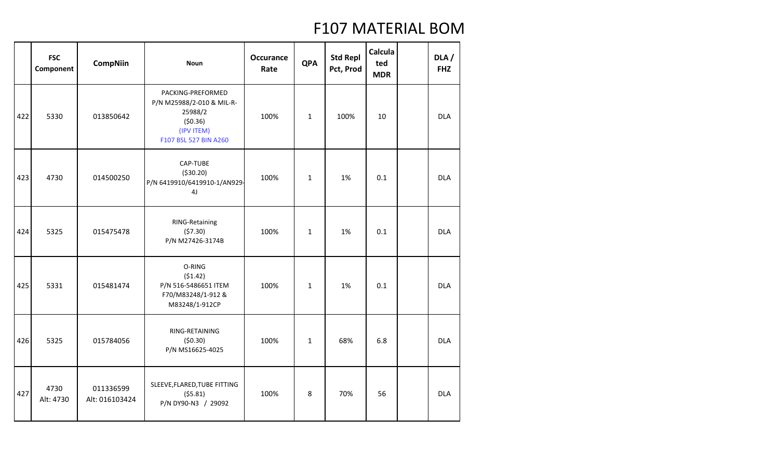|     | <b>FSC</b><br>Component | <b>CompNiin</b>             | <b>Noun</b>                                                                                                 | <b>Occurance</b><br>Rate | <b>QPA</b>   | <b>Std Repl</b><br>Pct, Prod | Calcula<br>ted<br><b>MDR</b> | DLA/<br><b>FHZ</b> |
|-----|-------------------------|-----------------------------|-------------------------------------------------------------------------------------------------------------|--------------------------|--------------|------------------------------|------------------------------|--------------------|
| 422 | 5330                    | 013850642                   | PACKING-PREFORMED<br>P/N M25988/2-010 & MIL-R-<br>25988/2<br>(50.36)<br>(IPV ITEM)<br>F107 BSL 527 BIN A260 | 100%                     | $\mathbf{1}$ | 100%                         | 10                           | <b>DLA</b>         |
| 423 | 4730                    | 014500250                   | CAP-TUBE<br>( \$30.20)<br>P/N 6419910/6419910-1/AN929-<br>4 <sub>J</sub>                                    | 100%                     | $\mathbf{1}$ | 1%                           | 0.1                          | <b>DLA</b>         |
| 424 | 5325                    | 015475478                   | RING-Retaining<br>(57.30)<br>P/N M27426-3174B                                                               | 100%                     | $\mathbf{1}$ | 1%                           | 0.1                          | <b>DLA</b>         |
| 425 | 5331                    | 015481474                   | O-RING<br>(51.42)<br>P/N 516-5486651 ITEM<br>F70/M83248/1-912 &<br>M83248/1-912CP                           | 100%                     | $\mathbf{1}$ | 1%                           | 0.1                          | <b>DLA</b>         |
| 426 | 5325                    | 015784056                   | RING-RETAINING<br>(50.30)<br>P/N MS16625-4025                                                               | 100%                     | $\mathbf{1}$ | 68%                          | 6.8                          | <b>DLA</b>         |
| 427 | 4730<br>Alt: 4730       | 011336599<br>Alt: 016103424 | SLEEVE, FLARED, TUBE FITTING<br>(55.81)<br>P/N DY90-N3 / 29092                                              | 100%                     | 8            | 70%                          | 56                           | <b>DLA</b>         |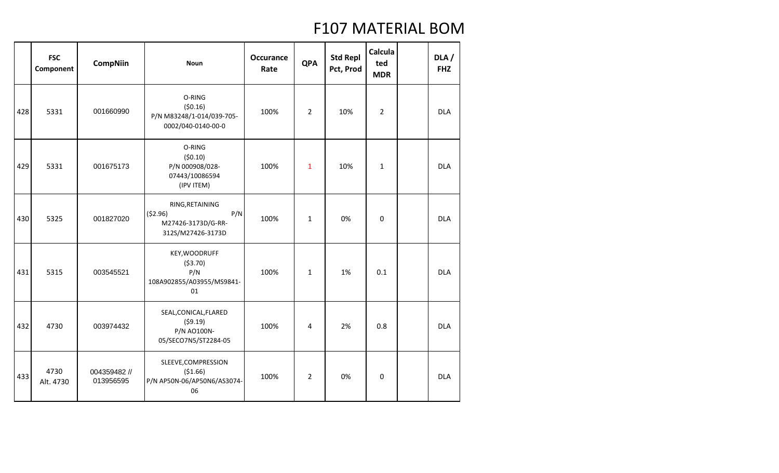|     | <b>FSC</b><br>Component | <b>CompNiin</b>           | <b>Noun</b>                                                                  | <b>Occurance</b><br>Rate | <b>QPA</b>     | <b>Std Repl</b><br>Pct, Prod | Calcula<br>ted<br><b>MDR</b> | DLA /<br><b>FHZ</b> |
|-----|-------------------------|---------------------------|------------------------------------------------------------------------------|--------------------------|----------------|------------------------------|------------------------------|---------------------|
| 428 | 5331                    | 001660990                 | O-RING<br>(50.16)<br>P/N M83248/1-014/039-705-<br>0002/040-0140-00-0         | 100%                     | $\overline{2}$ | 10%                          | $\overline{2}$               | <b>DLA</b>          |
| 429 | 5331                    | 001675173                 | O-RING<br>(50.10)<br>P/N 000908/028-<br>07443/10086594<br>(IPV ITEM)         | 100%                     | $\mathbf{1}$   | 10%                          | $\mathbf{1}$                 | <b>DLA</b>          |
| 430 | 5325                    | 001827020                 | RING, RETAINING<br>(52.96)<br>P/N<br>M27426-3173D/G-RR-<br>312S/M27426-3173D | 100%                     | $\mathbf{1}$   | 0%                           | $\mathbf 0$                  | <b>DLA</b>          |
| 431 | 5315                    | 003545521                 | KEY, WOODRUFF<br>( \$3.70)<br>P/N<br>108A902855/A03955/MS9841-<br>01         | 100%                     | $\mathbf{1}$   | 1%                           | 0.1                          | <b>DLA</b>          |
| 432 | 4730                    | 003974432                 | SEAL, CONICAL, FLARED<br>(59.19)<br>P/N AO100N-<br>05/SECO7N5/ST2284-05      | 100%                     | 4              | 2%                           | 0.8                          | <b>DLA</b>          |
| 433 | 4730<br>Alt. 4730       | 004359482 //<br>013956595 | SLEEVE, COMPRESSION<br>( \$1.66)<br>P/N AP50N-06/AP50N6/AS3074-<br>06        | 100%                     | $\overline{2}$ | 0%                           | $\mathbf 0$                  | <b>DLA</b>          |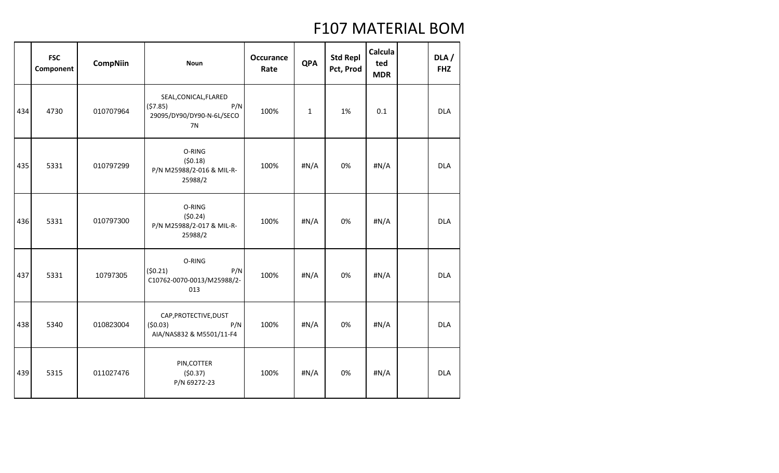|     | <b>FSC</b><br>Component | <b>CompNiin</b> | <b>Noun</b>                                                                | <b>Occurance</b><br>Rate | <b>QPA</b>   | <b>Std Repl</b><br>Pct, Prod | Calcula<br>ted<br><b>MDR</b> | DLA/<br><b>FHZ</b> |
|-----|-------------------------|-----------------|----------------------------------------------------------------------------|--------------------------|--------------|------------------------------|------------------------------|--------------------|
| 434 | 4730                    | 010707964       | SEAL, CONICAL, FLARED<br>(57.85)<br>P/N<br>29095/DY90/DY90-N-6L/SECO<br>7N | 100%                     | $\mathbf{1}$ | 1%                           | 0.1                          | <b>DLA</b>         |
| 435 | 5331                    | 010797299       | O-RING<br>(50.18)<br>P/N M25988/2-016 & MIL-R-<br>25988/2                  | 100%                     | #N/A         | 0%                           | #N/A                         | <b>DLA</b>         |
| 436 | 5331                    | 010797300       | O-RING<br>(50.24)<br>P/N M25988/2-017 & MIL-R-<br>25988/2                  | 100%                     | #N/A         | 0%                           | #N/A                         | <b>DLA</b>         |
| 437 | 5331                    | 10797305        | O-RING<br>(50.21)<br>P/N<br>C10762-0070-0013/M25988/2-<br>013              | 100%                     | H N/A        | 0%                           | #N/A                         | <b>DLA</b>         |
| 438 | 5340                    | 010823004       | CAP, PROTECTIVE, DUST<br>(50.03)<br>P/N<br>AIA/NAS832 & M5501/11-F4        | 100%                     | #N/A         | 0%                           | #N/A                         | <b>DLA</b>         |
| 439 | 5315                    | 011027476       | PIN, COTTER<br>(50.37)<br>P/N 69272-23                                     | 100%                     | #N/A         | 0%                           | #N/A                         | <b>DLA</b>         |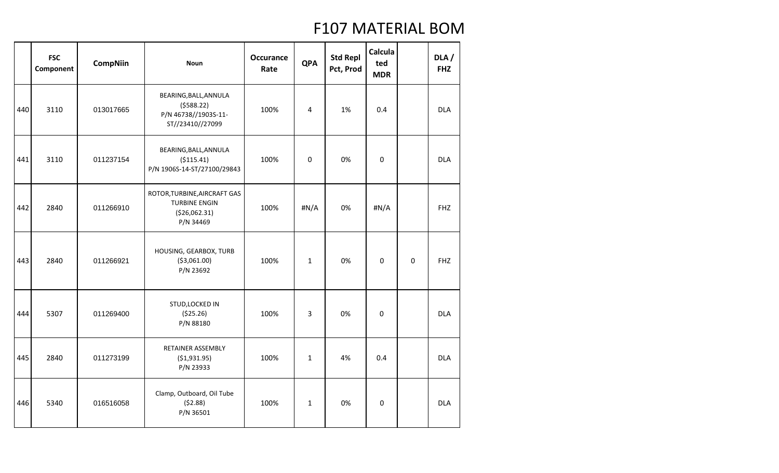|     | <b>FSC</b><br>Component | <b>CompNiin</b> | <b>Noun</b>                                                                         | <b>Occurance</b><br>Rate | <b>QPA</b>   | <b>Std Repl</b><br>Pct, Prod | Calcula<br>ted<br><b>MDR</b> |             | DLA /<br><b>FHZ</b> |
|-----|-------------------------|-----------------|-------------------------------------------------------------------------------------|--------------------------|--------------|------------------------------|------------------------------|-------------|---------------------|
| 440 | 3110                    | 013017665       | BEARING, BALL, ANNULA<br>(5588.22)<br>P/N 46738//1903S-11-<br>ST//23410//27099      | 100%                     | 4            | 1%                           | 0.4                          |             | <b>DLA</b>          |
| 441 | 3110                    | 011237154       | BEARING, BALL, ANNULA<br>( \$115.41)<br>P/N 1906S-14-ST/27100/29843                 | 100%                     | 0            | 0%                           | 0                            |             | <b>DLA</b>          |
| 442 | 2840                    | 011266910       | ROTOR, TURBINE, AIRCRAFT GAS<br><b>TURBINE ENGIN</b><br>( \$26,062.31)<br>P/N 34469 | 100%                     | #N/A         | 0%                           | #N/A                         |             | <b>FHZ</b>          |
| 443 | 2840                    | 011266921       | HOUSING, GEARBOX, TURB<br>( \$3,061.00)<br>P/N 23692                                | 100%                     | $\mathbf 1$  | 0%                           | 0                            | $\mathbf 0$ | <b>FHZ</b>          |
| 444 | 5307                    | 011269400       | STUD, LOCKED IN<br>(\$25.26)<br>P/N 88180                                           | 100%                     | 3            | 0%                           | 0                            |             | <b>DLA</b>          |
| 445 | 2840                    | 011273199       | <b>RETAINER ASSEMBLY</b><br>( \$1,931.95)<br>P/N 23933                              | 100%                     | $\mathbf{1}$ | 4%                           | 0.4                          |             | <b>DLA</b>          |
| 446 | 5340                    | 016516058       | Clamp, Outboard, Oil Tube<br>(52.88)<br>P/N 36501                                   | 100%                     | $\mathbf 1$  | 0%                           | 0                            |             | <b>DLA</b>          |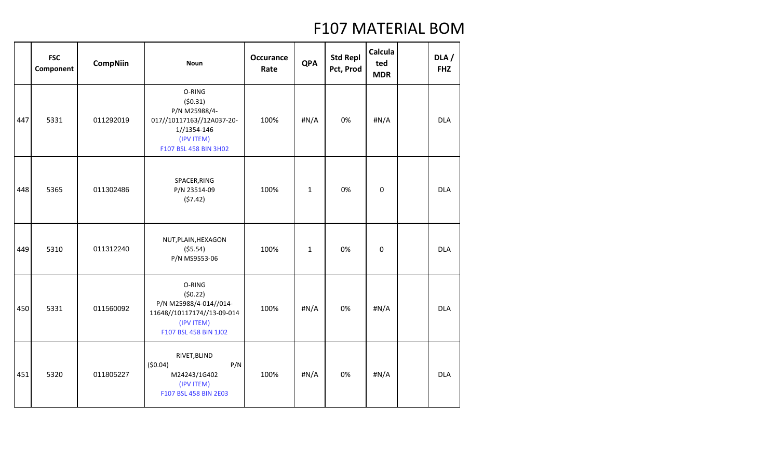|     | <b>FSC</b><br>Component | <b>CompNiin</b> | <b>Noun</b>                                                                                                           | <b>Occurance</b><br>Rate | <b>QPA</b>   | <b>Std Repl</b><br>Pct, Prod | Calcula<br>ted<br><b>MDR</b> | DLA /<br><b>FHZ</b> |
|-----|-------------------------|-----------------|-----------------------------------------------------------------------------------------------------------------------|--------------------------|--------------|------------------------------|------------------------------|---------------------|
| 447 | 5331                    | 011292019       | O-RING<br>(50.31)<br>P/N M25988/4-<br>017//10117163//12A037-20-<br>1//1354-146<br>(IPV ITEM)<br>F107 BSL 458 BIN 3H02 | 100%                     | #N/A         | 0%                           | #N/A                         | <b>DLA</b>          |
| 448 | 5365                    | 011302486       | SPACER, RING<br>P/N 23514-09<br>(57.42)                                                                               | 100%                     | $\mathbf{1}$ | 0%                           | 0                            | <b>DLA</b>          |
| 449 | 5310                    | 011312240       | NUT, PLAIN, HEXAGON<br>(55.54)<br>P/N MS9553-06                                                                       | 100%                     | $\mathbf 1$  | 0%                           | 0                            | <b>DLA</b>          |
| 450 | 5331                    | 011560092       | O-RING<br>(50.22)<br>P/N M25988/4-014//014-<br>11648//10117174//13-09-014<br>(IPV ITEM)<br>F107 BSL 458 BIN 1J02      | 100%                     | H N/A        | 0%                           | #N/A                         | <b>DLA</b>          |
| 451 | 5320                    | 011805227       | RIVET, BLIND<br>(50.04)<br>P/N<br>M24243/1G402<br>(IPV ITEM)<br>F107 BSL 458 BIN 2E03                                 | 100%                     | H N/A        | 0%                           | #N/A                         | <b>DLA</b>          |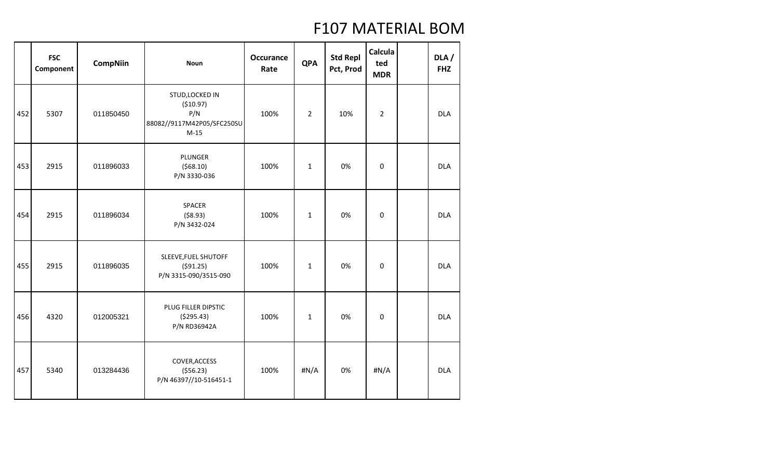|     | <b>FSC</b><br>Component | <b>CompNiin</b> | <b>Noun</b>                                                                 | <b>Occurance</b><br>Rate | <b>QPA</b>     | <b>Std Repl</b><br>Pct, Prod | Calcula<br>ted<br><b>MDR</b> | DLA/<br><b>FHZ</b> |
|-----|-------------------------|-----------------|-----------------------------------------------------------------------------|--------------------------|----------------|------------------------------|------------------------------|--------------------|
| 452 | 5307                    | 011850450       | STUD, LOCKED IN<br>(\$10.97)<br>P/N<br>88082//9117M42P05/SFC250SU<br>$M-15$ | 100%                     | $\overline{2}$ | 10%                          | $\overline{2}$               | <b>DLA</b>         |
| 453 | 2915                    | 011896033       | PLUNGER<br>(568.10)<br>P/N 3330-036                                         | 100%                     | $\mathbf{1}$   | 0%                           | 0                            | <b>DLA</b>         |
| 454 | 2915                    | 011896034       | SPACER<br>( \$8.93)<br>P/N 3432-024                                         | 100%                     | $\mathbf 1$    | 0%                           | 0                            | <b>DLA</b>         |
| 455 | 2915                    | 011896035       | SLEEVE, FUEL SHUTOFF<br>(591.25)<br>P/N 3315-090/3515-090                   | 100%                     | $\mathbf{1}$   | 0%                           | 0                            | <b>DLA</b>         |
| 456 | 4320                    | 012005321       | PLUG FILLER DIPSTIC<br>( \$295.43)<br>P/N RD36942A                          | 100%                     | $\mathbf{1}$   | 0%                           | 0                            | <b>DLA</b>         |
| 457 | 5340                    | 013284436       | COVER, ACCESS<br>( \$56.23)<br>P/N 46397//10-516451-1                       | 100%                     | #N/A           | 0%                           | #N/A                         | <b>DLA</b>         |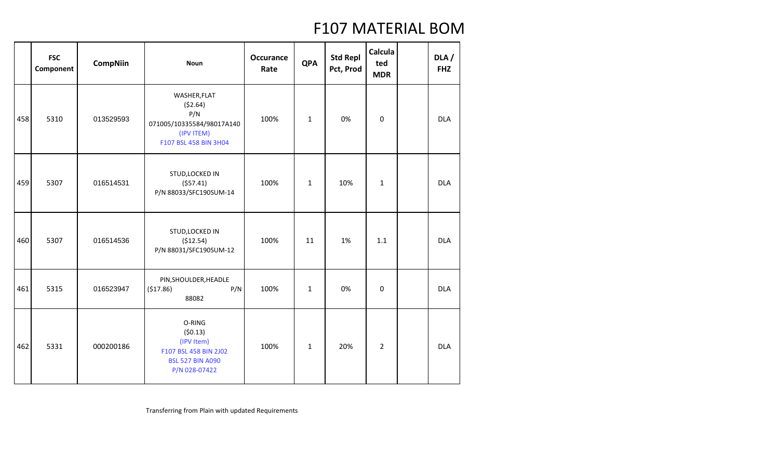|     | <b>FSC</b><br>Component | <b>CompNiin</b> | <b>Noun</b>                                                                                          | <b>Occurance</b><br>Rate | <b>QPA</b>   | <b>Std Repl</b><br>Pct, Prod | Calcula<br>ted<br><b>MDR</b> | DLA /<br><b>FHZ</b> |
|-----|-------------------------|-----------------|------------------------------------------------------------------------------------------------------|--------------------------|--------------|------------------------------|------------------------------|---------------------|
| 458 | 5310                    | 013529593       | WASHER, FLAT<br>(52.64)<br>P/N<br>071005/10335584/98017A140<br>(IPV ITEM)<br>F107 BSL 458 BIN 3H04   | 100%                     | $\mathbf{1}$ | 0%                           | 0                            | <b>DLA</b>          |
| 459 | 5307                    | 016514531       | STUD, LOCKED IN<br>(557.41)<br>P/N 88033/SFC190SUM-14                                                | 100%                     | $\mathbf{1}$ | 10%                          | $\mathbf{1}$                 | <b>DLA</b>          |
| 460 | 5307                    | 016514536       | STUD, LOCKED IN<br>(\$12.54)<br>P/N 88031/SFC190SUM-12                                               | 100%                     | 11           | 1%                           | 1.1                          | <b>DLA</b>          |
| 461 | 5315                    | 016523947       | PIN, SHOULDER, HEADLE<br>(\$17.86)<br>P/N<br>88082                                                   | 100%                     | $\mathbf{1}$ | 0%                           | 0                            | <b>DLA</b>          |
| 462 | 5331                    | 000200186       | O-RING<br>(50.13)<br>(IPV Item)<br>F107 BSL 458 BIN 2J02<br><b>BSL 527 BIN A090</b><br>P/N 028-07422 | 100%                     | $\mathbf{1}$ | 20%                          | $\overline{2}$               | <b>DLA</b>          |

Transferring from Plain with updated Requirements